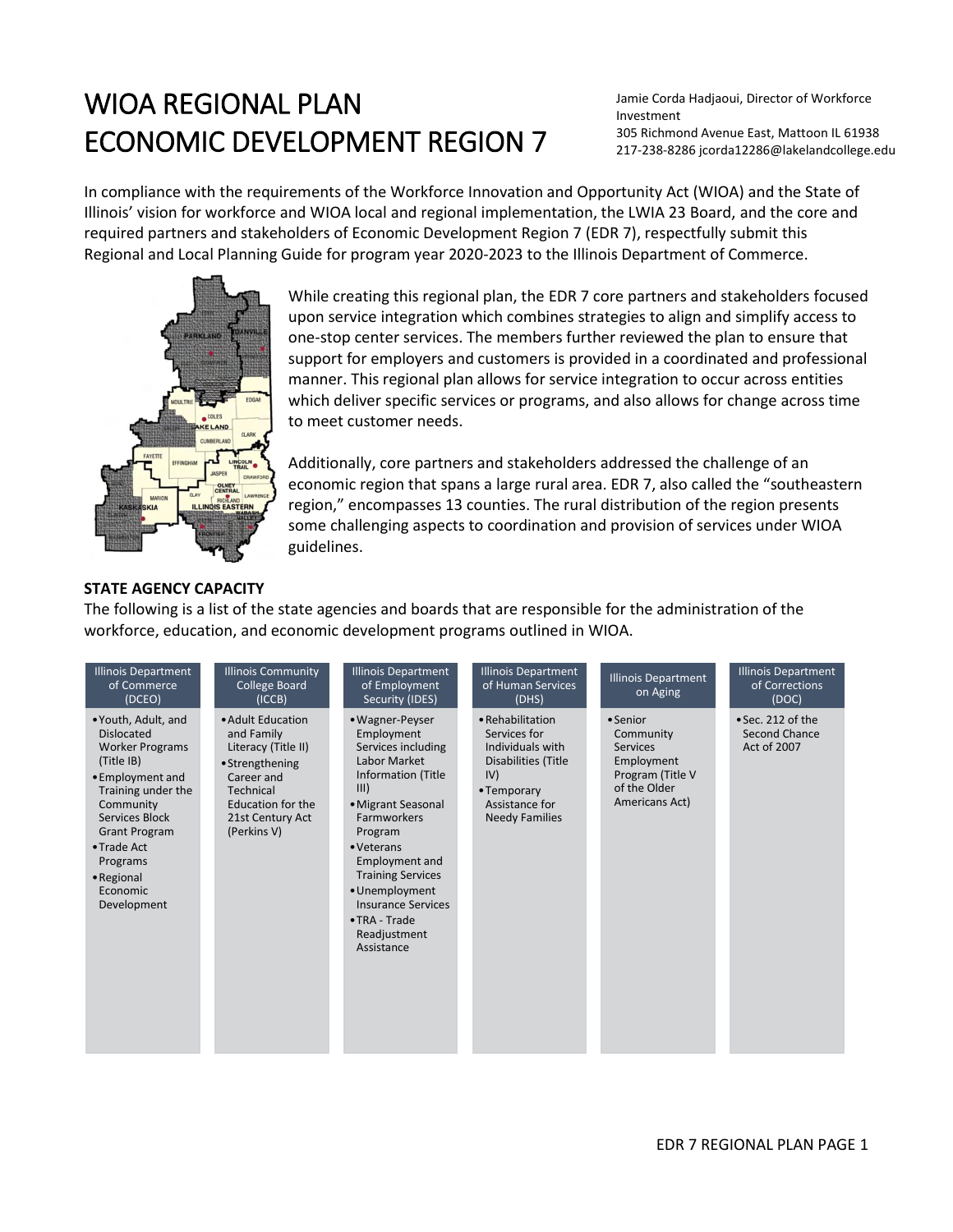# WIOA REGIONAL PLAN ECONOMIC DEVELOPMENT REGION 7

Jamie Corda Hadjaoui, Director of Workforce Investment 305 Richmond Avenue East, Mattoon IL 61938 217-238-8286 jcorda12286@lakelandcollege.edu

In compliance with the requirements of the Workforce Innovation and Opportunity Act (WIOA) and the State of Illinois' vision for workforce and WIOA local and regional implementation, the LWIA 23 Board, and the core and required partners and stakeholders of Economic Development Region 7 (EDR 7), respectfully submit this Regional and Local Planning Guide for program year 2020-2023 to the Illinois Department of Commerce.



While creating this regional plan, the EDR 7 core partners and stakeholders focused upon service integration which combines strategies to align and simplify access to one-stop center services. The members further reviewed the plan to ensure that support for employers and customers is provided in a coordinated and professional manner. This regional plan allows for service integration to occur across entities which deliver specific services or programs, and also allows for change across time to meet customer needs.

Additionally, core partners and stakeholders addressed the challenge of an economic region that spans a large rural area. EDR 7, also called the "southeastern region," encompasses 13 counties. The rural distribution of the region presents some challenging aspects to coordination and provision of services under WIOA guidelines.

#### **STATE AGENCY CAPACITY**

The following is a list of the state agencies and boards that are responsible for the administration of the workforce, education, and economic development programs outlined in WIOA.

| <b>Illinois Department</b><br>of Commerce<br>(DCEO)                                                                                                                                                                                                   | <b>Illinois Community</b><br><b>College Board</b><br>(ICCB)                                                                                                  | <b>Illinois Department</b><br>of Employment<br>Security (IDES)                                                                                                                                                                                                                                                                    | <b>Illinois Department</b><br>of Human Services<br>(DHS)                                                                                     | <b>Illinois Department</b><br>on Aging                                                                       | <b>Illinois Department</b><br>of Corrections<br>(DOC) |
|-------------------------------------------------------------------------------------------------------------------------------------------------------------------------------------------------------------------------------------------------------|--------------------------------------------------------------------------------------------------------------------------------------------------------------|-----------------------------------------------------------------------------------------------------------------------------------------------------------------------------------------------------------------------------------------------------------------------------------------------------------------------------------|----------------------------------------------------------------------------------------------------------------------------------------------|--------------------------------------------------------------------------------------------------------------|-------------------------------------------------------|
| • Youth, Adult, and<br><b>Dislocated</b><br><b>Worker Programs</b><br>(Title IB)<br>• Employment and<br>Training under the<br>Community<br>Services Block<br><b>Grant Program</b><br>• Trade Act<br>Programs<br>• Regional<br>Economic<br>Development | • Adult Education<br>and Family<br>Literacy (Title II)<br>• Strengthening<br>Career and<br>Technical<br>Education for the<br>21st Century Act<br>(Perkins V) | • Wagner-Peyser<br>Employment<br>Services including<br>Labor Market<br>Information (Title<br>III)<br>• Migrant Seasonal<br><b>Farmworkers</b><br>Program<br>• Veterans<br><b>Employment and</b><br><b>Training Services</b><br>• Unemployment<br><b>Insurance Services</b><br>$\bullet$ TRA - Trade<br>Readjustment<br>Assistance | • Rehabilitation<br>Services for<br>Individuals with<br>Disabilities (Title<br>IV)<br>• Temporary<br>Assistance for<br><b>Needy Families</b> | • Senior<br>Community<br><b>Services</b><br>Employment<br>Program (Title V<br>of the Older<br>Americans Act) | • Sec. 212 of the<br>Second Chance<br>Act of 2007     |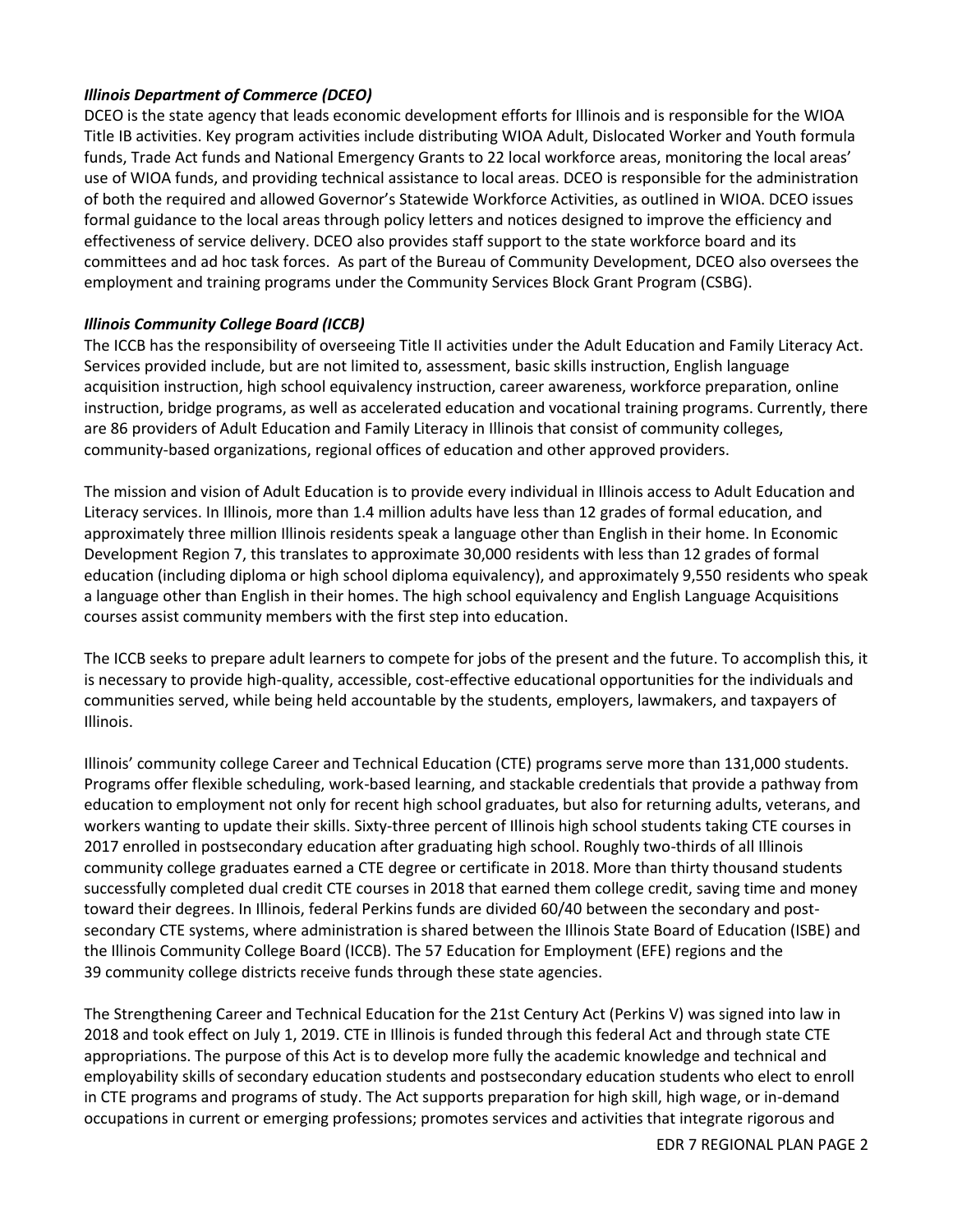### *Illinois Department of Commerce (DCEO)*

DCEO is the state agency that leads economic development efforts for Illinois and is responsible for the WIOA Title IB activities. Key program activities include distributing WIOA Adult, Dislocated Worker and Youth formula funds, Trade Act funds and National Emergency Grants to 22 local workforce areas, monitoring the local areas' use of WIOA funds, and providing technical assistance to local areas. DCEO is responsible for the administration of both the required and allowed Governor's Statewide Workforce Activities, as outlined in WIOA. DCEO issues formal guidance to the local areas through policy letters and notices designed to improve the efficiency and effectiveness of service delivery. DCEO also provides staff support to the state workforce board and its committees and ad hoc task forces. As part of the Bureau of Community Development, DCEO also oversees the employment and training programs under the Community Services Block Grant Program (CSBG).

### *Illinois Community College Board (ICCB)*

The ICCB has the responsibility of overseeing Title II activities under the Adult Education and Family Literacy Act. Services provided include, but are not limited to, assessment, basic skills instruction, English language acquisition instruction, high school equivalency instruction, career awareness, workforce preparation, online instruction, bridge programs, as well as accelerated education and vocational training programs. Currently, there are 86 providers of Adult Education and Family Literacy in Illinois that consist of community colleges, community-based organizations, regional offices of education and other approved providers.

The mission and vision of Adult Education is to provide every individual in Illinois access to Adult Education and Literacy services. In Illinois, more than 1.4 million adults have less than 12 grades of formal education, and approximately three million Illinois residents speak a language other than English in their home. In Economic Development Region 7, this translates to approximate 30,000 residents with less than 12 grades of formal education (including diploma or high school diploma equivalency), and approximately 9,550 residents who speak a language other than English in their homes. The high school equivalency and English Language Acquisitions courses assist community members with the first step into education.

The ICCB seeks to prepare adult learners to compete for jobs of the present and the future. To accomplish this, it is necessary to provide high-quality, accessible, cost-effective educational opportunities for the individuals and communities served, while being held accountable by the students, employers, lawmakers, and taxpayers of Illinois.

Illinois' community college Career and Technical Education (CTE) programs serve more than 131,000 students. Programs offer flexible scheduling, work-based learning, and stackable credentials that provide a pathway from education to employment not only for recent high school graduates, but also for returning adults, veterans, and workers wanting to update their skills. Sixty-three percent of Illinois high school students taking CTE courses in 2017 enrolled in postsecondary education after graduating high school. Roughly two-thirds of all Illinois community college graduates earned a CTE degree or certificate in 2018. More than thirty thousand students successfully completed dual credit CTE courses in 2018 that earned them college credit, saving time and money toward their degrees. In Illinois, federal Perkins funds are divided 60/40 between the secondary and postsecondary CTE systems, where administration is shared between the Illinois State Board of Education (ISBE) and the Illinois Community College Board (ICCB). The 57 Education for Employment (EFE) regions and the 39 community college districts receive funds through these state agencies.

The Strengthening Career and Technical Education for the 21st Century Act (Perkins V) was signed into law in 2018 and took effect on July 1, 2019. CTE in Illinois is funded through this federal Act and through state CTE appropriations. The purpose of this Act is to develop more fully the academic knowledge and technical and employability skills of secondary education students and postsecondary education students who elect to enroll in CTE programs and programs of study. The Act supports preparation for high skill, high wage, or in-demand occupations in current or emerging professions; promotes services and activities that integrate rigorous and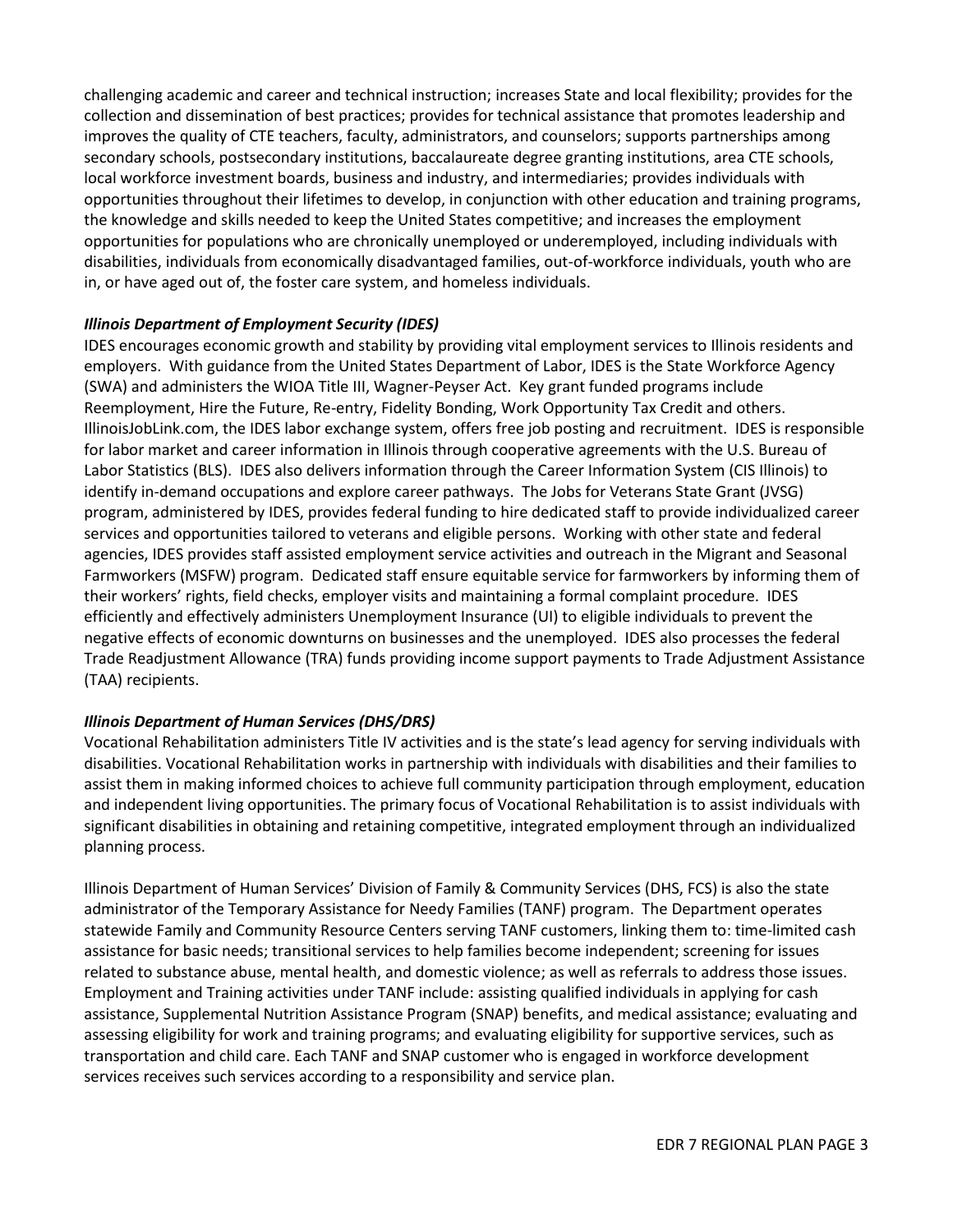challenging academic and career and technical instruction; increases State and local flexibility; provides for the collection and dissemination of best practices; provides for technical assistance that promotes leadership and improves the quality of CTE teachers, faculty, administrators, and counselors; supports partnerships among secondary schools, postsecondary institutions, baccalaureate degree granting institutions, area CTE schools, local workforce investment boards, business and industry, and intermediaries; provides individuals with opportunities throughout their lifetimes to develop, in conjunction with other education and training programs, the knowledge and skills needed to keep the United States competitive; and increases the employment opportunities for populations who are chronically unemployed or underemployed, including individuals with disabilities, individuals from economically disadvantaged families, out-of-workforce individuals, youth who are in, or have aged out of, the foster care system, and homeless individuals.

### *Illinois Department of Employment Security (IDES)*

IDES encourages economic growth and stability by providing vital employment services to Illinois residents and employers. With guidance from the United States Department of Labor, IDES is the State Workforce Agency (SWA) and administers the WIOA Title III, Wagner-Peyser Act. Key grant funded programs include Reemployment, Hire the Future, Re-entry, Fidelity Bonding, Work Opportunity Tax Credit and others. IllinoisJobLink.com, the IDES labor exchange system, offers free job posting and recruitment. IDES is responsible for labor market and career information in Illinois through cooperative agreements with the U.S. Bureau of Labor Statistics (BLS). IDES also delivers information through the Career Information System (CIS Illinois) to identify in-demand occupations and explore career pathways. The Jobs for Veterans State Grant (JVSG) program, administered by IDES, provides federal funding to hire dedicated staff to provide individualized career services and opportunities tailored to veterans and eligible persons. Working with other state and federal agencies, IDES provides staff assisted employment service activities and outreach in the Migrant and Seasonal Farmworkers (MSFW) program. Dedicated staff ensure equitable service for farmworkers by informing them of their workers' rights, field checks, employer visits and maintaining a formal complaint procedure. IDES efficiently and effectively administers Unemployment Insurance (UI) to eligible individuals to prevent the negative effects of economic downturns on businesses and the unemployed. IDES also processes the federal Trade Readjustment Allowance (TRA) funds providing income support payments to Trade Adjustment Assistance (TAA) recipients.

#### *Illinois Department of Human Services (DHS/DRS)*

Vocational Rehabilitation administers Title IV activities and is the state's lead agency for serving individuals with disabilities. Vocational Rehabilitation works in partnership with individuals with disabilities and their families to assist them in making informed choices to achieve full community participation through employment, education and independent living opportunities. The primary focus of Vocational Rehabilitation is to assist individuals with significant disabilities in obtaining and retaining competitive, integrated employment through an individualized planning process.

Illinois Department of Human Services' Division of Family & Community Services (DHS, FCS) is also the state administrator of the Temporary Assistance for Needy Families (TANF) program. The Department operates statewide Family and Community Resource Centers serving TANF customers, linking them to: time-limited cash assistance for basic needs; transitional services to help families become independent; screening for issues related to substance abuse, mental health, and domestic violence; as well as referrals to address those issues. Employment and Training activities under TANF include: assisting qualified individuals in applying for cash assistance, Supplemental Nutrition Assistance Program (SNAP) benefits, and medical assistance; evaluating and assessing eligibility for work and training programs; and evaluating eligibility for supportive services, such as transportation and child care. Each TANF and SNAP customer who is engaged in workforce development services receives such services according to a responsibility and service plan.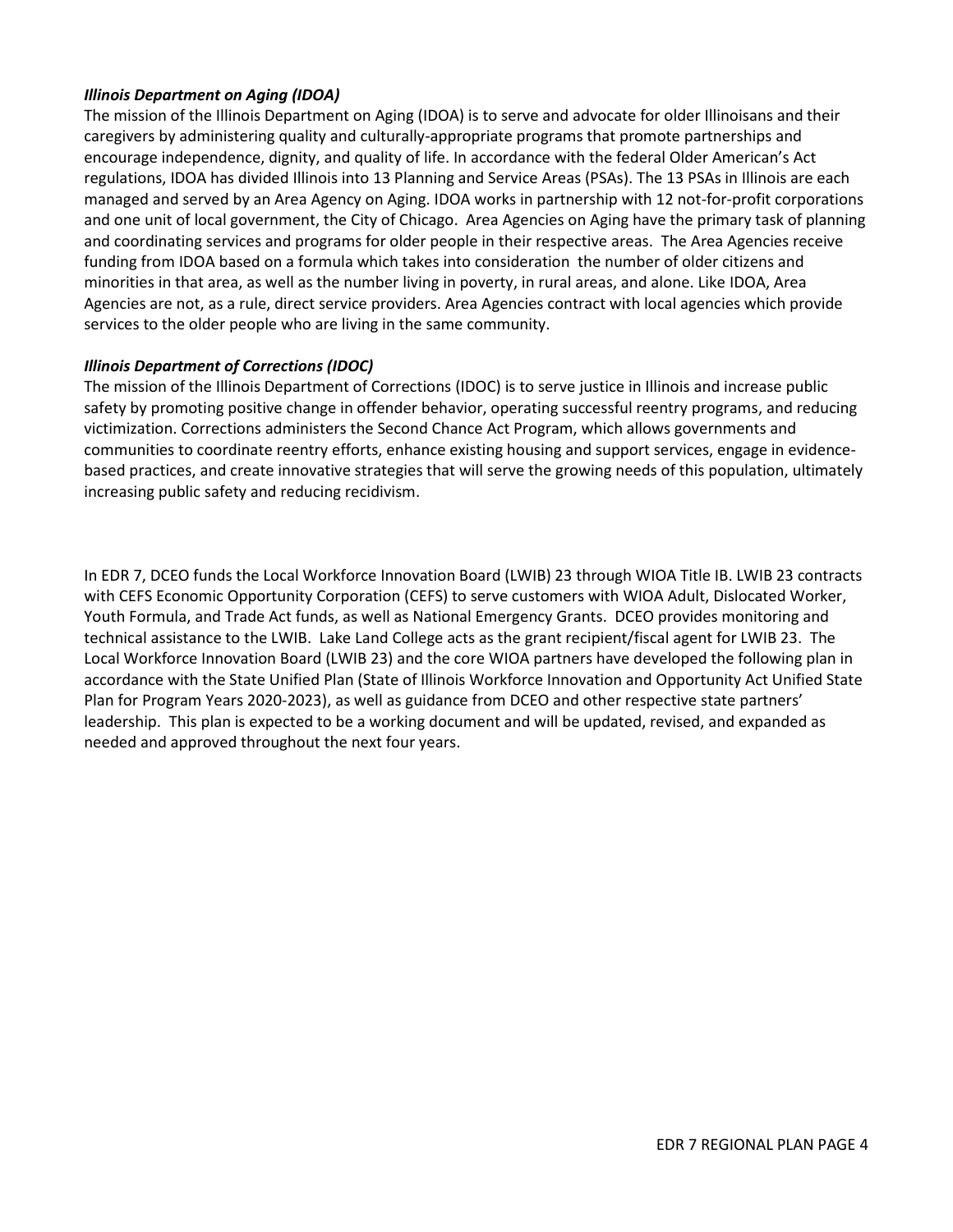### *Illinois Department on Aging (IDOA)*

The mission of the Illinois Department on Aging (IDOA) is to serve and advocate for older Illinoisans and their caregivers by administering quality and culturally-appropriate programs that promote partnerships and encourage independence, dignity, and quality of life. In accordance with the federal Older American's Act regulations, IDOA has divided Illinois into 13 Planning and Service Areas (PSAs). The 13 PSAs in Illinois are each managed and served by an Area Agency on Aging. IDOA works in partnership with 12 not-for-profit corporations and one unit of local government, the City of Chicago. Area Agencies on Aging have the primary task of planning and coordinating services and programs for older people in their respective areas. The Area Agencies receive funding from IDOA based on a formula which takes into consideration the number of older citizens and minorities in that area, as well as the number living in poverty, in rural areas, and alone. Like IDOA, Area Agencies are not, as a rule, direct service providers. Area Agencies contract with local agencies which provide services to the older people who are living in the same community.

#### *Illinois Department of Corrections (IDOC)*

The mission of the Illinois Department of Corrections (IDOC) is to serve justice in Illinois and increase public safety by promoting positive change in offender behavior, operating successful reentry programs, and reducing victimization. Corrections administers the Second Chance Act Program, which allows governments and communities to coordinate reentry efforts, enhance existing housing and support services, engage in evidencebased practices, and create innovative strategies that will serve the growing needs of this population, ultimately increasing public safety and reducing recidivism.

In EDR 7, DCEO funds the Local Workforce Innovation Board (LWIB) 23 through WIOA Title IB. LWIB 23 contracts with CEFS Economic Opportunity Corporation (CEFS) to serve customers with WIOA Adult, Dislocated Worker, Youth Formula, and Trade Act funds, as well as National Emergency Grants. DCEO provides monitoring and technical assistance to the LWIB. Lake Land College acts as the grant recipient/fiscal agent for LWIB 23. The Local Workforce Innovation Board (LWIB 23) and the core WIOA partners have developed the following plan in accordance with the State Unified Plan (State of Illinois Workforce Innovation and Opportunity Act Unified State Plan for Program Years 2020-2023), as well as guidance from DCEO and other respective state partners' leadership. This plan is expected to be a working document and will be updated, revised, and expanded as needed and approved throughout the next four years.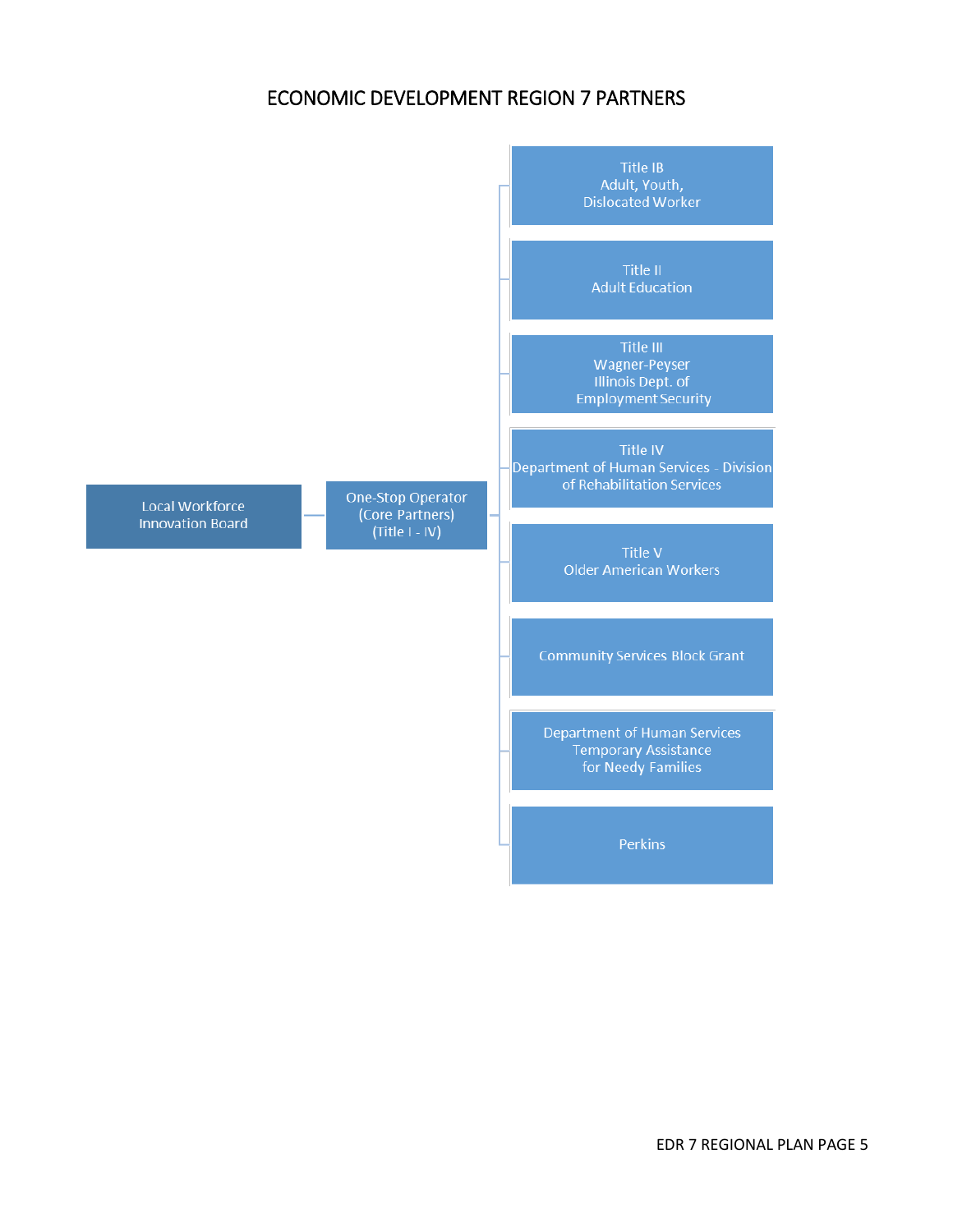# ECONOMIC DEVELOPMENT REGION 7 PARTNERS

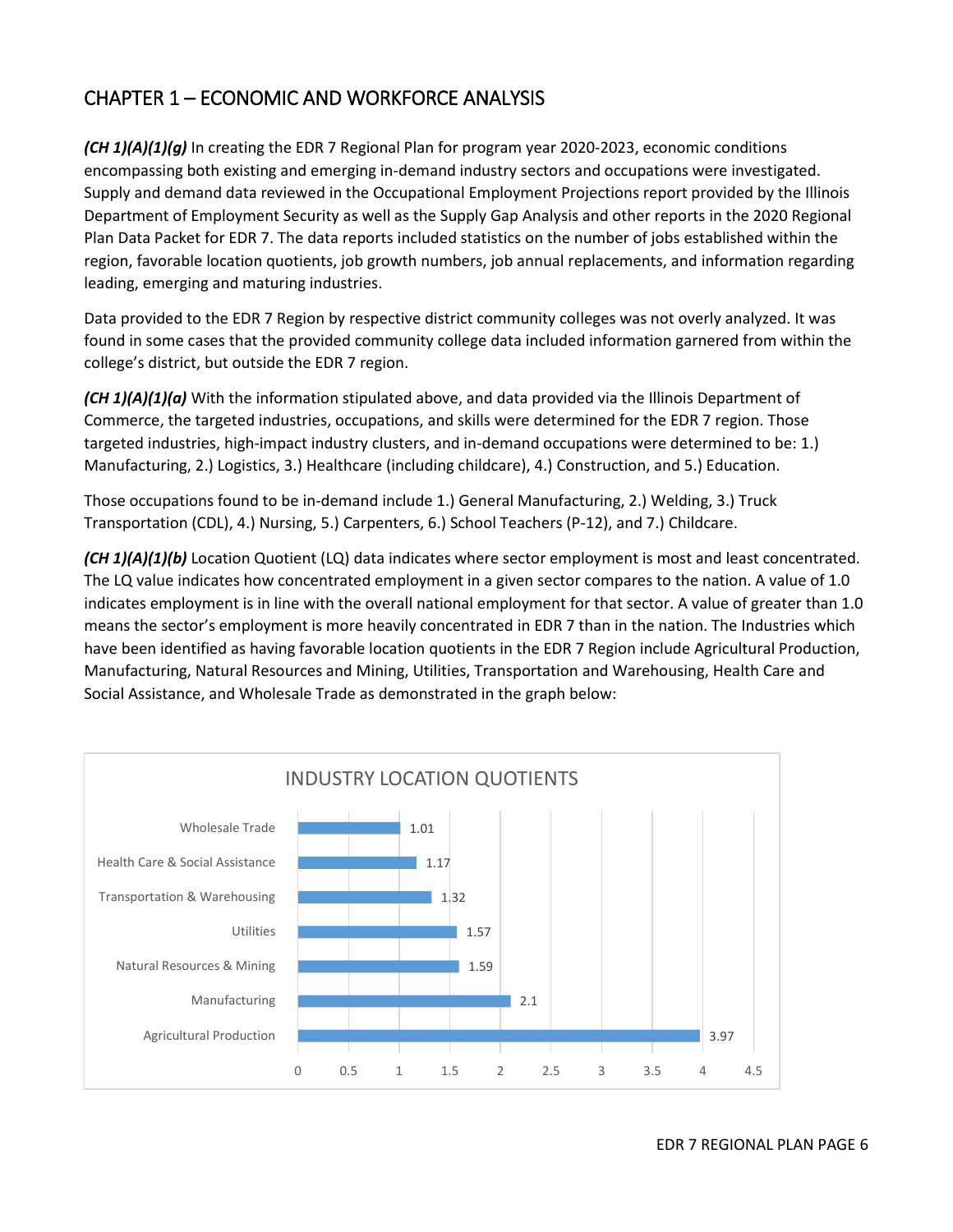# CHAPTER 1 – ECONOMIC AND WORKFORCE ANALYSIS

*(CH 1)(A)(1)(g)* In creating the EDR 7 Regional Plan for program year 2020-2023, economic conditions encompassing both existing and emerging in-demand industry sectors and occupations were investigated. Supply and demand data reviewed in the Occupational Employment Projections report provided by the Illinois Department of Employment Security as well as the Supply Gap Analysis and other reports in the 2020 Regional Plan Data Packet for EDR 7. The data reports included statistics on the number of jobs established within the region, favorable location quotients, job growth numbers, job annual replacements, and information regarding leading, emerging and maturing industries.

Data provided to the EDR 7 Region by respective district community colleges was not overly analyzed. It was found in some cases that the provided community college data included information garnered from within the college's district, but outside the EDR 7 region.

*(CH 1)(A)(1)(a)* With the information stipulated above, and data provided via the Illinois Department of Commerce, the targeted industries, occupations, and skills were determined for the EDR 7 region. Those targeted industries, high-impact industry clusters, and in-demand occupations were determined to be: 1.) Manufacturing, 2.) Logistics, 3.) Healthcare (including childcare), 4.) Construction, and 5.) Education.

Those occupations found to be in-demand include 1.) General Manufacturing, 2.) Welding, 3.) Truck Transportation (CDL), 4.) Nursing, 5.) Carpenters, 6.) School Teachers (P-12), and 7.) Childcare.

*(CH 1)(A)(1)(b)* Location Quotient (LQ) data indicates where sector employment is most and least concentrated. The LQ value indicates how concentrated employment in a given sector compares to the nation. A value of 1.0 indicates employment is in line with the overall national employment for that sector. A value of greater than 1.0 means the sector's employment is more heavily concentrated in EDR 7 than in the nation. The Industries which have been identified as having favorable location quotients in the EDR 7 Region include Agricultural Production, Manufacturing, Natural Resources and Mining, Utilities, Transportation and Warehousing, Health Care and Social Assistance, and Wholesale Trade as demonstrated in the graph below:

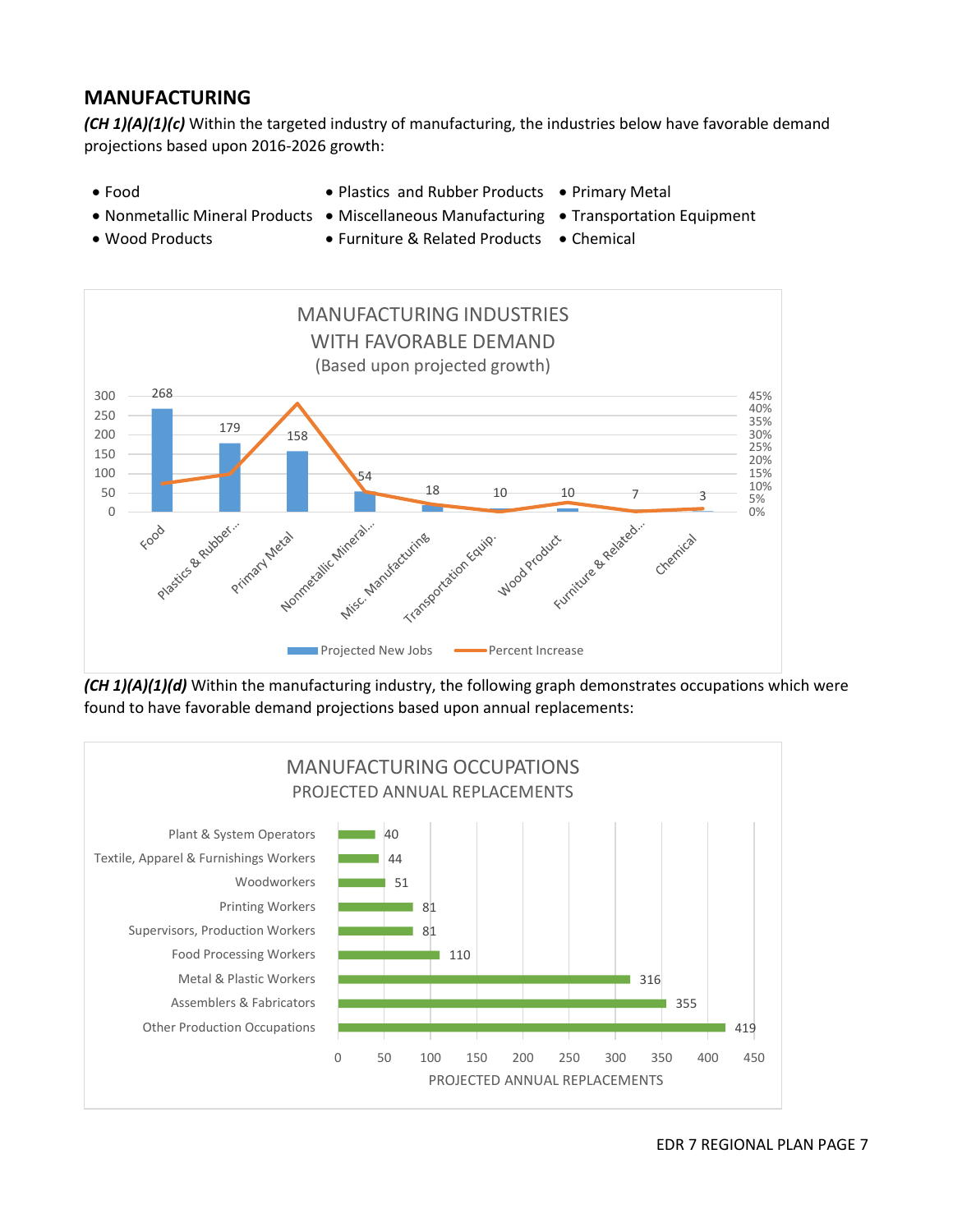### **MANUFACTURING**

*(CH 1)(A)(1)(c)* Within the targeted industry of manufacturing, the industries below have favorable demand projections based upon 2016-2026 growth:

- 
- Food Plastics and Rubber Products Primary Metal
- Nonmetallic Mineral Products Miscellaneous Manufacturing Transportation Equipment
	-
- 
- Wood Products • Furniture & Related Products Chemical



*(CH 1)(A)(1)(d)* Within the manufacturing industry, the following graph demonstrates occupations which were found to have favorable demand projections based upon annual replacements:

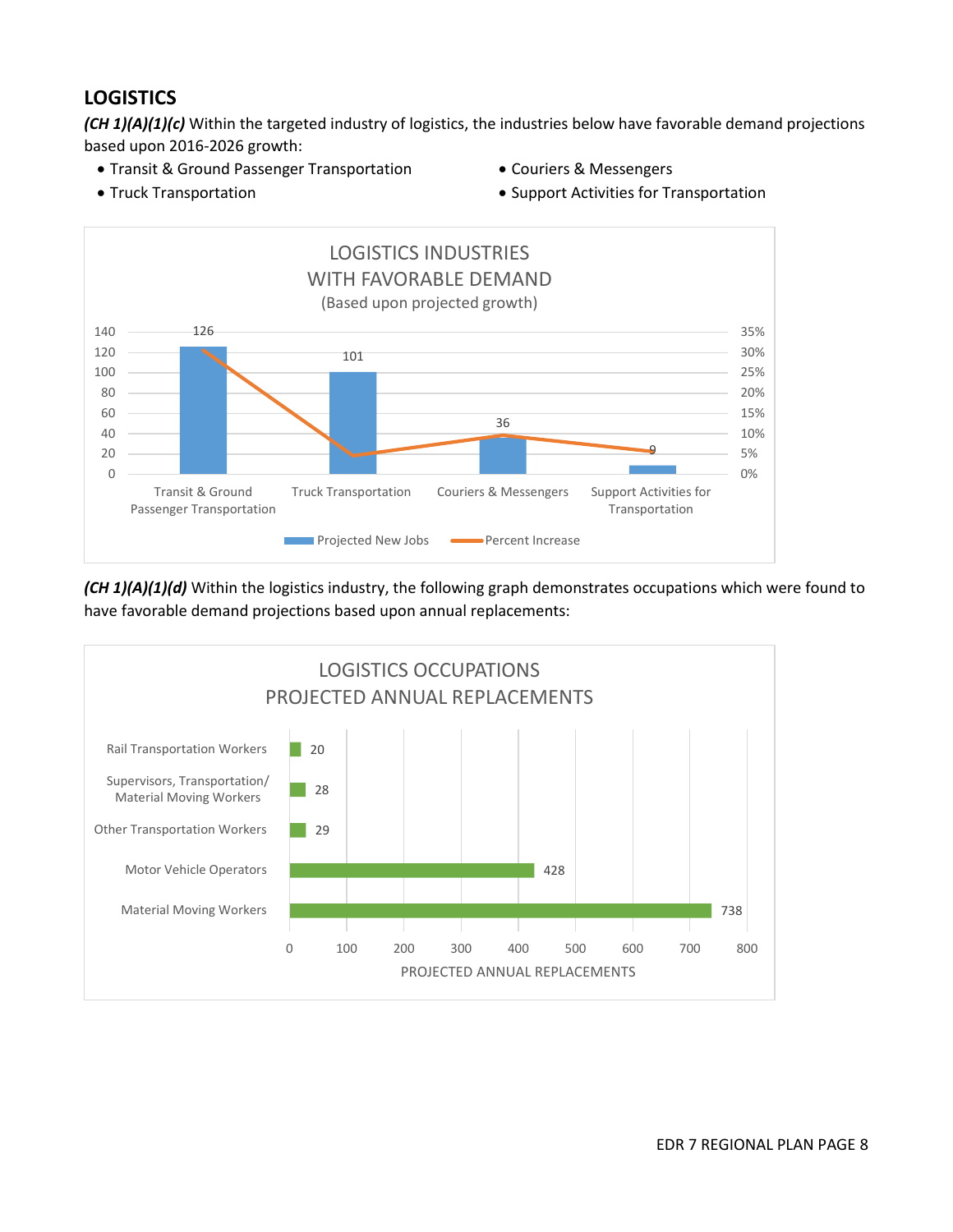# **LOGISTICS**

*(CH 1)(A)(1)(c)* Within the targeted industry of logistics, the industries below have favorable demand projections based upon 2016-2026 growth:

- Transit & Ground Passenger Transportation Couriers & Messengers
	-
- 
- Truck Transportation **Support Activities for Transportation Support Activities for Transportation**



*(CH 1)(A)(1)(d)* Within the logistics industry, the following graph demonstrates occupations which were found to have favorable demand projections based upon annual replacements:

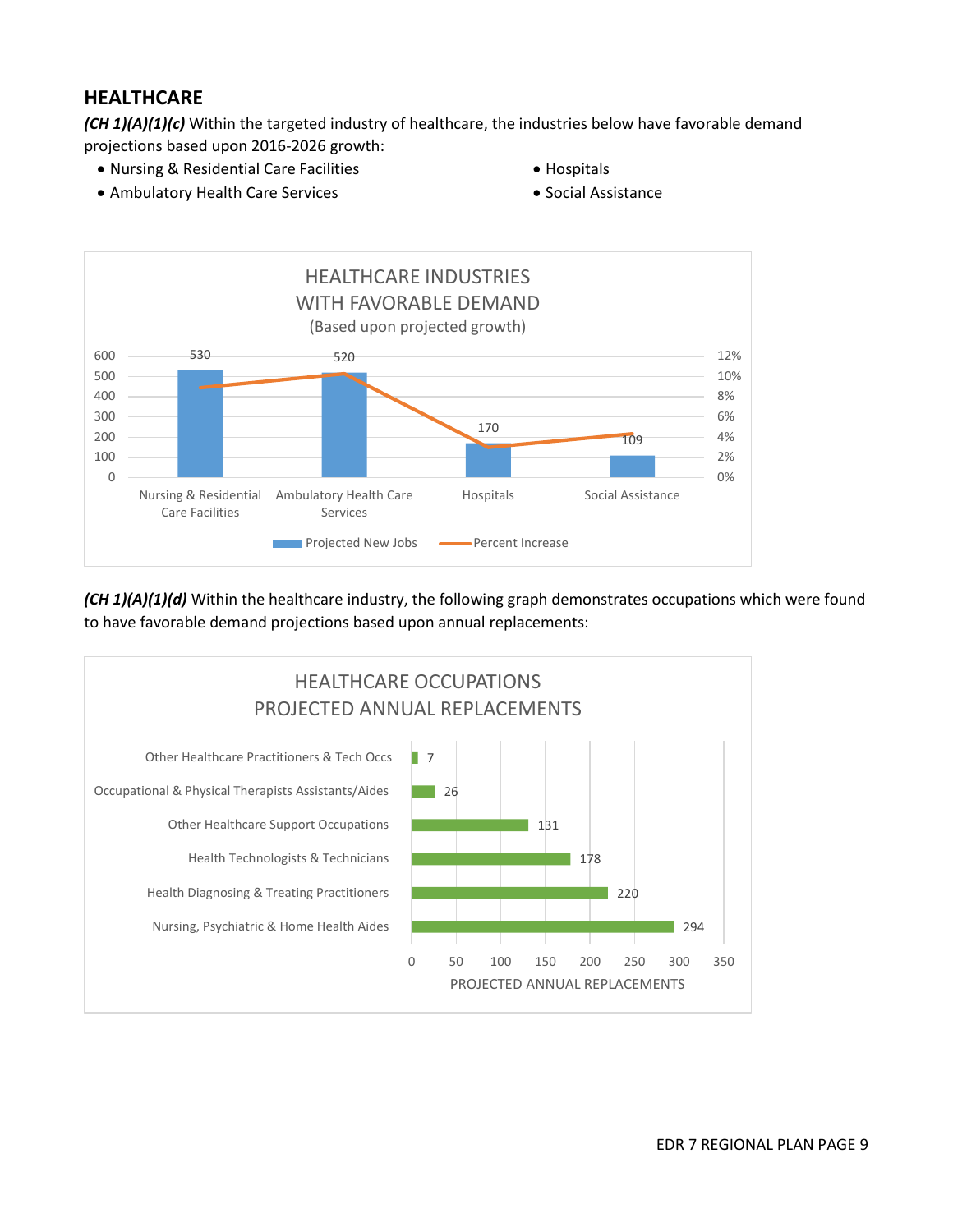### **HEALTHCARE**

*(CH 1)(A)(1)(c)* Within the targeted industry of healthcare, the industries below have favorable demand projections based upon 2016-2026 growth:

- Nursing & Residential Care Facilities **Careford Care Facilities** Hospitals
- Ambulatory Health Care Services **Social Assistance** Social Assistance
- 
- 



*(CH 1)(A)(1)(d)* Within the healthcare industry, the following graph demonstrates occupations which were found to have favorable demand projections based upon annual replacements:

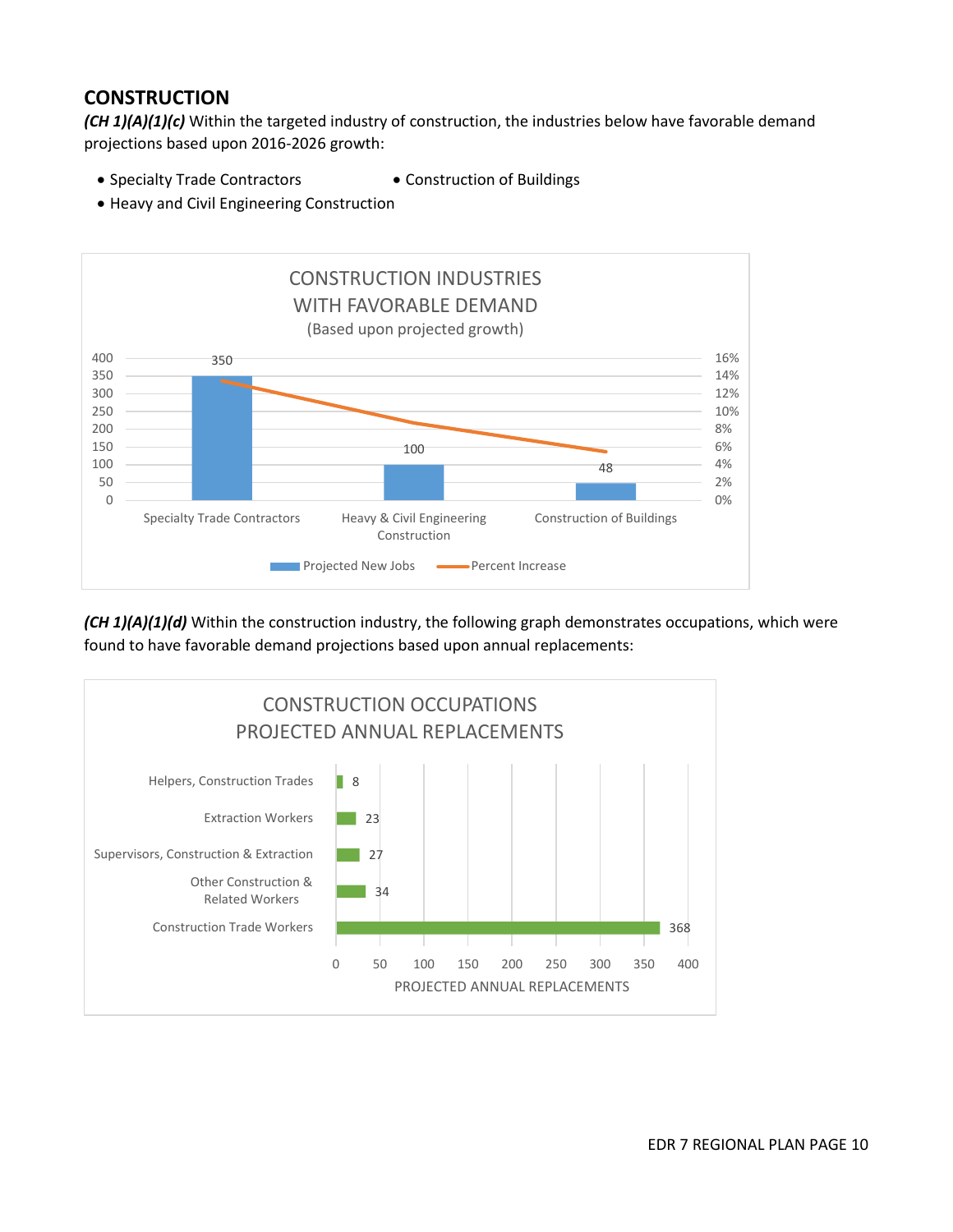### **CONSTRUCTION**

*(CH 1)(A)(1)(c)* Within the targeted industry of construction, the industries below have favorable demand projections based upon 2016-2026 growth:

- Specialty Trade Contractors Construction of Buildings
- 
- Heavy and Civil Engineering Construction



*(CH 1)(A)(1)(d)* Within the construction industry, the following graph demonstrates occupations, which were found to have favorable demand projections based upon annual replacements:

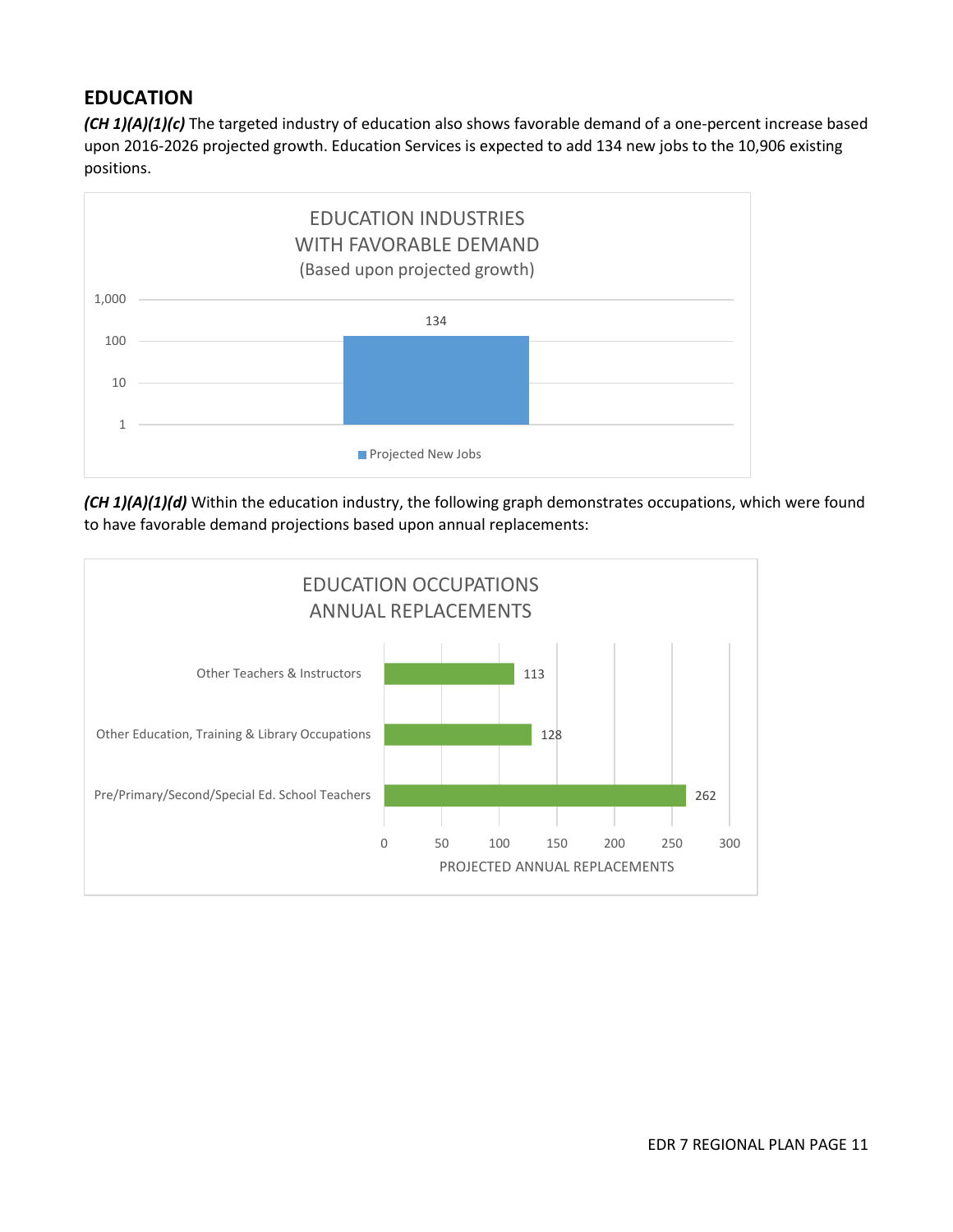### **EDUCATION**

*(CH 1)(A)(1)(c)* The targeted industry of education also shows favorable demand of a one-percent increase based upon 2016-2026 projected growth. Education Services is expected to add 134 new jobs to the 10,906 existing positions.



*(CH 1)(A)(1)(d)* Within the education industry, the following graph demonstrates occupations, which were found to have favorable demand projections based upon annual replacements:

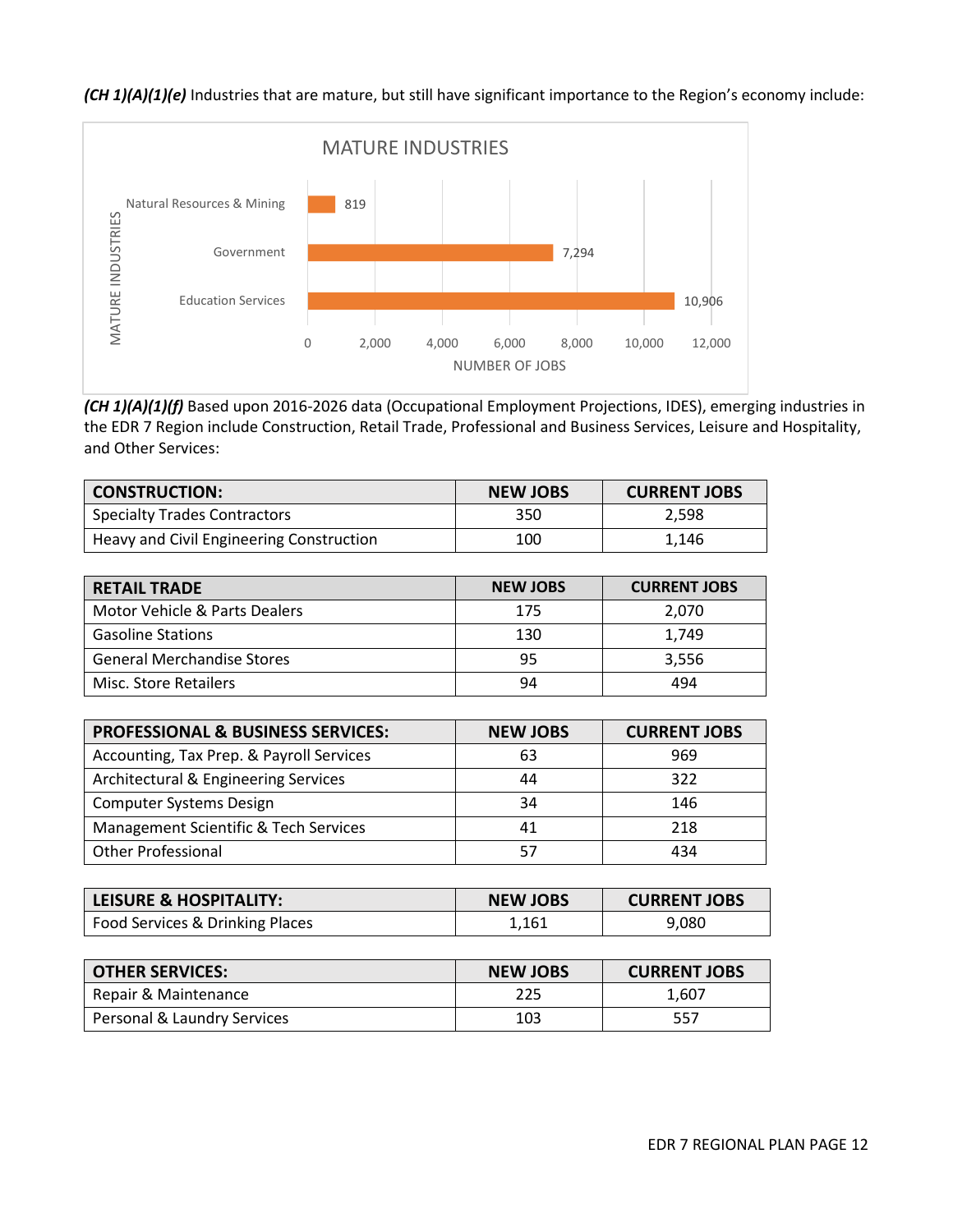### *(CH 1)(A)(1)(e)* Industries that are mature, but still have significant importance to the Region's economy include:



*(CH 1)(A)(1)(f)* Based upon 2016-2026 data (Occupational Employment Projections, IDES), emerging industries in the EDR 7 Region include Construction, Retail Trade, Professional and Business Services, Leisure and Hospitality, and Other Services:

| <b>CONSTRUCTION:</b>                     | <b>NEW JOBS</b> | <b>CURRENT JOBS</b> |
|------------------------------------------|-----------------|---------------------|
| <b>Specialty Trades Contractors</b>      | 350             | 2.598               |
| Heavy and Civil Engineering Construction | 100             | 1.146               |

| <b>RETAIL TRADE</b>               | <b>NEW JOBS</b> | <b>CURRENT JOBS</b> |
|-----------------------------------|-----------------|---------------------|
| Motor Vehicle & Parts Dealers     | 175             | 2.070               |
| <b>Gasoline Stations</b>          | 130             | 1.749               |
| <b>General Merchandise Stores</b> | 95              | 3.556               |
| Misc. Store Retailers             | 94              | 494                 |

| <b>PROFESSIONAL &amp; BUSINESS SERVICES:</b> | <b>NEW JOBS</b> | <b>CURRENT JOBS</b> |
|----------------------------------------------|-----------------|---------------------|
| Accounting, Tax Prep. & Payroll Services     | 63              | 969                 |
| Architectural & Engineering Services         | 44              | 322                 |
| <b>Computer Systems Design</b>               | 34              | 146                 |
| Management Scientific & Tech Services        | 41              | 218                 |
| <b>Other Professional</b>                    | 57              | 434                 |

| LEISURE & HOSPITALITY:          | <b>NEW JOBS</b> | <b>CURRENT JOBS</b> |
|---------------------------------|-----------------|---------------------|
| Food Services & Drinking Places | 1.161           | 9,080               |

| <b>OTHER SERVICES:</b>      | <b>NEW JOBS</b> | <b>CURRENT JOBS</b> |
|-----------------------------|-----------------|---------------------|
| Repair & Maintenance        | 225             | 1.607               |
| Personal & Laundry Services | 103             | 557                 |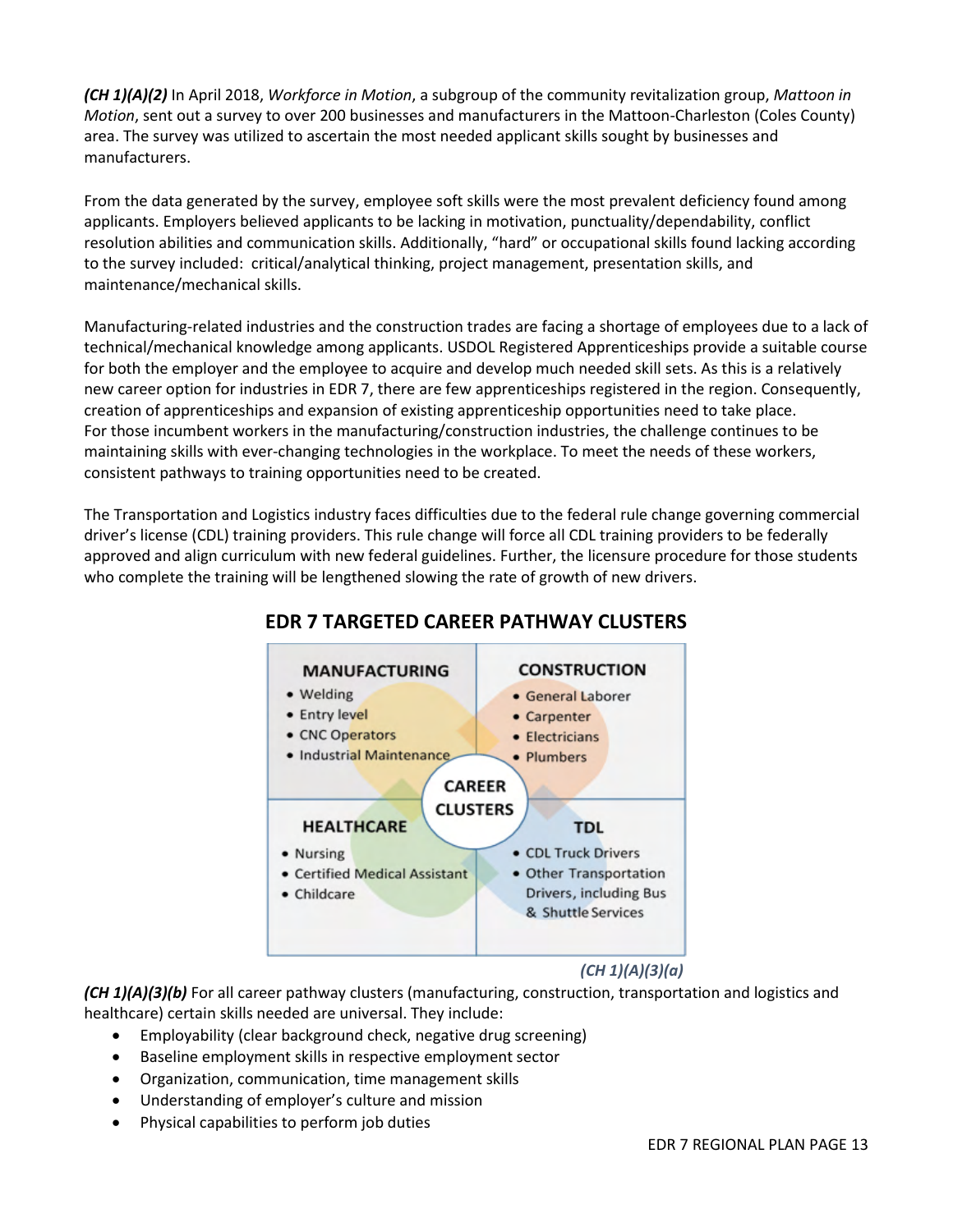*(CH 1)(A)(2)* In April 2018, *Workforce in Motion*, a subgroup of the community revitalization group, *Mattoon in Motion*, sent out a survey to over 200 businesses and manufacturers in the Mattoon-Charleston (Coles County) area. The survey was utilized to ascertain the most needed applicant skills sought by businesses and manufacturers.

From the data generated by the survey, employee soft skills were the most prevalent deficiency found among applicants. Employers believed applicants to be lacking in motivation, punctuality/dependability, conflict resolution abilities and communication skills. Additionally, "hard" or occupational skills found lacking according to the survey included: critical/analytical thinking, project management, presentation skills, and maintenance/mechanical skills.

Manufacturing-related industries and the construction trades are facing a shortage of employees due to a lack of technical/mechanical knowledge among applicants. USDOL Registered Apprenticeships provide a suitable course for both the employer and the employee to acquire and develop much needed skill sets. As this is a relatively new career option for industries in EDR 7, there are few apprenticeships registered in the region. Consequently, creation of apprenticeships and expansion of existing apprenticeship opportunities need to take place. For those incumbent workers in the manufacturing/construction industries, the challenge continues to be maintaining skills with ever-changing technologies in the workplace. To meet the needs of these workers, consistent pathways to training opportunities need to be created.

The Transportation and Logistics industry faces difficulties due to the federal rule change governing commercial driver's license (CDL) training providers. This rule change will force all CDL training providers to be federally approved and align curriculum with new federal guidelines. Further, the licensure procedure for those students who complete the training will be lengthened slowing the rate of growth of new drivers.



# **EDR 7 TARGETED CAREER PATHWAY CLUSTERS**

### *(CH 1)(A)(3)(a)*

*(CH 1)(A)(3)(b)* For all career pathway clusters (manufacturing, construction, transportation and logistics and healthcare) certain skills needed are universal. They include:

- Employability (clear background check, negative drug screening)
- Baseline employment skills in respective employment sector
- Organization, communication, time management skills
- Understanding of employer's culture and mission
- Physical capabilities to perform job duties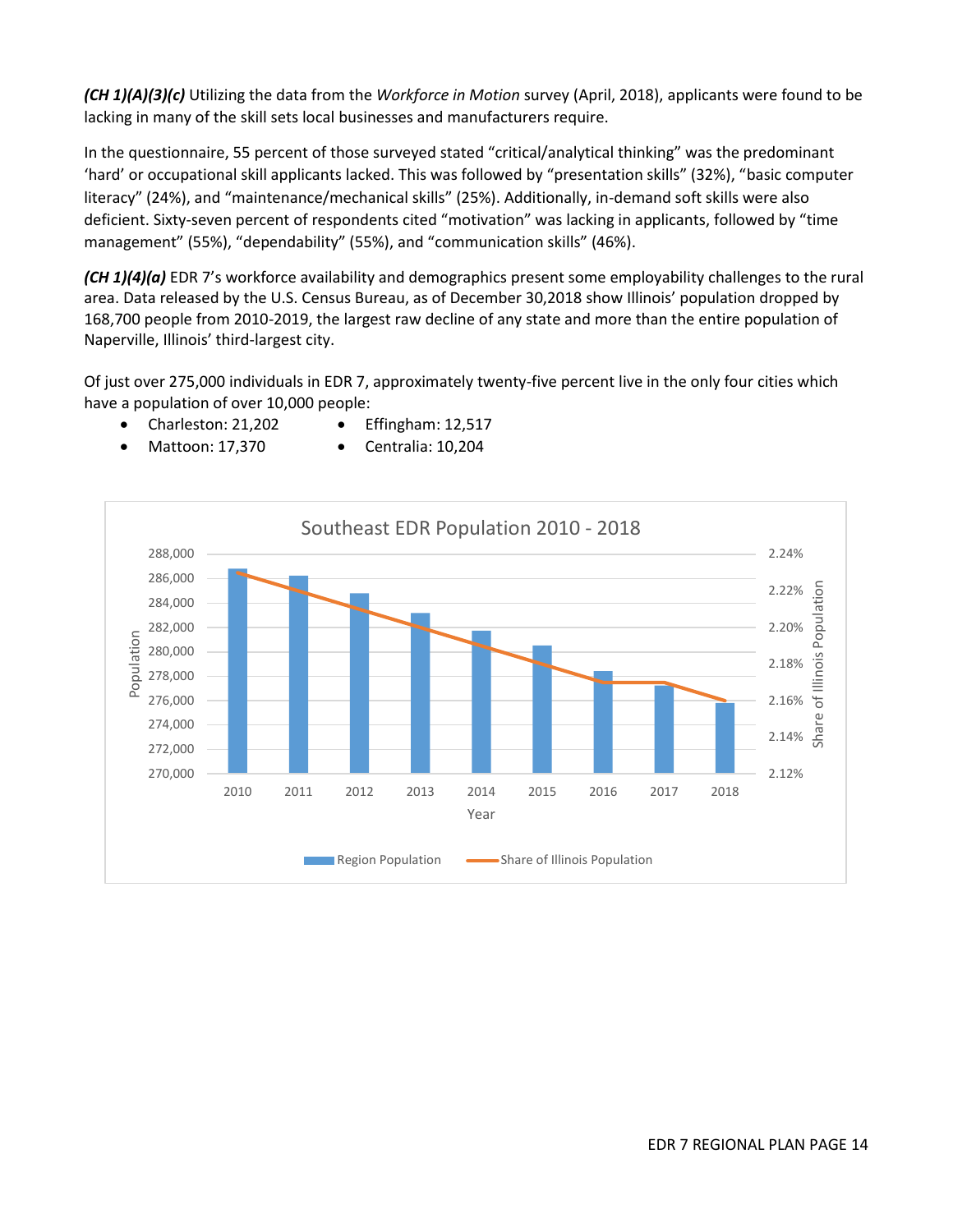*(CH 1)(A)(3)(c)* Utilizing the data from the *Workforce in Motion* survey (April, 2018), applicants were found to be lacking in many of the skill sets local businesses and manufacturers require.

In the questionnaire, 55 percent of those surveyed stated "critical/analytical thinking" was the predominant 'hard' or occupational skill applicants lacked. This was followed by "presentation skills" (32%), "basic computer literacy" (24%), and "maintenance/mechanical skills" (25%). Additionally, in-demand soft skills were also deficient. Sixty-seven percent of respondents cited "motivation" was lacking in applicants, followed by "time management" (55%), "dependability" (55%), and "communication skills" (46%).

*(CH 1)(4)(a)* EDR 7's workforce availability and demographics present some employability challenges to the rural area. Data released by the U.S. Census Bureau, as of December 30,2018 show Illinois' population dropped by 168,700 people from 2010-2019, the largest raw decline of any state and more than the entire population of Naperville, Illinois' third-largest city.

Of just over 275,000 individuals in EDR 7, approximately twenty-five percent live in the only four cities which have a population of over 10,000 people:



- Charleston: 21,202 Mattoon: 17,370
- Effingham: 12,517 Centralia: 10,204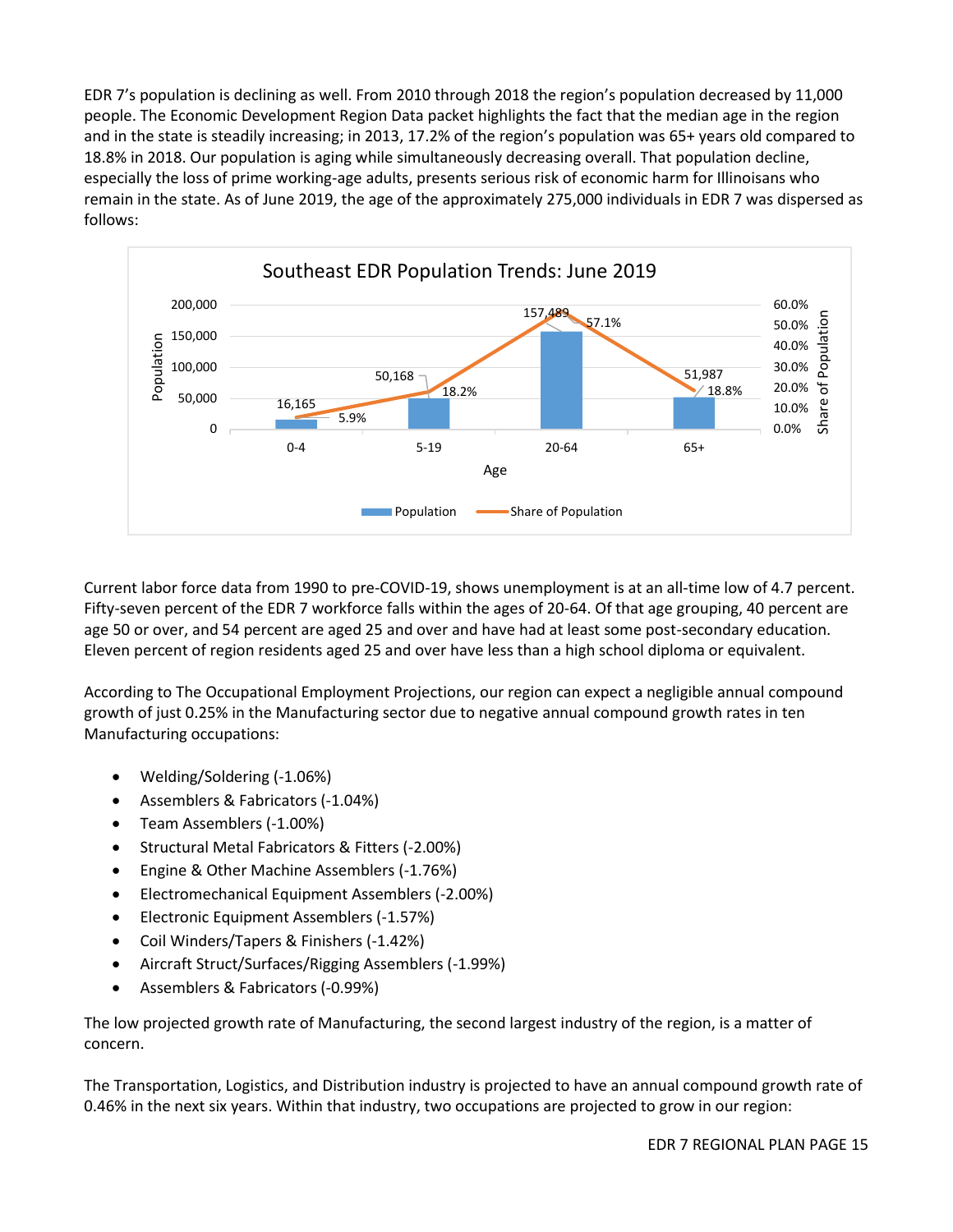EDR 7's population is declining as well. From 2010 through 2018 the region's population decreased by 11,000 people. The Economic Development Region Data packet highlights the fact that the median age in the region and in the state is steadily increasing; in 2013, 17.2% of the region's population was 65+ years old compared to 18.8% in 2018. Our population is aging while simultaneously decreasing overall. That population decline, especially the loss of prime working-age adults, presents serious risk of economic harm for Illinoisans who remain in the state. As of June 2019, the age of the approximately 275,000 individuals in EDR 7 was dispersed as follows:



Current labor force data from 1990 to pre-COVID-19, shows unemployment is at an all-time low of 4.7 percent. Fifty-seven percent of the EDR 7 workforce falls within the ages of 20-64. Of that age grouping, 40 percent are age 50 or over, and 54 percent are aged 25 and over and have had at least some post-secondary education. Eleven percent of region residents aged 25 and over have less than a high school diploma or equivalent.

According to The Occupational Employment Projections, our region can expect a negligible annual compound growth of just 0.25% in the Manufacturing sector due to negative annual compound growth rates in ten Manufacturing occupations:

- Welding/Soldering (-1.06%)
- Assemblers & Fabricators (-1.04%)
- Team Assemblers (-1.00%)
- Structural Metal Fabricators & Fitters (-2.00%)
- Engine & Other Machine Assemblers (-1.76%)
- Electromechanical Equipment Assemblers (-2.00%)
- Electronic Equipment Assemblers (-1.57%)
- Coil Winders/Tapers & Finishers (-1.42%)
- Aircraft Struct/Surfaces/Rigging Assemblers (-1.99%)
- Assemblers & Fabricators (-0.99%)

The low projected growth rate of Manufacturing, the second largest industry of the region, is a matter of concern.

The Transportation, Logistics, and Distribution industry is projected to have an annual compound growth rate of 0.46% in the next six years. Within that industry, two occupations are projected to grow in our region: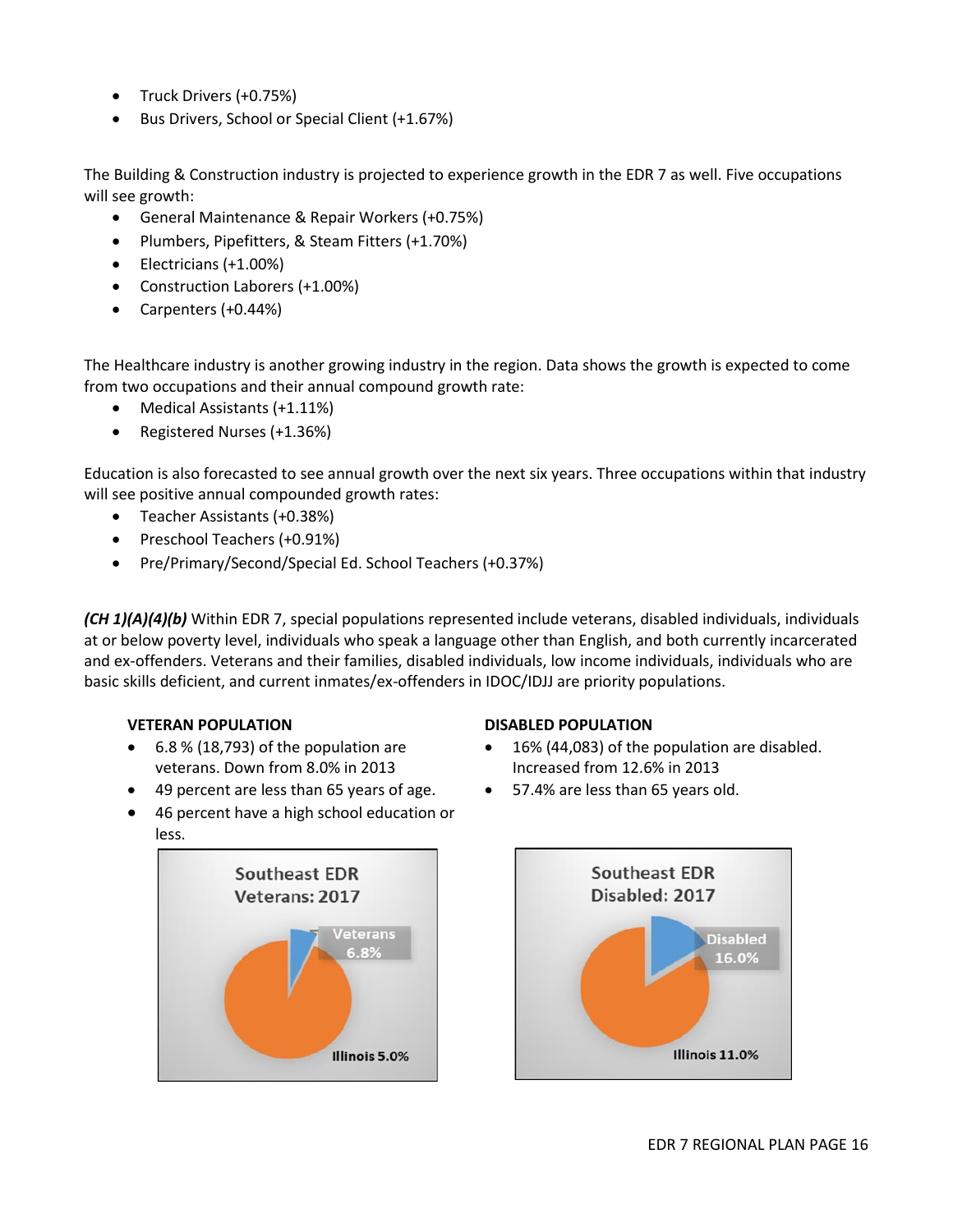- Truck Drivers (+0.75%)
- Bus Drivers, School or Special Client (+1.67%)

The Building & Construction industry is projected to experience growth in the EDR 7 as well. Five occupations will see growth:

- General Maintenance & Repair Workers (+0.75%)
- Plumbers, Pipefitters, & Steam Fitters (+1.70%)
- Electricians (+1.00%)
- Construction Laborers (+1.00%)
- Carpenters (+0.44%)

The Healthcare industry is another growing industry in the region. Data shows the growth is expected to come from two occupations and their annual compound growth rate:

- Medical Assistants (+1.11%)
- Registered Nurses (+1.36%)

Education is also forecasted to see annual growth over the next six years. Three occupations within that industry will see positive annual compounded growth rates:

- Teacher Assistants (+0.38%)
- Preschool Teachers (+0.91%)
- Pre/Primary/Second/Special Ed. School Teachers (+0.37%)

*(CH 1)(A)(4)(b)* Within EDR 7, special populations represented include veterans, disabled individuals, individuals at or below poverty level, individuals who speak a language other than English, and both currently incarcerated and ex-offenders. Veterans and their families, disabled individuals, low income individuals, individuals who are basic skills deficient, and current inmates/ex-offenders in IDOC/IDJJ are priority populations.

#### **VETERAN POPULATION**

- 6.8 % (18,793) of the population are veterans. Down from 8.0% in 2013
- 49 percent are less than 65 years of age.
- 46 percent have a high school education or less.



#### **DISABLED POPULATION**

- 16% (44,083) of the population are disabled. Increased from 12.6% in 2013
- 57.4% are less than 65 years old.

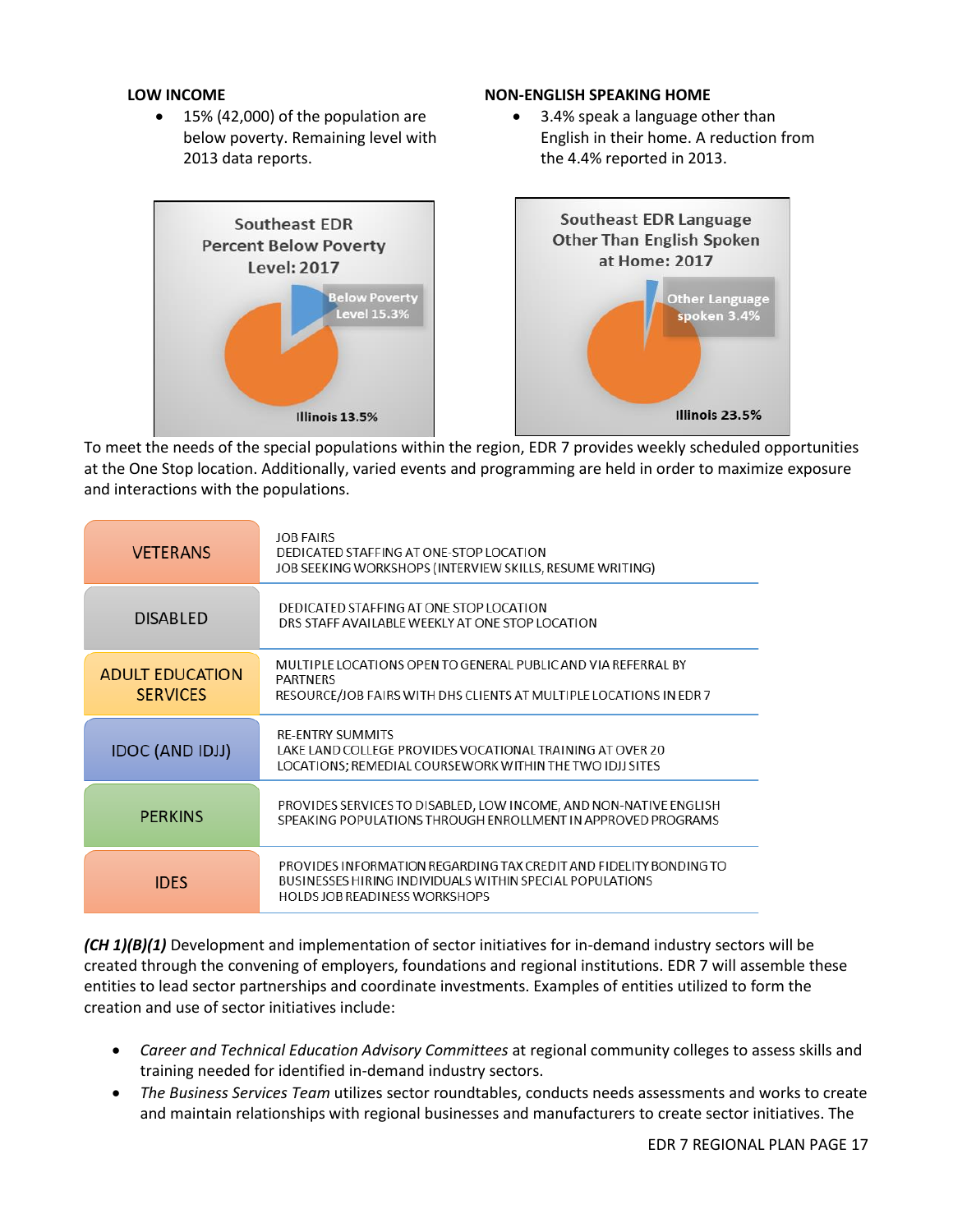#### **LOW INCOME**

• 15% (42,000) of the population are below poverty. Remaining level with 2013 data reports.

#### **NON-ENGLISH SPEAKING HOME**

 3.4% speak a language other than English in their home. A reduction from the 4.4% reported in 2013.



To meet the needs of the special populations within the region, EDR 7 provides weekly scheduled opportunities at the One Stop location. Additionally, varied events and programming are held in order to maximize exposure and interactions with the populations.

| <b>VETERANS</b>                           | <b>JOB FAIRS</b><br>DEDICATED STAFFING AT ONE-STOP LOCATION<br>JOB SEEKING WORKSHOPS (INTERVIEW SKILLS, RESUME WRITING)                                               |
|-------------------------------------------|-----------------------------------------------------------------------------------------------------------------------------------------------------------------------|
| <b>DISABLED</b>                           | DEDICATED STAFFING AT ONE STOP LOCATION<br>DRS STAFF AVAILABLE WEEKLY AT ONE STOP LOCATION                                                                            |
| <b>ADULT EDUCATION</b><br><b>SERVICES</b> | MULTIPLE LOCATIONS OPEN TO GENERAL PUBLIC AND VIA REFERRAL BY<br><b>PARTNERS</b><br>RESOURCE/JOB FAIRS WITH DHS CLIENTS AT MULTIPLE LOCATIONS IN EDR 7                |
| <b>IDOC (AND IDJJ)</b>                    | <b>RE-ENTRY SUMMITS</b><br>LAKE LAND COLLEGE PROVIDES VOCATIONAL TRAINING AT OVER 20<br>LOCATIONS; REMEDIAL COURSEWORK WITHIN THE TWO IDJJ SITES                      |
| <b>PERKINS</b>                            | PROVIDES SERVICES TO DISABLED, LOW INCOME, AND NON-NATIVE ENGLISH<br>SPEAKING POPULATIONS THROUGH ENROLLMENT IN APPROVED PROGRAMS                                     |
| <b>IDES</b>                               | PROVIDES INFORMATION REGARDING TAX CREDIT AND FIDELITY BONDING TO<br>BUSINESSES HIRING INDIVIDUALS WITHIN SPECIAL POPULATIONS<br><b>HOLDS JOB READINESS WORKSHOPS</b> |

*(CH 1)(B)(1)* Development and implementation of sector initiatives for in-demand industry sectors will be created through the convening of employers, foundations and regional institutions. EDR 7 will assemble these entities to lead sector partnerships and coordinate investments. Examples of entities utilized to form the creation and use of sector initiatives include:

- *Career and Technical Education Advisory Committees* at regional community colleges to assess skills and training needed for identified in-demand industry sectors.
- *The Business Services Team* utilizes sector roundtables, conducts needs assessments and works to create and maintain relationships with regional businesses and manufacturers to create sector initiatives. The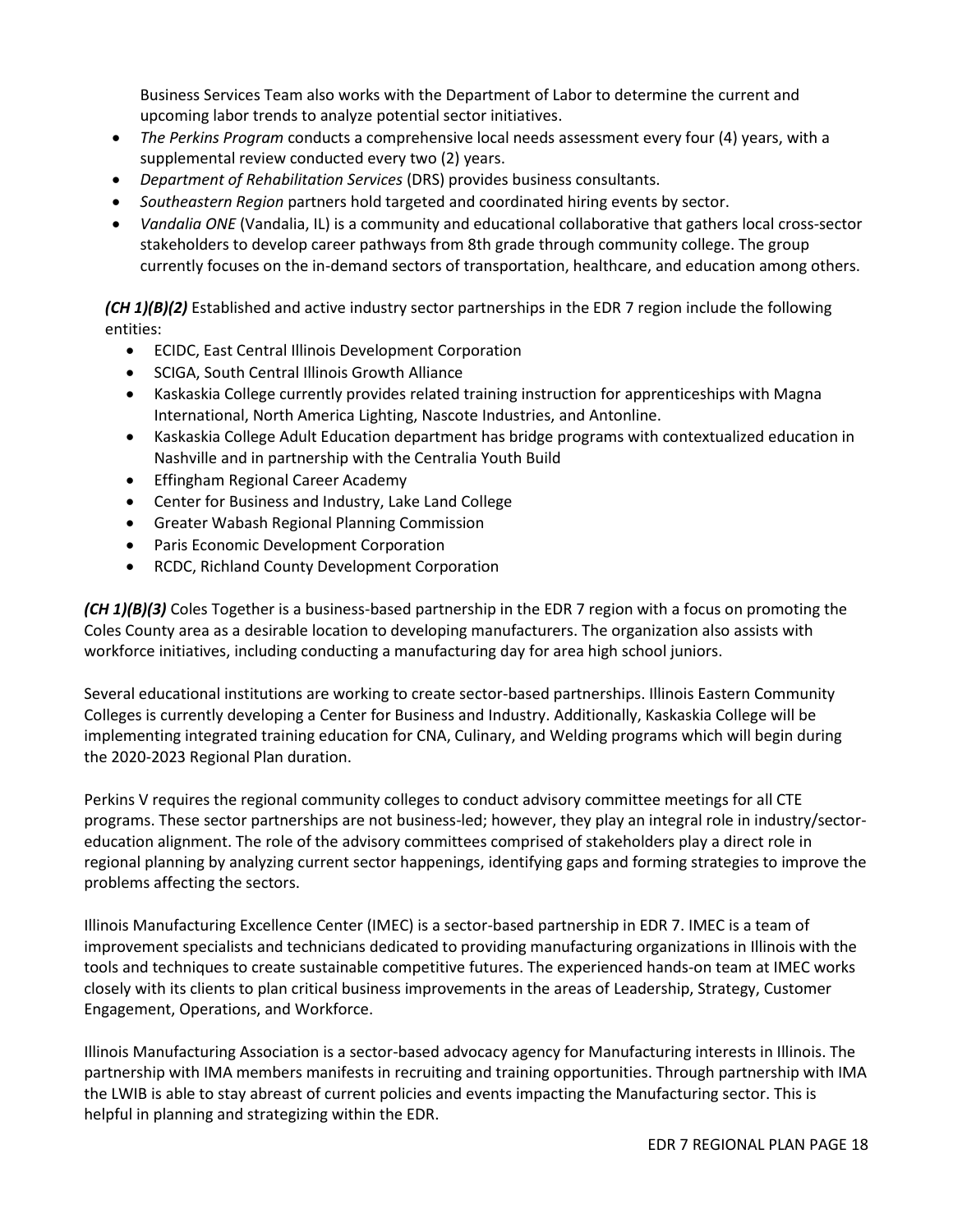Business Services Team also works with the Department of Labor to determine the current and upcoming labor trends to analyze potential sector initiatives.

- *The Perkins Program* conducts a comprehensive local needs assessment every four (4) years, with a supplemental review conducted every two (2) years.
- *Department of Rehabilitation Services* (DRS) provides business consultants.
- *Southeastern Region* partners hold targeted and coordinated hiring events by sector.
- *Vandalia ONE* (Vandalia, IL) is a community and educational collaborative that gathers local cross-sector stakeholders to develop career pathways from 8th grade through community college. The group currently focuses on the in-demand sectors of transportation, healthcare, and education among others.

*(CH 1)(B)(2)* Established and active industry sector partnerships in the EDR 7 region include the following entities:

- ECIDC, East Central Illinois Development Corporation
- SCIGA, South Central Illinois Growth Alliance
- Kaskaskia College currently provides related training instruction for apprenticeships with Magna International, North America Lighting, Nascote Industries, and Antonline.
- Kaskaskia College Adult Education department has bridge programs with contextualized education in Nashville and in partnership with the Centralia Youth Build
- Effingham Regional Career Academy
- Center for Business and Industry, Lake Land College
- Greater Wabash Regional Planning Commission
- Paris Economic Development Corporation
- RCDC, Richland County Development Corporation

*(CH 1)(B)(3)* Coles Together is a business-based partnership in the EDR 7 region with a focus on promoting the Coles County area as a desirable location to developing manufacturers. The organization also assists with workforce initiatives, including conducting a manufacturing day for area high school juniors.

Several educational institutions are working to create sector-based partnerships. Illinois Eastern Community Colleges is currently developing a Center for Business and Industry. Additionally, Kaskaskia College will be implementing integrated training education for CNA, Culinary, and Welding programs which will begin during the 2020-2023 Regional Plan duration.

Perkins V requires the regional community colleges to conduct advisory committee meetings for all CTE programs. These sector partnerships are not business-led; however, they play an integral role in industry/sectoreducation alignment. The role of the advisory committees comprised of stakeholders play a direct role in regional planning by analyzing current sector happenings, identifying gaps and forming strategies to improve the problems affecting the sectors.

Illinois Manufacturing Excellence Center (IMEC) is a sector-based partnership in EDR 7. IMEC is a team of improvement specialists and technicians dedicated to providing manufacturing organizations in Illinois with the tools and techniques to create sustainable competitive futures. The experienced hands-on team at IMEC works closely with its clients to plan critical business improvements in the areas of Leadership, Strategy, Customer Engagement, Operations, and Workforce.

Illinois Manufacturing Association is a sector-based advocacy agency for Manufacturing interests in Illinois. The partnership with IMA members manifests in recruiting and training opportunities. Through partnership with IMA the LWIB is able to stay abreast of current policies and events impacting the Manufacturing sector. This is helpful in planning and strategizing within the EDR.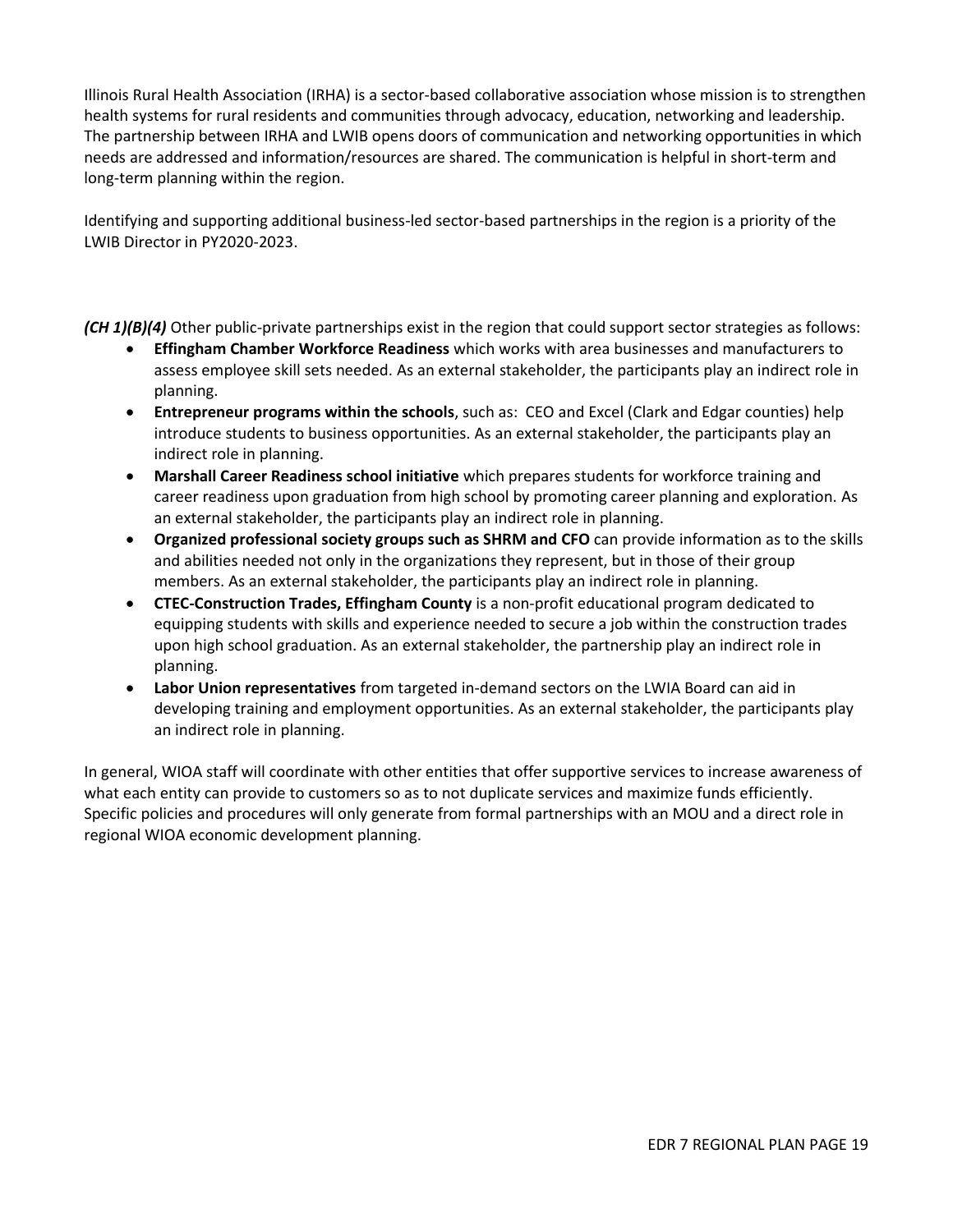Illinois Rural Health Association (IRHA) is a sector-based collaborative association whose mission is to strengthen health systems for rural residents and communities through advocacy, education, networking and leadership. The partnership between IRHA and LWIB opens doors of communication and networking opportunities in which needs are addressed and information/resources are shared. The communication is helpful in short-term and long-term planning within the region.

Identifying and supporting additional business-led sector-based partnerships in the region is a priority of the LWIB Director in PY2020-2023.

*(CH 1)(B)(4)* Other public-private partnerships exist in the region that could support sector strategies as follows:

- **Effingham Chamber Workforce Readiness** which works with area businesses and manufacturers to assess employee skill sets needed. As an external stakeholder, the participants play an indirect role in planning.
- **Entrepreneur programs within the schools**, such as: CEO and Excel (Clark and Edgar counties) help introduce students to business opportunities. As an external stakeholder, the participants play an indirect role in planning.
- **Marshall Career Readiness school initiative** which prepares students for workforce training and career readiness upon graduation from high school by promoting career planning and exploration. As an external stakeholder, the participants play an indirect role in planning.
- **Organized professional society groups such as SHRM and CFO** can provide information as to the skills and abilities needed not only in the organizations they represent, but in those of their group members. As an external stakeholder, the participants play an indirect role in planning.
- **CTEC-Construction Trades, Effingham County** is a non-profit educational program dedicated to equipping students with skills and experience needed to secure a job within the construction trades upon high school graduation. As an external stakeholder, the partnership play an indirect role in planning.
- **Labor Union representatives** from targeted in-demand sectors on the LWIA Board can aid in developing training and employment opportunities. As an external stakeholder, the participants play an indirect role in planning.

In general, WIOA staff will coordinate with other entities that offer supportive services to increase awareness of what each entity can provide to customers so as to not duplicate services and maximize funds efficiently. Specific policies and procedures will only generate from formal partnerships with an MOU and a direct role in regional WIOA economic development planning.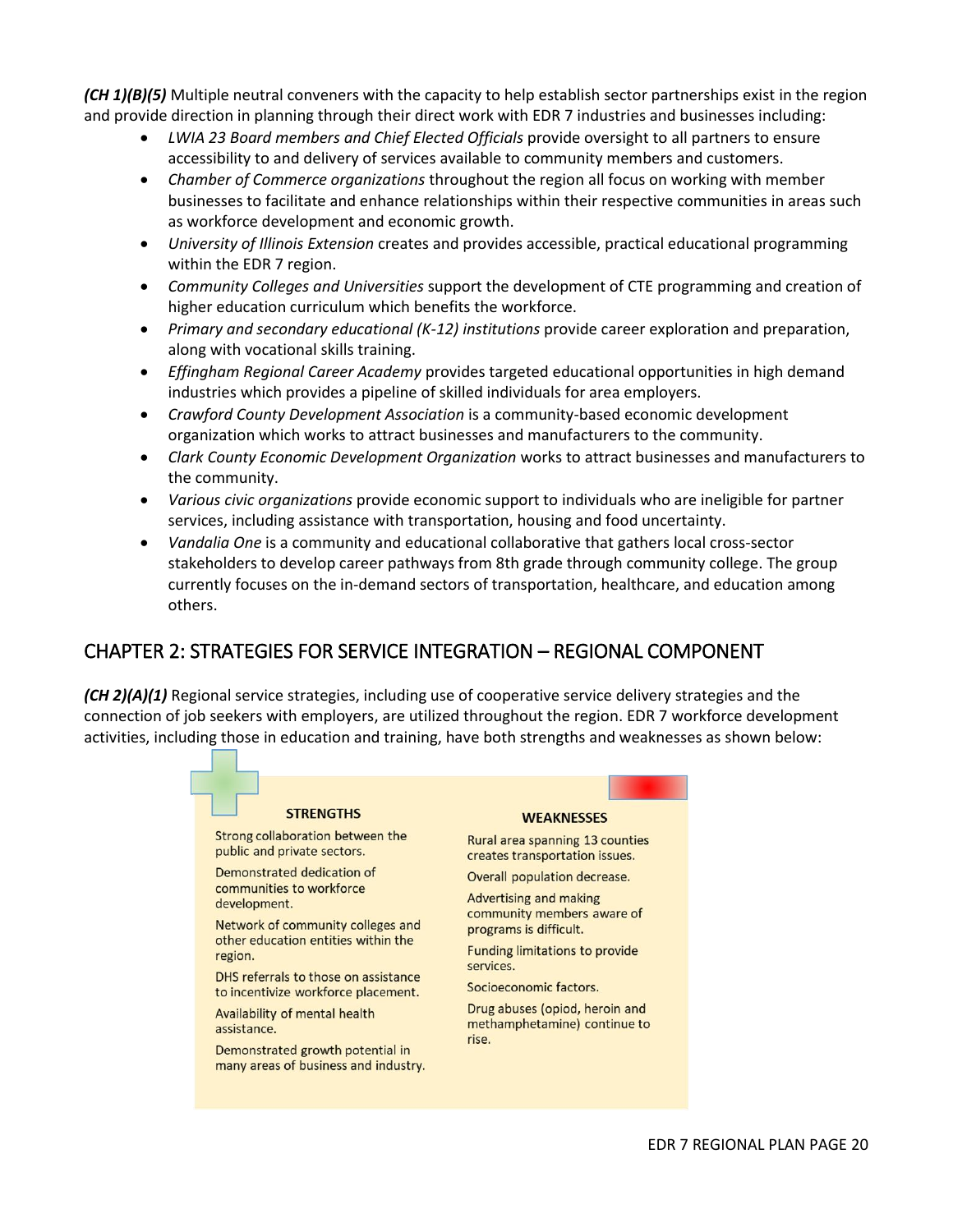*(CH 1)(B)(5)* Multiple neutral conveners with the capacity to help establish sector partnerships exist in the region and provide direction in planning through their direct work with EDR 7 industries and businesses including:

- *LWIA 23 Board members and Chief Elected Officials* provide oversight to all partners to ensure accessibility to and delivery of services available to community members and customers.
- *Chamber of Commerce organizations* throughout the region all focus on working with member businesses to facilitate and enhance relationships within their respective communities in areas such as workforce development and economic growth.
- *University of Illinois Extension* creates and provides accessible, practical educational programming within the EDR 7 region.
- *Community Colleges and Universities* support the development of CTE programming and creation of higher education curriculum which benefits the workforce.
- *Primary and secondary educational (K-12) institutions* provide career exploration and preparation, along with vocational skills training.
- *Effingham Regional Career Academy* provides targeted educational opportunities in high demand industries which provides a pipeline of skilled individuals for area employers.
- *Crawford County Development Association* is a community-based economic development organization which works to attract businesses and manufacturers to the community.
- *Clark County Economic Development Organization* works to attract businesses and manufacturers to the community.
- *Various civic organizations* provide economic support to individuals who are ineligible for partner services, including assistance with transportation, housing and food uncertainty.
- *Vandalia One* is a community and educational collaborative that gathers local cross-sector stakeholders to develop career pathways from 8th grade through community college. The group currently focuses on the in-demand sectors of transportation, healthcare, and education among others.

# CHAPTER 2: STRATEGIES FOR SERVICE INTEGRATION – REGIONAL COMPONENT

*(CH 2)(A)(1)* Regional service strategies, including use of cooperative service delivery strategies and the connection of job seekers with employers, are utilized throughout the region. EDR 7 workforce development activities, including those in education and training, have both strengths and weaknesses as shown below:

#### **STRENGTHS**

Strong collaboration between the public and private sectors.

Demonstrated dedication of communities to workforce development.

Network of community colleges and other education entities within the region.

DHS referrals to those on assistance to incentivize workforce placement.

Availability of mental health assistance.

Demonstrated growth potential in many areas of business and industry.

#### **WEAKNESSES**

Rural area spanning 13 counties creates transportation issues.

Overall population decrease.

**Advertising and making** community members aware of programs is difficult.

**Funding limitations to provide** services.

Socioeconomic factors.

Drug abuses (opiod, heroin and methamphetamine) continue to rise.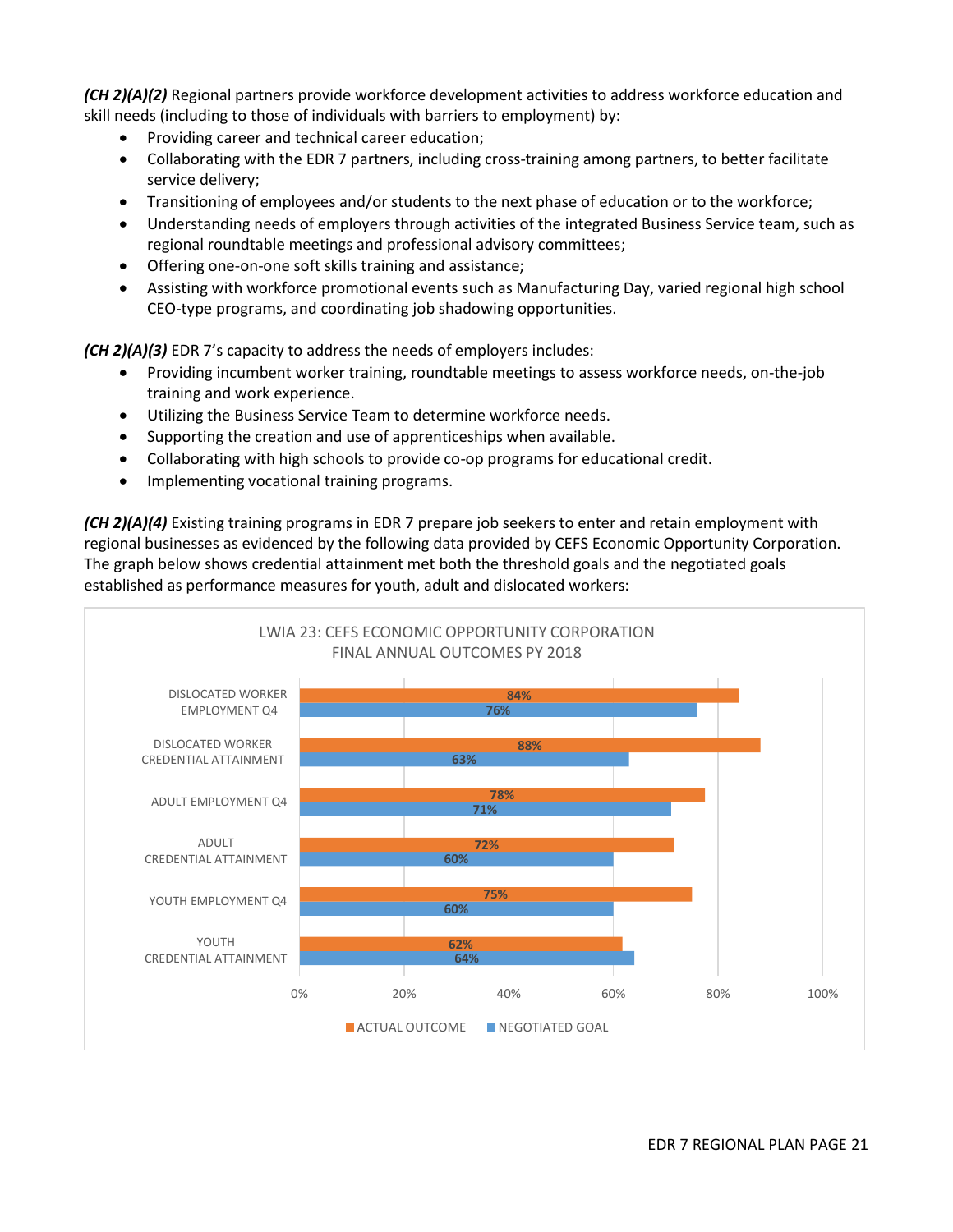*(CH 2)(A)(2)* Regional partners provide workforce development activities to address workforce education and skill needs (including to those of individuals with barriers to employment) by:

- Providing career and technical career education;
- Collaborating with the EDR 7 partners, including cross-training among partners, to better facilitate service delivery;
- Transitioning of employees and/or students to the next phase of education or to the workforce;
- Understanding needs of employers through activities of the integrated Business Service team, such as regional roundtable meetings and professional advisory committees;
- Offering one-on-one soft skills training and assistance;
- Assisting with workforce promotional events such as Manufacturing Day, varied regional high school CEO-type programs, and coordinating job shadowing opportunities.

*(CH 2)(A)(3)* EDR 7's capacity to address the needs of employers includes:

- Providing incumbent worker training, roundtable meetings to assess workforce needs, on-the-job training and work experience.
- Utilizing the Business Service Team to determine workforce needs.
- Supporting the creation and use of apprenticeships when available.
- Collaborating with high schools to provide co-op programs for educational credit.
- Implementing vocational training programs.

*(CH 2)(A)(4)* Existing training programs in EDR 7 prepare job seekers to enter and retain employment with regional businesses as evidenced by the following data provided by CEFS Economic Opportunity Corporation. The graph below shows credential attainment met both the threshold goals and the negotiated goals established as performance measures for youth, adult and dislocated workers:

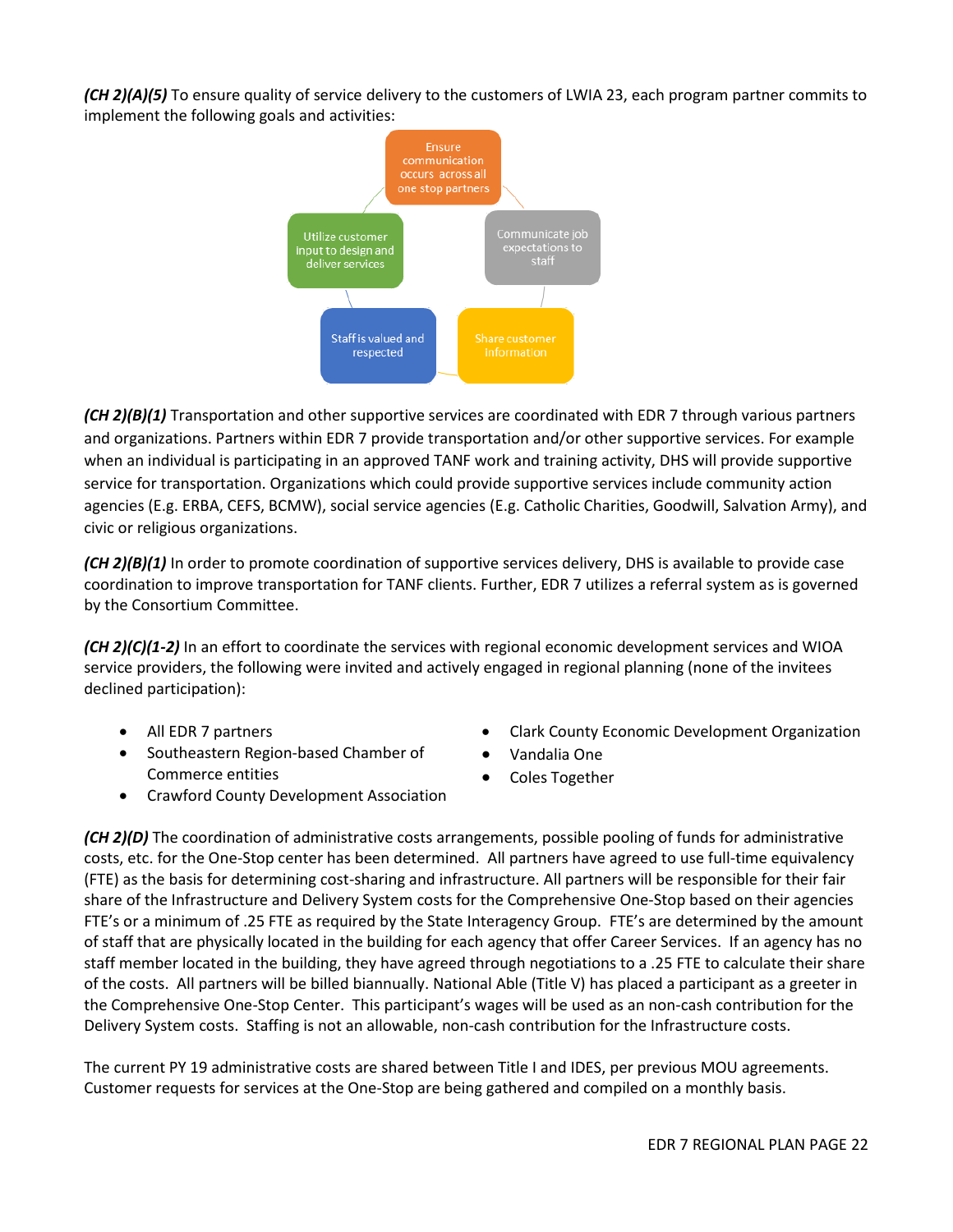*(CH 2)(A)(5)* To ensure quality of service delivery to the customers of LWIA 23, each program partner commits to implement the following goals and activities:



*(CH 2)(B)(1)* Transportation and other supportive services are coordinated with EDR 7 through various partners and organizations. Partners within EDR 7 provide transportation and/or other supportive services. For example when an individual is participating in an approved TANF work and training activity, DHS will provide supportive service for transportation. Organizations which could provide supportive services include community action agencies (E.g. ERBA, CEFS, BCMW), social service agencies (E.g. Catholic Charities, Goodwill, Salvation Army), and civic or religious organizations.

*(CH 2)(B)(1)* In order to promote coordination of supportive services delivery, DHS is available to provide case coordination to improve transportation for TANF clients. Further, EDR 7 utilizes a referral system as is governed by the Consortium Committee.

*(CH 2)(C)(1-2)* In an effort to coordinate the services with regional economic development services and WIOA service providers, the following were invited and actively engaged in regional planning (none of the invitees declined participation):

- All EDR 7 partners
- Southeastern Region-based Chamber of Commerce entities

Crawford County Development Association

- Clark County Economic Development Organization
- Vandalia One
- Coles Together

*(CH 2)(D)* The coordination of administrative costs arrangements, possible pooling of funds for administrative costs, etc. for the One-Stop center has been determined. All partners have agreed to use full-time equivalency (FTE) as the basis for determining cost-sharing and infrastructure. All partners will be responsible for their fair share of the Infrastructure and Delivery System costs for the Comprehensive One-Stop based on their agencies FTE's or a minimum of .25 FTE as required by the State Interagency Group. FTE's are determined by the amount of staff that are physically located in the building for each agency that offer Career Services. If an agency has no staff member located in the building, they have agreed through negotiations to a .25 FTE to calculate their share of the costs. All partners will be billed biannually. National Able (Title V) has placed a participant as a greeter in the Comprehensive One-Stop Center. This participant's wages will be used as an non-cash contribution for the Delivery System costs. Staffing is not an allowable, non-cash contribution for the Infrastructure costs.

The current PY 19 administrative costs are shared between Title I and IDES, per previous MOU agreements. Customer requests for services at the One-Stop are being gathered and compiled on a monthly basis.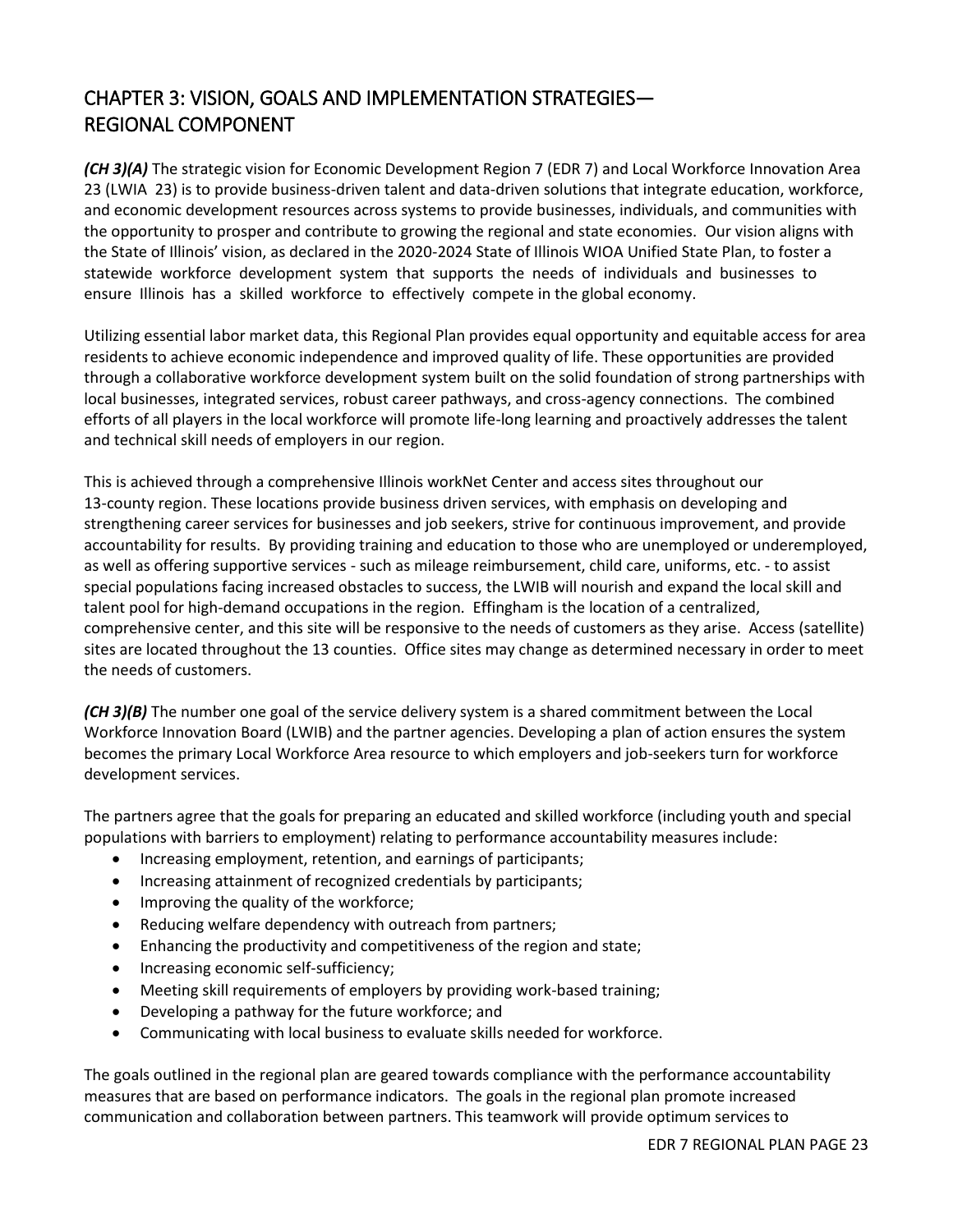# CHAPTER 3: VISION, GOALS AND IMPLEMENTATION STRATEGIES— REGIONAL COMPONENT

*(CH 3)(A)* The strategic vision for Economic Development Region 7 (EDR 7) and Local Workforce Innovation Area 23 (LWIA 23) is to provide business-driven talent and data-driven solutions that integrate education, workforce, and economic development resources across systems to provide businesses, individuals, and communities with the opportunity to prosper and contribute to growing the regional and state economies. Our vision aligns with the State of Illinois' vision, as declared in the 2020-2024 State of Illinois WIOA Unified State Plan, to foster a statewide workforce development system that supports the needs of individuals and businesses to ensure Illinois has a skilled workforce to effectively compete in the global economy.

Utilizing essential labor market data, this Regional Plan provides equal opportunity and equitable access for area residents to achieve economic independence and improved quality of life. These opportunities are provided through a collaborative workforce development system built on the solid foundation of strong partnerships with local businesses, integrated services, robust career pathways, and cross-agency connections. The combined efforts of all players in the local workforce will promote life-long learning and proactively addresses the talent and technical skill needs of employers in our region.

This is achieved through a comprehensive Illinois workNet Center and access sites throughout our 13-county region. These locations provide business driven services, with emphasis on developing and strengthening career services for businesses and job seekers, strive for continuous improvement, and provide accountability for results. By providing training and education to those who are unemployed or underemployed, as well as offering supportive services - such as mileage reimbursement, child care, uniforms, etc. - to assist special populations facing increased obstacles to success, the LWIB will nourish and expand the local skill and talent pool for high-demand occupations in the region. Effingham is the location of a centralized, comprehensive center, and this site will be responsive to the needs of customers as they arise. Access (satellite) sites are located throughout the 13 counties. Office sites may change as determined necessary in order to meet the needs of customers.

*(CH 3)(B)* The number one goal of the service delivery system is a shared commitment between the Local Workforce Innovation Board (LWIB) and the partner agencies. Developing a plan of action ensures the system becomes the primary Local Workforce Area resource to which employers and job-seekers turn for workforce development services.

The partners agree that the goals for preparing an educated and skilled workforce (including youth and special populations with barriers to employment) relating to performance accountability measures include:

- Increasing employment, retention, and earnings of participants;
- Increasing attainment of recognized credentials by participants;
- Improving the quality of the workforce;
- Reducing welfare dependency with outreach from partners;
- Enhancing the productivity and competitiveness of the region and state;
- Increasing economic self-sufficiency;
- Meeting skill requirements of employers by providing work-based training;
- Developing a pathway for the future workforce; and
- Communicating with local business to evaluate skills needed for workforce.

The goals outlined in the regional plan are geared towards compliance with the performance accountability measures that are based on performance indicators. The goals in the regional plan promote increased communication and collaboration between partners. This teamwork will provide optimum services to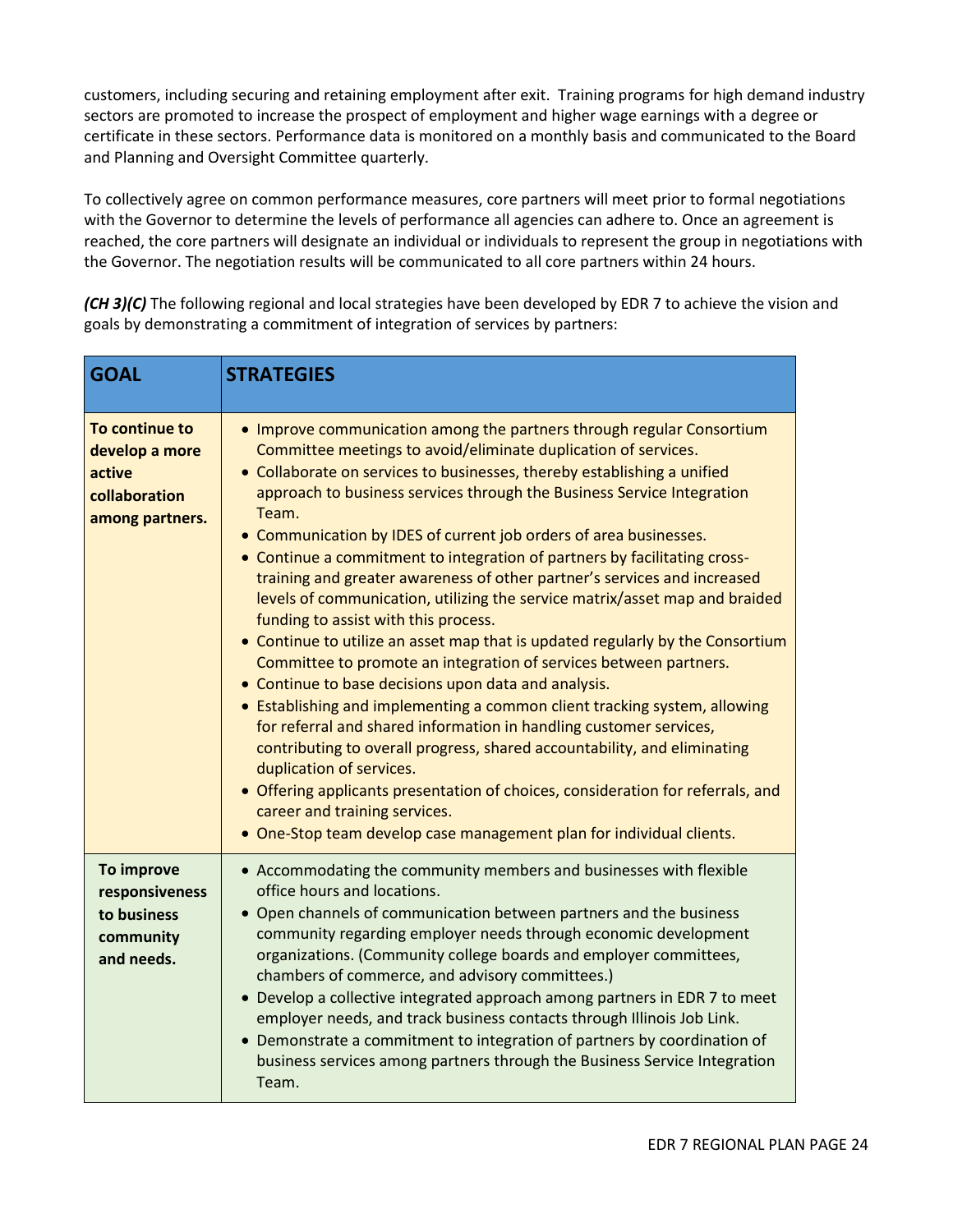customers, including securing and retaining employment after exit. Training programs for high demand industry sectors are promoted to increase the prospect of employment and higher wage earnings with a degree or certificate in these sectors. Performance data is monitored on a monthly basis and communicated to the Board and Planning and Oversight Committee quarterly.

To collectively agree on common performance measures, core partners will meet prior to formal negotiations with the Governor to determine the levels of performance all agencies can adhere to. Once an agreement is reached, the core partners will designate an individual or individuals to represent the group in negotiations with the Governor. The negotiation results will be communicated to all core partners within 24 hours.

*(CH 3)(C)* The following regional and local strategies have been developed by EDR 7 to achieve the vision and goals by demonstrating a commitment of integration of services by partners:

| <b>GOAL</b>                                                                    | <b>STRATEGIES</b>                                                                                                                                                                                                                                                                                                                                                                                                                                                                                                                                                                                                                                                                                                                                                                                                                                                                                                                                                                                                                                                                                                                                                                                                                                                                                                                |
|--------------------------------------------------------------------------------|----------------------------------------------------------------------------------------------------------------------------------------------------------------------------------------------------------------------------------------------------------------------------------------------------------------------------------------------------------------------------------------------------------------------------------------------------------------------------------------------------------------------------------------------------------------------------------------------------------------------------------------------------------------------------------------------------------------------------------------------------------------------------------------------------------------------------------------------------------------------------------------------------------------------------------------------------------------------------------------------------------------------------------------------------------------------------------------------------------------------------------------------------------------------------------------------------------------------------------------------------------------------------------------------------------------------------------|
| To continue to<br>develop a more<br>active<br>collaboration<br>among partners. | • Improve communication among the partners through regular Consortium<br>Committee meetings to avoid/eliminate duplication of services.<br>• Collaborate on services to businesses, thereby establishing a unified<br>approach to business services through the Business Service Integration<br>Team.<br>• Communication by IDES of current job orders of area businesses.<br>• Continue a commitment to integration of partners by facilitating cross-<br>training and greater awareness of other partner's services and increased<br>levels of communication, utilizing the service matrix/asset map and braided<br>funding to assist with this process.<br>• Continue to utilize an asset map that is updated regularly by the Consortium<br>Committee to promote an integration of services between partners.<br>• Continue to base decisions upon data and analysis.<br>• Establishing and implementing a common client tracking system, allowing<br>for referral and shared information in handling customer services,<br>contributing to overall progress, shared accountability, and eliminating<br>duplication of services.<br>• Offering applicants presentation of choices, consideration for referrals, and<br>career and training services.<br>• One-Stop team develop case management plan for individual clients. |
| To improve<br>responsiveness<br>to business<br>community<br>and needs.         | • Accommodating the community members and businesses with flexible<br>office hours and locations.<br>• Open channels of communication between partners and the business<br>community regarding employer needs through economic development<br>organizations. (Community college boards and employer committees,<br>chambers of commerce, and advisory committees.)<br>• Develop a collective integrated approach among partners in EDR 7 to meet<br>employer needs, and track business contacts through Illinois Job Link.<br>• Demonstrate a commitment to integration of partners by coordination of<br>business services among partners through the Business Service Integration<br>Team.                                                                                                                                                                                                                                                                                                                                                                                                                                                                                                                                                                                                                                     |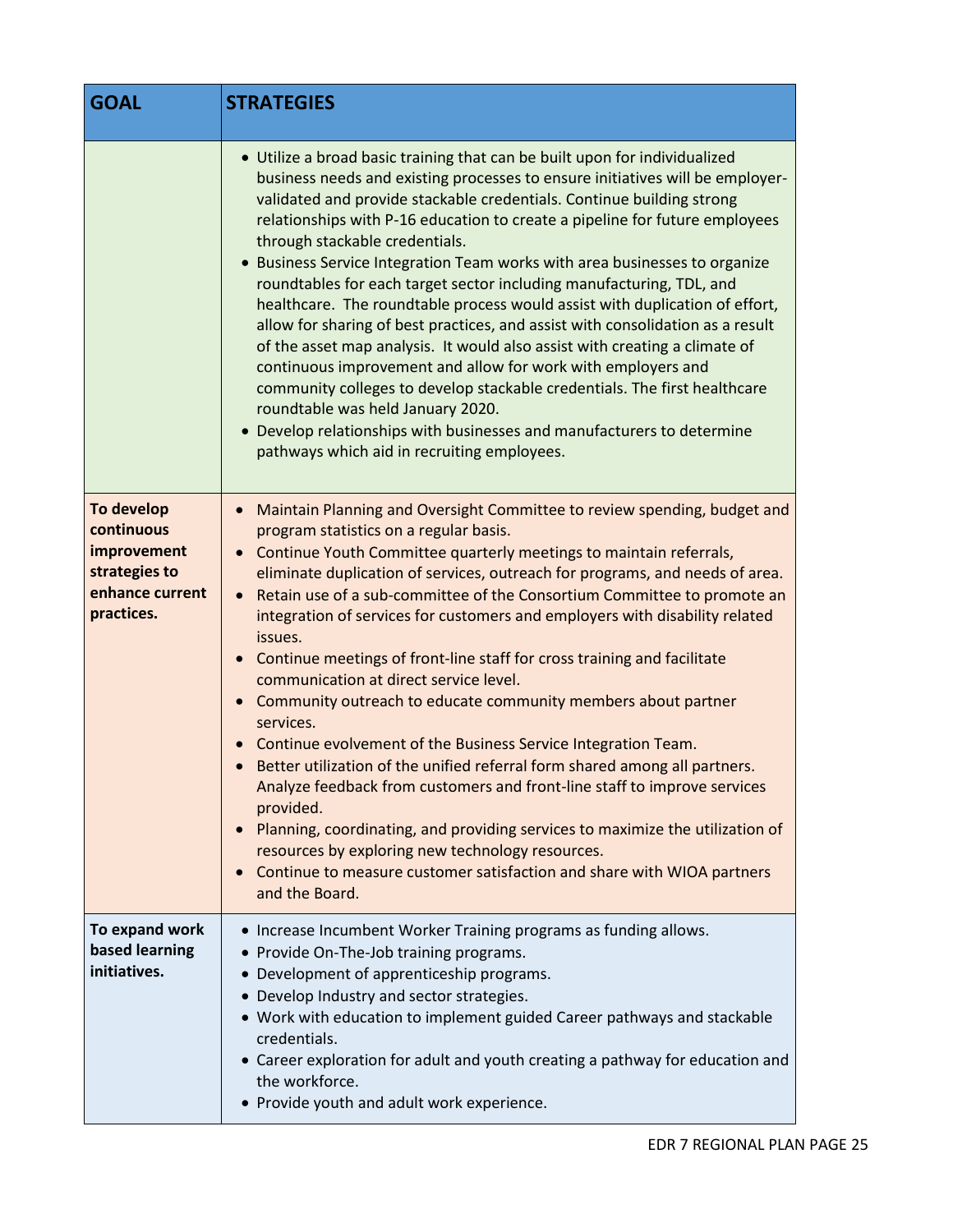| <b>GOAL</b>                                                                               | <b>STRATEGIES</b>                                                                                                                                                                                                                                                                                                                                                                                                                                                                                                                                                                                                                                                                                                                                                                                                                                                                                                                                                                                                                                                                                                                                                  |
|-------------------------------------------------------------------------------------------|--------------------------------------------------------------------------------------------------------------------------------------------------------------------------------------------------------------------------------------------------------------------------------------------------------------------------------------------------------------------------------------------------------------------------------------------------------------------------------------------------------------------------------------------------------------------------------------------------------------------------------------------------------------------------------------------------------------------------------------------------------------------------------------------------------------------------------------------------------------------------------------------------------------------------------------------------------------------------------------------------------------------------------------------------------------------------------------------------------------------------------------------------------------------|
|                                                                                           | • Utilize a broad basic training that can be built upon for individualized<br>business needs and existing processes to ensure initiatives will be employer-<br>validated and provide stackable credentials. Continue building strong<br>relationships with P-16 education to create a pipeline for future employees<br>through stackable credentials.<br>• Business Service Integration Team works with area businesses to organize<br>roundtables for each target sector including manufacturing, TDL, and<br>healthcare. The roundtable process would assist with duplication of effort,<br>allow for sharing of best practices, and assist with consolidation as a result<br>of the asset map analysis. It would also assist with creating a climate of<br>continuous improvement and allow for work with employers and<br>community colleges to develop stackable credentials. The first healthcare<br>roundtable was held January 2020.<br>• Develop relationships with businesses and manufacturers to determine<br>pathways which aid in recruiting employees.                                                                                              |
| To develop<br>continuous<br>improvement<br>strategies to<br>enhance current<br>practices. | Maintain Planning and Oversight Committee to review spending, budget and<br>$\bullet$<br>program statistics on a regular basis.<br>Continue Youth Committee quarterly meetings to maintain referrals,<br>eliminate duplication of services, outreach for programs, and needs of area.<br>Retain use of a sub-committee of the Consortium Committee to promote an<br>$\bullet$<br>integration of services for customers and employers with disability related<br>issues.<br>Continue meetings of front-line staff for cross training and facilitate<br>$\bullet$<br>communication at direct service level.<br>Community outreach to educate community members about partner<br>services.<br>Continue evolvement of the Business Service Integration Team.<br>• Better utilization of the unified referral form shared among all partners.<br>Analyze feedback from customers and front-line staff to improve services<br>provided.<br>Planning, coordinating, and providing services to maximize the utilization of<br>resources by exploring new technology resources.<br>Continue to measure customer satisfaction and share with WIOA partners<br>and the Board. |
| To expand work<br>based learning<br>initiatives.                                          | • Increase Incumbent Worker Training programs as funding allows.<br>• Provide On-The-Job training programs.<br>• Development of apprenticeship programs.<br>Develop Industry and sector strategies.<br>• Work with education to implement guided Career pathways and stackable<br>credentials.<br>• Career exploration for adult and youth creating a pathway for education and<br>the workforce.<br>• Provide youth and adult work experience.                                                                                                                                                                                                                                                                                                                                                                                                                                                                                                                                                                                                                                                                                                                    |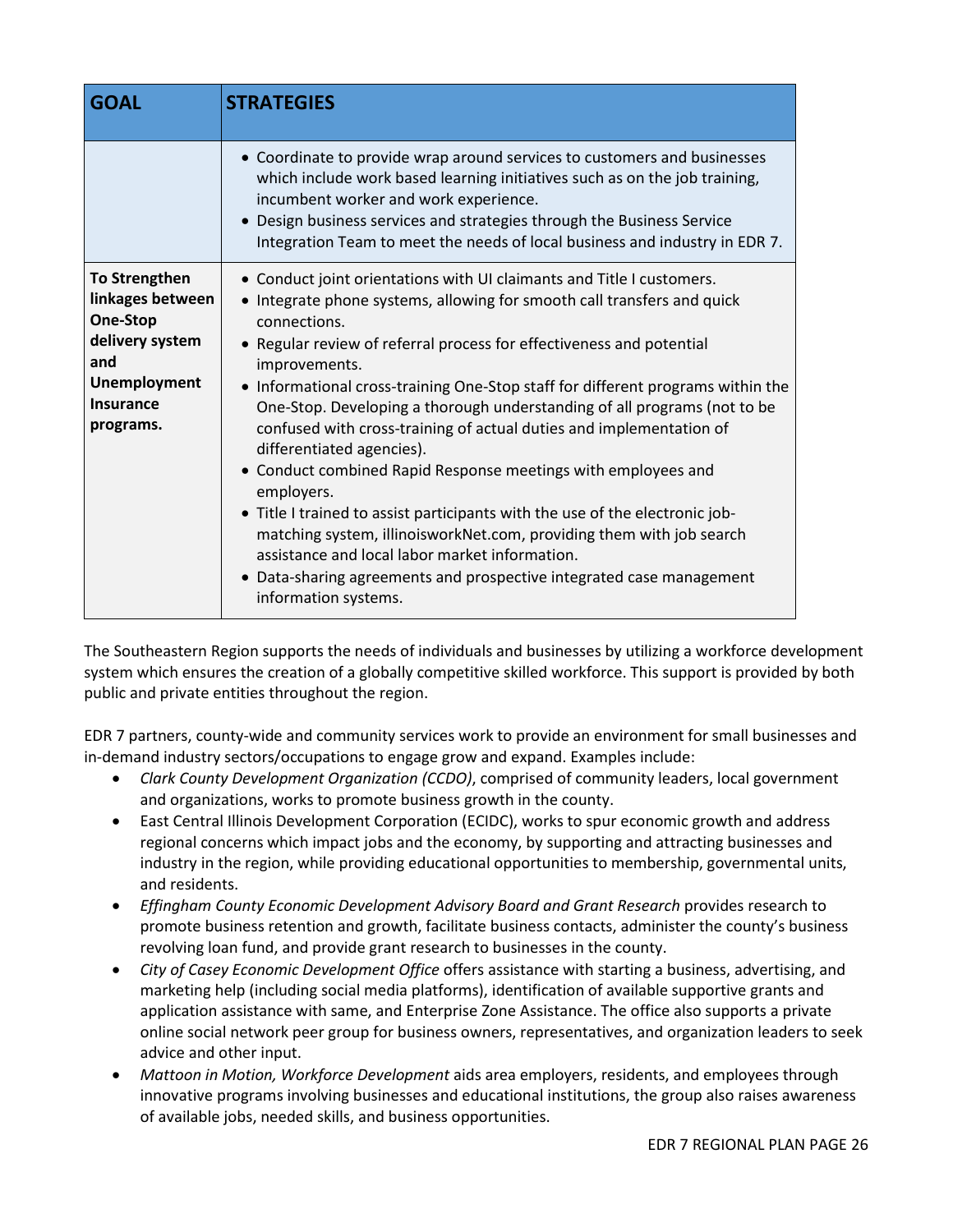| <b>GOAL</b>                                                                                                                            | <b>STRATEGIES</b>                                                                                                                                                                                                                                                                                                                                                                                                                                                                                                                                                                                                                                                                                                                                                                                                                                                                                                     |
|----------------------------------------------------------------------------------------------------------------------------------------|-----------------------------------------------------------------------------------------------------------------------------------------------------------------------------------------------------------------------------------------------------------------------------------------------------------------------------------------------------------------------------------------------------------------------------------------------------------------------------------------------------------------------------------------------------------------------------------------------------------------------------------------------------------------------------------------------------------------------------------------------------------------------------------------------------------------------------------------------------------------------------------------------------------------------|
|                                                                                                                                        | • Coordinate to provide wrap around services to customers and businesses<br>which include work based learning initiatives such as on the job training,<br>incumbent worker and work experience.<br>• Design business services and strategies through the Business Service<br>Integration Team to meet the needs of local business and industry in EDR 7.                                                                                                                                                                                                                                                                                                                                                                                                                                                                                                                                                              |
| <b>To Strengthen</b><br>linkages between<br>One-Stop<br>delivery system<br>and<br><b>Unemployment</b><br><b>Insurance</b><br>programs. | • Conduct joint orientations with UI claimants and Title I customers.<br>• Integrate phone systems, allowing for smooth call transfers and quick<br>connections.<br>• Regular review of referral process for effectiveness and potential<br>improvements.<br>• Informational cross-training One-Stop staff for different programs within the<br>One-Stop. Developing a thorough understanding of all programs (not to be<br>confused with cross-training of actual duties and implementation of<br>differentiated agencies).<br>• Conduct combined Rapid Response meetings with employees and<br>employers.<br>• Title I trained to assist participants with the use of the electronic job-<br>matching system, illinoisworkNet.com, providing them with job search<br>assistance and local labor market information.<br>• Data-sharing agreements and prospective integrated case management<br>information systems. |

The Southeastern Region supports the needs of individuals and businesses by utilizing a workforce development system which ensures the creation of a globally competitive skilled workforce. This support is provided by both public and private entities throughout the region.

EDR 7 partners, county-wide and community services work to provide an environment for small businesses and in-demand industry sectors/occupations to engage grow and expand. Examples include:

- *Clark County Development Organization (CCDO)*, comprised of community leaders, local government and organizations, works to promote business growth in the county.
- East Central Illinois Development Corporation (ECIDC), works to spur economic growth and address regional concerns which impact jobs and the economy, by supporting and attracting businesses and industry in the region, while providing educational opportunities to membership, governmental units, and residents.
- *Effingham County Economic Development Advisory Board and Grant Research* provides research to promote business retention and growth, facilitate business contacts, administer the county's business revolving loan fund, and provide grant research to businesses in the county.
- *City of Casey Economic Development Office* offers assistance with starting a business, advertising, and marketing help (including social media platforms), identification of available supportive grants and application assistance with same, and Enterprise Zone Assistance. The office also supports a private online social network peer group for business owners, representatives, and organization leaders to seek advice and other input.
- *Mattoon in Motion, Workforce Development* aids area employers, residents, and employees through innovative programs involving businesses and educational institutions, the group also raises awareness of available jobs, needed skills, and business opportunities.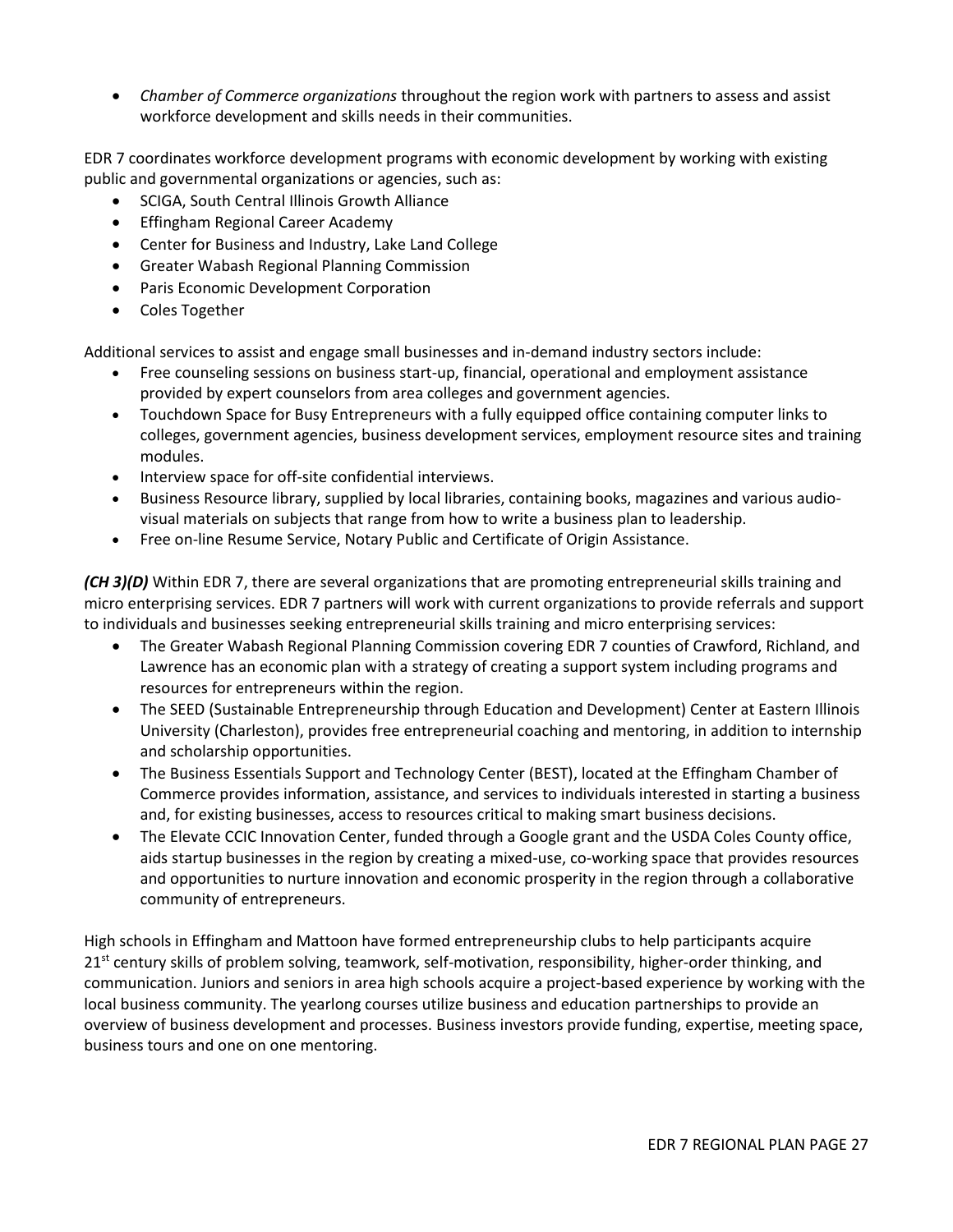*Chamber of Commerce organizations* throughout the region work with partners to assess and assist workforce development and skills needs in their communities.

EDR 7 coordinates workforce development programs with economic development by working with existing public and governmental organizations or agencies, such as:

- SCIGA, South Central Illinois Growth Alliance
- Effingham Regional Career Academy
- Center for Business and Industry, Lake Land College
- Greater Wabash Regional Planning Commission
- **•** Paris Economic Development Corporation
- Coles Together

Additional services to assist and engage small businesses and in-demand industry sectors include:

- Free counseling sessions on business start-up, financial, operational and employment assistance provided by expert counselors from area colleges and government agencies.
- Touchdown Space for Busy Entrepreneurs with a fully equipped office containing computer links to colleges, government agencies, business development services, employment resource sites and training modules.
- Interview space for off-site confidential interviews.
- Business Resource library, supplied by local libraries, containing books, magazines and various audiovisual materials on subjects that range from how to write a business plan to leadership.
- Free on-line Resume Service, Notary Public and Certificate of Origin Assistance.

*(CH 3)(D)* Within EDR 7, there are several organizations that are promoting entrepreneurial skills training and micro enterprising services. EDR 7 partners will work with current organizations to provide referrals and support to individuals and businesses seeking entrepreneurial skills training and micro enterprising services:

- The Greater Wabash Regional Planning Commission covering EDR 7 counties of Crawford, Richland, and Lawrence has an economic plan with a strategy of creating a support system including programs and resources for entrepreneurs within the region.
- The SEED (Sustainable Entrepreneurship through Education and Development) Center at Eastern Illinois University (Charleston), provides free entrepreneurial coaching and mentoring, in addition to internship and scholarship opportunities.
- The Business Essentials Support and Technology Center (BEST), located at the Effingham Chamber of Commerce provides information, assistance, and services to individuals interested in starting a business and, for existing businesses, access to resources critical to making smart business decisions.
- The Elevate CCIC Innovation Center, funded through a Google grant and the USDA Coles County office, aids startup businesses in the region by creating a mixed-use, co-working space that provides resources and opportunities to nurture innovation and economic prosperity in the region through a collaborative community of entrepreneurs.

High schools in Effingham and Mattoon have formed entrepreneurship clubs to help participants acquire  $21<sup>st</sup>$  century skills of problem solving, teamwork, self-motivation, responsibility, higher-order thinking, and communication. Juniors and seniors in area high schools acquire a project-based experience by working with the local business community. The yearlong courses utilize business and education partnerships to provide an overview of business development and processes. Business investors provide funding, expertise, meeting space, business tours and one on one mentoring.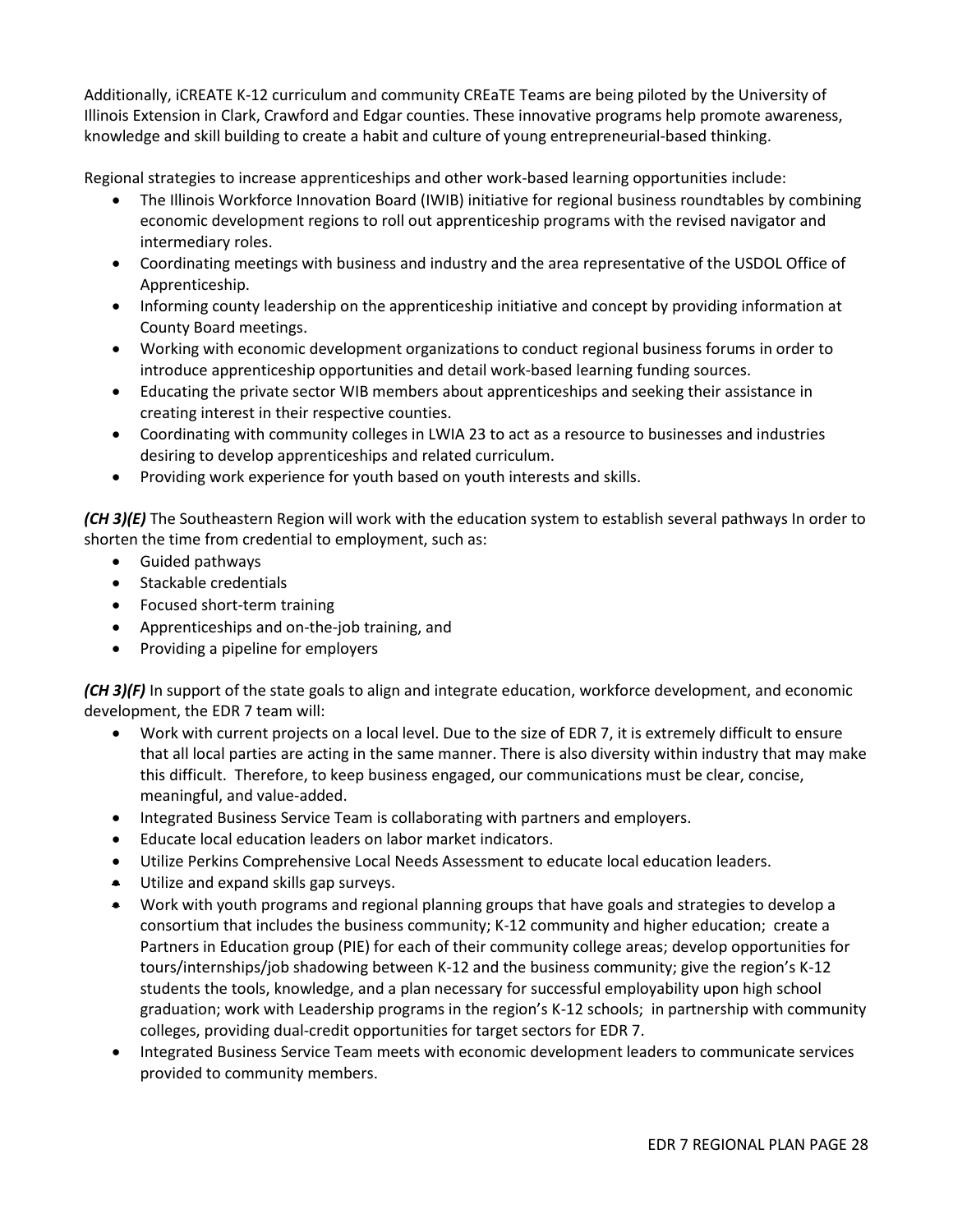Additionally, iCREATE K-12 curriculum and community CREaTE Teams are being piloted by the University of Illinois Extension in Clark, Crawford and Edgar counties. These innovative programs help promote awareness, knowledge and skill building to create a habit and culture of young entrepreneurial-based thinking.

Regional strategies to increase apprenticeships and other work-based learning opportunities include:

- The Illinois Workforce Innovation Board (IWIB) initiative for regional business roundtables by combining economic development regions to roll out apprenticeship programs with the revised navigator and intermediary roles.
- Coordinating meetings with business and industry and the area representative of the USDOL Office of Apprenticeship.
- Informing county leadership on the apprenticeship initiative and concept by providing information at County Board meetings.
- Working with economic development organizations to conduct regional business forums in order to introduce apprenticeship opportunities and detail work-based learning funding sources.
- Educating the private sector WIB members about apprenticeships and seeking their assistance in creating interest in their respective counties.
- Coordinating with community colleges in LWIA 23 to act as a resource to businesses and industries desiring to develop apprenticeships and related curriculum.
- Providing work experience for youth based on youth interests and skills.

*(CH 3)(E)* The Southeastern Region will work with the education system to establish several pathways In order to shorten the time from credential to employment, such as:

- Guided pathways
- Stackable credentials
- Focused short-term training
- Apprenticeships and on-the-job training, and
- Providing a pipeline for employers

*(CH 3)(F)* In support of the state goals to align and integrate education, workforce development, and economic development, the EDR 7 team will:

- Work with current projects on a local level. Due to the size of EDR 7, it is extremely difficult to ensure that all local parties are acting in the same manner. There is also diversity within industry that may make this difficult. Therefore, to keep business engaged, our communications must be clear, concise, meaningful, and value-added.
- Integrated Business Service Team is collaborating with partners and employers.
- Educate local education leaders on labor market indicators.
- Utilize Perkins Comprehensive Local Needs Assessment to educate local education leaders.
- **Utilize and expand skills gap surveys.**
- Work with youth programs and regional planning groups that have goals and strategies to develop a consortium that includes the business community; K-12 community and higher education; create a Partners in Education group (PIE) for each of their community college areas; develop opportunities for tours/internships/job shadowing between K-12 and the business community; give the region's K-12 students the tools, knowledge, and a plan necessary for successful employability upon high school graduation; work with Leadership programs in the region's K-12 schools; in partnership with community colleges, providing dual-credit opportunities for target sectors for EDR 7.
- Integrated Business Service Team meets with economic development leaders to communicate services provided to community members.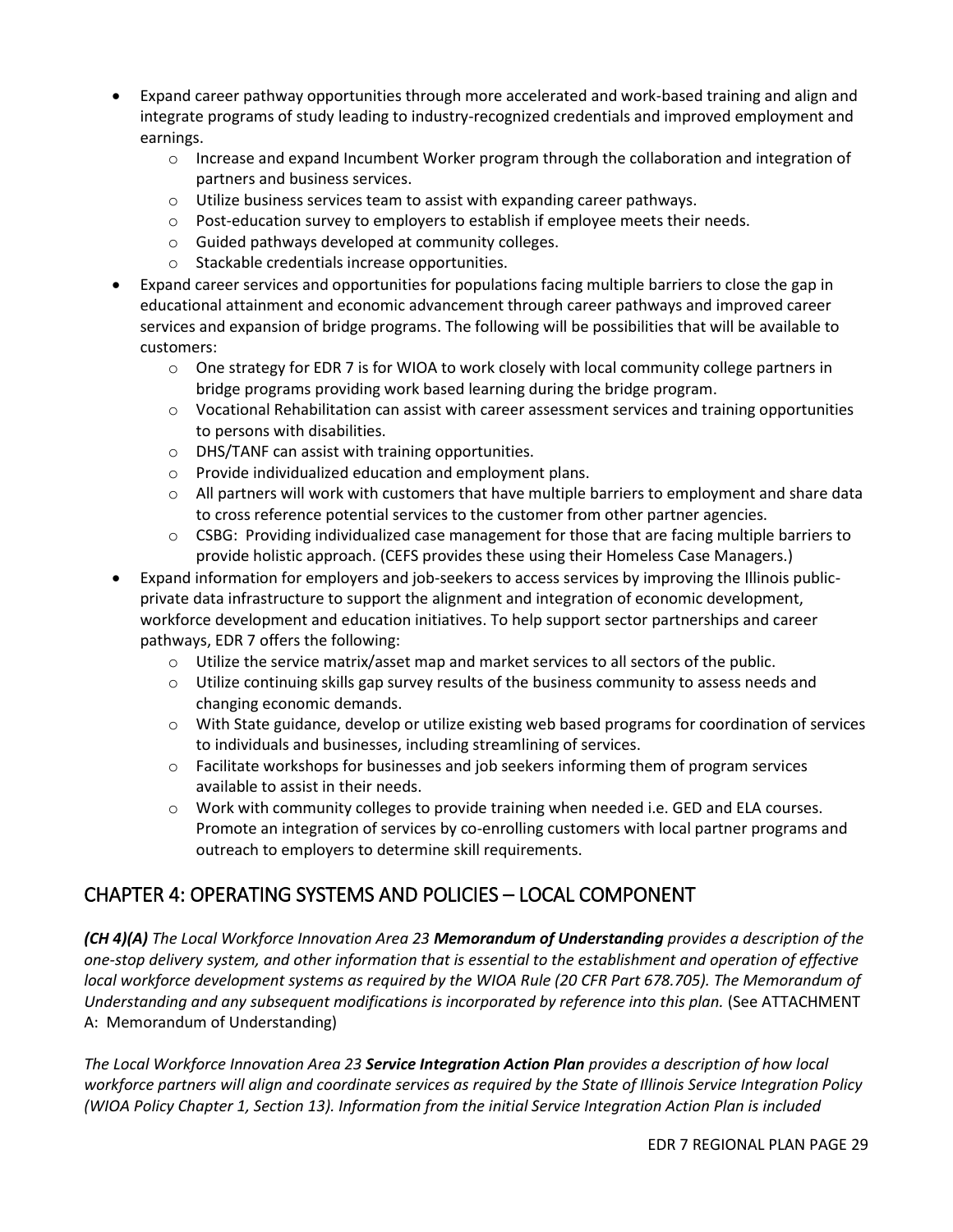- Expand career pathway opportunities through more accelerated and work-based training and align and integrate programs of study leading to industry-recognized credentials and improved employment and earnings.
	- $\circ$  Increase and expand Incumbent Worker program through the collaboration and integration of partners and business services.
	- o Utilize business services team to assist with expanding career pathways.
	- $\circ$  Post-education survey to employers to establish if employee meets their needs.
	- o Guided pathways developed at community colleges.
	- o Stackable credentials increase opportunities.
- Expand career services and opportunities for populations facing multiple barriers to close the gap in educational attainment and economic advancement through career pathways and improved career services and expansion of bridge programs. The following will be possibilities that will be available to customers:
	- $\circ$  One strategy for EDR 7 is for WIOA to work closely with local community college partners in bridge programs providing work based learning during the bridge program.
	- o Vocational Rehabilitation can assist with career assessment services and training opportunities to persons with disabilities.
	- o DHS/TANF can assist with training opportunities.
	- o Provide individualized education and employment plans.
	- o All partners will work with customers that have multiple barriers to employment and share data to cross reference potential services to the customer from other partner agencies.
	- $\circ$  CSBG: Providing individualized case management for those that are facing multiple barriers to provide holistic approach. (CEFS provides these using their Homeless Case Managers.)
- Expand information for employers and job-seekers to access services by improving the Illinois publicprivate data infrastructure to support the alignment and integration of economic development, workforce development and education initiatives. To help support sector partnerships and career pathways, EDR 7 offers the following:
	- $\circ$  Utilize the service matrix/asset map and market services to all sectors of the public.
	- $\circ$  Utilize continuing skills gap survey results of the business community to assess needs and changing economic demands.
	- o With State guidance, develop or utilize existing web based programs for coordination of services to individuals and businesses, including streamlining of services.
	- $\circ$  Facilitate workshops for businesses and job seekers informing them of program services available to assist in their needs.
	- o Work with community colleges to provide training when needed i.e. GED and ELA courses. Promote an integration of services by co-enrolling customers with local partner programs and outreach to employers to determine skill requirements.

### CHAPTER 4: OPERATING SYSTEMS AND POLICIES – LOCAL COMPONENT

*(CH 4)(A) The Local Workforce Innovation Area 23 Memorandum of Understanding provides a description of the one-stop delivery system, and other information that is essential to the establishment and operation of effective local workforce development systems as required by the WIOA Rule (20 CFR Part 678.705). The Memorandum of*  Understanding and any subsequent modifications is incorporated by reference into this plan. (See ATTACHMENT A: Memorandum of Understanding)

*The Local Workforce Innovation Area 23 Service Integration Action Plan provides a description of how local workforce partners will align and coordinate services as required by the State of Illinois Service Integration Policy (WIOA Policy Chapter 1, Section 13). Information from the initial Service Integration Action Plan is included*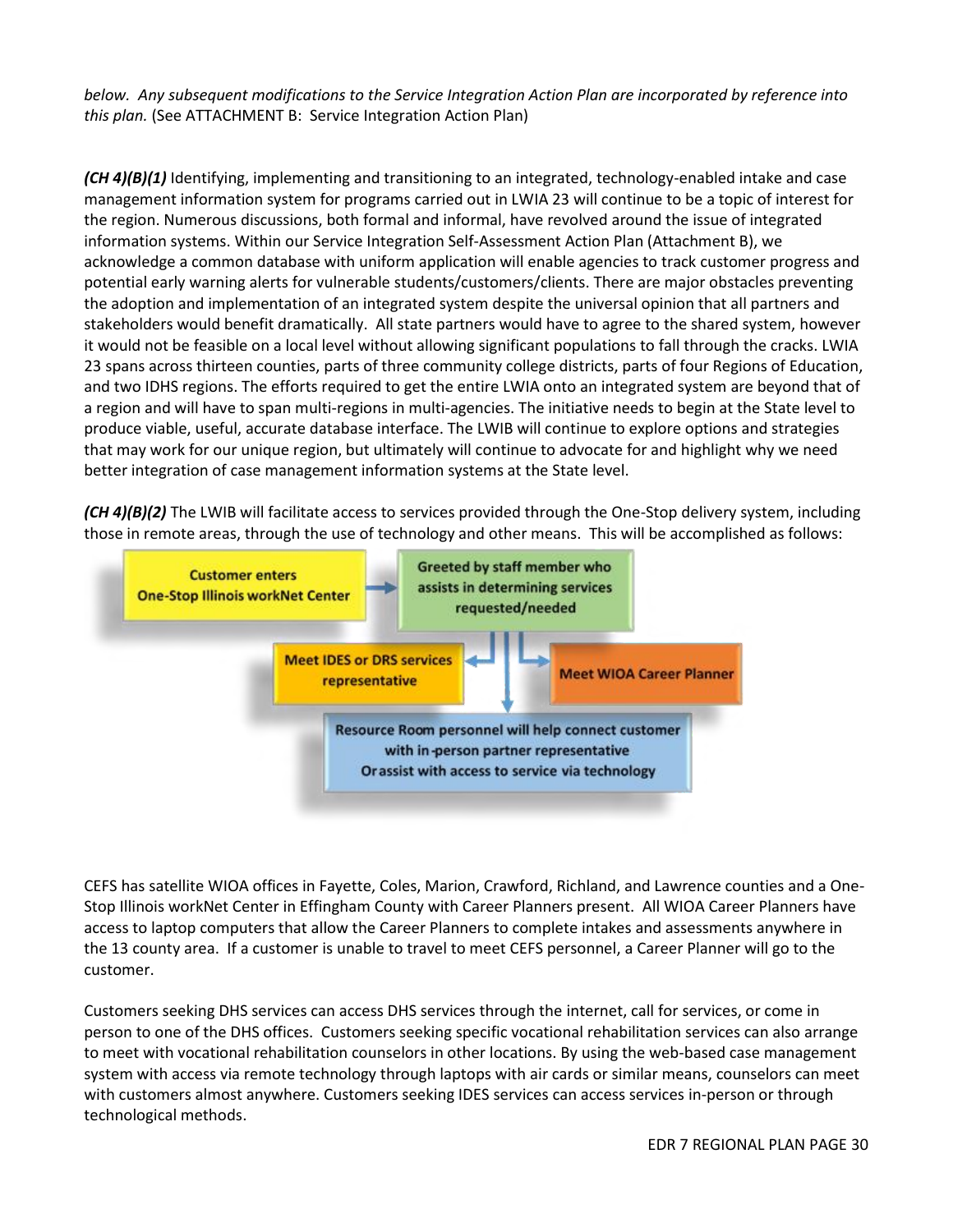*below. Any subsequent modifications to the Service Integration Action Plan are incorporated by reference into this plan.* (See ATTACHMENT B: Service Integration Action Plan)

*(CH 4)(B)(1)* Identifying, implementing and transitioning to an integrated, technology-enabled intake and case management information system for programs carried out in LWIA 23 will continue to be a topic of interest for the region. Numerous discussions, both formal and informal, have revolved around the issue of integrated information systems. Within our Service Integration Self-Assessment Action Plan (Attachment B), we acknowledge a common database with uniform application will enable agencies to track customer progress and potential early warning alerts for vulnerable students/customers/clients. There are major obstacles preventing the adoption and implementation of an integrated system despite the universal opinion that all partners and stakeholders would benefit dramatically. All state partners would have to agree to the shared system, however it would not be feasible on a local level without allowing significant populations to fall through the cracks. LWIA 23 spans across thirteen counties, parts of three community college districts, parts of four Regions of Education, and two IDHS regions. The efforts required to get the entire LWIA onto an integrated system are beyond that of a region and will have to span multi-regions in multi-agencies. The initiative needs to begin at the State level to produce viable, useful, accurate database interface. The LWIB will continue to explore options and strategies that may work for our unique region, but ultimately will continue to advocate for and highlight why we need better integration of case management information systems at the State level.

*(CH 4)(B)(2)* The LWIB will facilitate access to services provided through the One-Stop delivery system, including those in remote areas, through the use of technology and other means. This will be accomplished as follows:



CEFS has satellite WIOA offices in Fayette, Coles, Marion, Crawford, Richland, and Lawrence counties and a One-Stop Illinois workNet Center in Effingham County with Career Planners present. All WIOA Career Planners have access to laptop computers that allow the Career Planners to complete intakes and assessments anywhere in the 13 county area. If a customer is unable to travel to meet CEFS personnel, a Career Planner will go to the customer.

Customers seeking DHS services can access DHS services through the internet, call for services, or come in person to one of the DHS offices. Customers seeking specific vocational rehabilitation services can also arrange to meet with vocational rehabilitation counselors in other locations. By using the web-based case management system with access via remote technology through laptops with air cards or similar means, counselors can meet with customers almost anywhere. Customers seeking IDES services can access services in-person or through technological methods.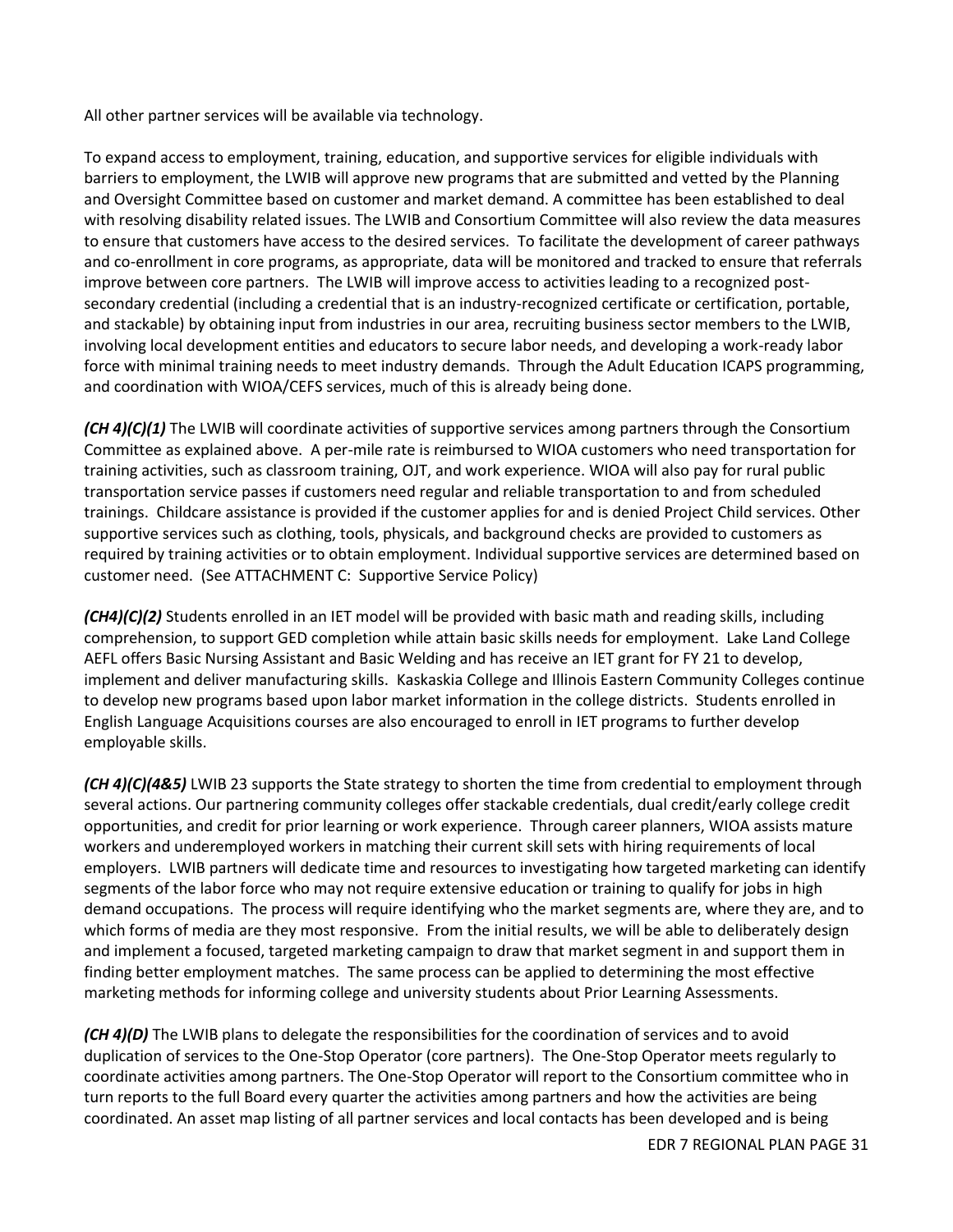All other partner services will be available via technology.

To expand access to employment, training, education, and supportive services for eligible individuals with barriers to employment, the LWIB will approve new programs that are submitted and vetted by the Planning and Oversight Committee based on customer and market demand. A committee has been established to deal with resolving disability related issues. The LWIB and Consortium Committee will also review the data measures to ensure that customers have access to the desired services. To facilitate the development of career pathways and co-enrollment in core programs, as appropriate, data will be monitored and tracked to ensure that referrals improve between core partners. The LWIB will improve access to activities leading to a recognized postsecondary credential (including a credential that is an industry-recognized certificate or certification, portable, and stackable) by obtaining input from industries in our area, recruiting business sector members to the LWIB, involving local development entities and educators to secure labor needs, and developing a work-ready labor force with minimal training needs to meet industry demands. Through the Adult Education ICAPS programming, and coordination with WIOA/CEFS services, much of this is already being done.

*(CH 4)(C)(1)* The LWIB will coordinate activities of supportive services among partners through the Consortium Committee as explained above. A per-mile rate is reimbursed to WIOA customers who need transportation for training activities, such as classroom training, OJT, and work experience. WIOA will also pay for rural public transportation service passes if customers need regular and reliable transportation to and from scheduled trainings. Childcare assistance is provided if the customer applies for and is denied Project Child services. Other supportive services such as clothing, tools, physicals, and background checks are provided to customers as required by training activities or to obtain employment. Individual supportive services are determined based on customer need. (See ATTACHMENT C: Supportive Service Policy)

*(CH4)(C)(2)* Students enrolled in an IET model will be provided with basic math and reading skills, including comprehension, to support GED completion while attain basic skills needs for employment. Lake Land College AEFL offers Basic Nursing Assistant and Basic Welding and has receive an IET grant for FY 21 to develop, implement and deliver manufacturing skills. Kaskaskia College and Illinois Eastern Community Colleges continue to develop new programs based upon labor market information in the college districts. Students enrolled in English Language Acquisitions courses are also encouraged to enroll in IET programs to further develop employable skills.

*(CH 4)(C)(4&5)* LWIB 23 supports the State strategy to shorten the time from credential to employment through several actions. Our partnering community colleges offer stackable credentials, dual credit/early college credit opportunities, and credit for prior learning or work experience. Through career planners, WIOA assists mature workers and underemployed workers in matching their current skill sets with hiring requirements of local employers. LWIB partners will dedicate time and resources to investigating how targeted marketing can identify segments of the labor force who may not require extensive education or training to qualify for jobs in high demand occupations. The process will require identifying who the market segments are, where they are, and to which forms of media are they most responsive. From the initial results, we will be able to deliberately design and implement a focused, targeted marketing campaign to draw that market segment in and support them in finding better employment matches. The same process can be applied to determining the most effective marketing methods for informing college and university students about Prior Learning Assessments.

*(CH 4)(D)* The LWIB plans to delegate the responsibilities for the coordination of services and to avoid duplication of services to the One-Stop Operator (core partners). The One-Stop Operator meets regularly to coordinate activities among partners. The One-Stop Operator will report to the Consortium committee who in turn reports to the full Board every quarter the activities among partners and how the activities are being coordinated. An asset map listing of all partner services and local contacts has been developed and is being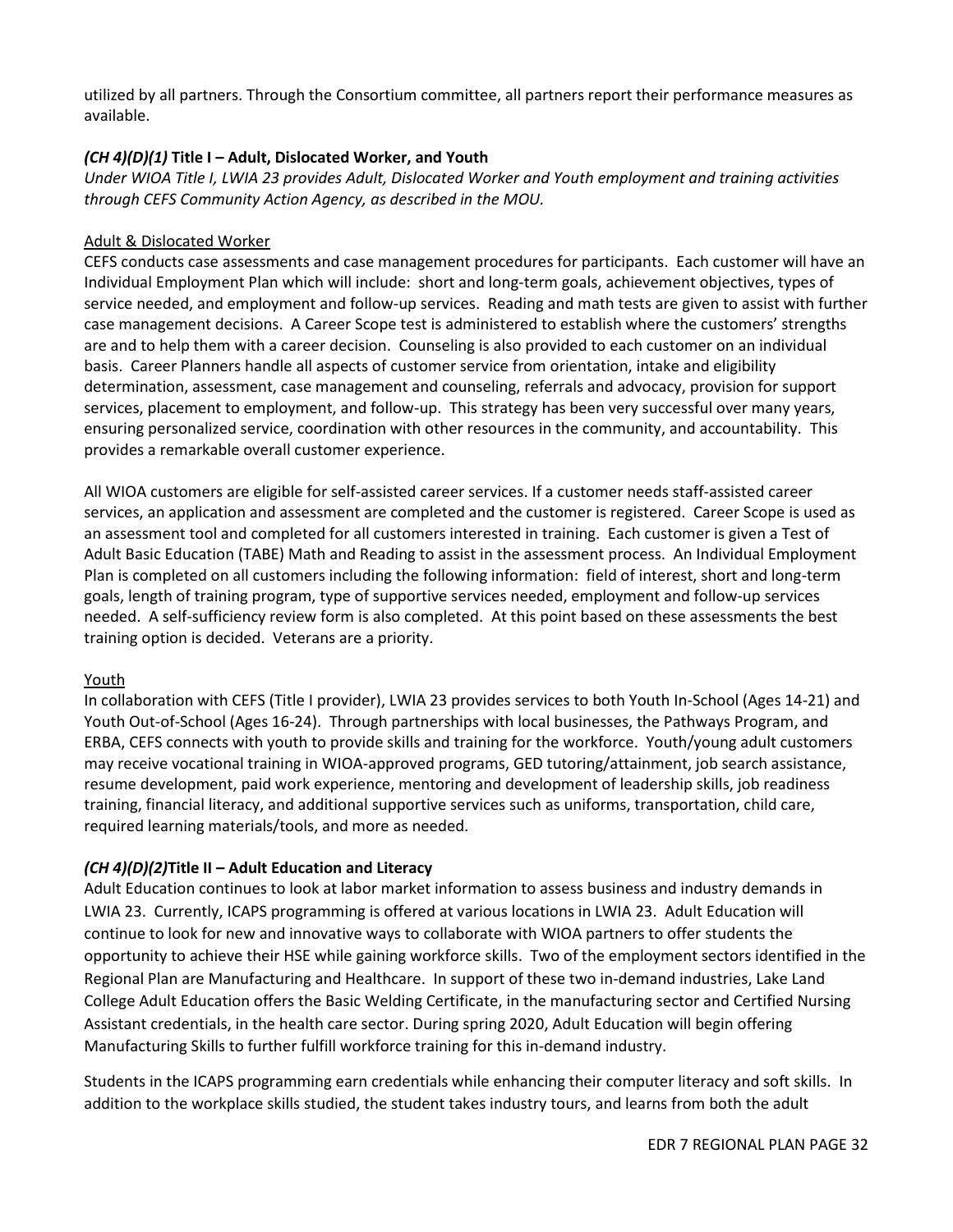utilized by all partners. Through the Consortium committee, all partners report their performance measures as available.

### *(CH 4)(D)(1)* **Title I – Adult, Dislocated Worker, and Youth**

*Under WIOA Title I, LWIA 23 provides Adult, Dislocated Worker and Youth employment and training activities through CEFS Community Action Agency, as described in the MOU.* 

### Adult & Dislocated Worker

CEFS conducts case assessments and case management procedures for participants. Each customer will have an Individual Employment Plan which will include: short and long-term goals, achievement objectives, types of service needed, and employment and follow-up services. Reading and math tests are given to assist with further case management decisions. A Career Scope test is administered to establish where the customers' strengths are and to help them with a career decision. Counseling is also provided to each customer on an individual basis. Career Planners handle all aspects of customer service from orientation, intake and eligibility determination, assessment, case management and counseling, referrals and advocacy, provision for support services, placement to employment, and follow-up. This strategy has been very successful over many years, ensuring personalized service, coordination with other resources in the community, and accountability. This provides a remarkable overall customer experience.

All WIOA customers are eligible for self-assisted career services. If a customer needs staff-assisted career services, an application and assessment are completed and the customer is registered. Career Scope is used as an assessment tool and completed for all customers interested in training. Each customer is given a Test of Adult Basic Education (TABE) Math and Reading to assist in the assessment process. An Individual Employment Plan is completed on all customers including the following information: field of interest, short and long-term goals, length of training program, type of supportive services needed, employment and follow-up services needed. A self-sufficiency review form is also completed. At this point based on these assessments the best training option is decided. Veterans are a priority.

#### Youth

In collaboration with CEFS (Title I provider), LWIA 23 provides services to both Youth In-School (Ages 14-21) and Youth Out-of-School (Ages 16-24). Through partnerships with local businesses, the Pathways Program, and ERBA, CEFS connects with youth to provide skills and training for the workforce. Youth/young adult customers may receive vocational training in WIOA-approved programs, GED tutoring/attainment, job search assistance, resume development, paid work experience, mentoring and development of leadership skills, job readiness training, financial literacy, and additional supportive services such as uniforms, transportation, child care, required learning materials/tools, and more as needed.

### *(CH 4)(D)(2)***Title II – Adult Education and Literacy**

Adult Education continues to look at labor market information to assess business and industry demands in LWIA 23. Currently, ICAPS programming is offered at various locations in LWIA 23. Adult Education will continue to look for new and innovative ways to collaborate with WIOA partners to offer students the opportunity to achieve their HSE while gaining workforce skills. Two of the employment sectors identified in the Regional Plan are Manufacturing and Healthcare. In support of these two in-demand industries, Lake Land College Adult Education offers the Basic Welding Certificate, in the manufacturing sector and Certified Nursing Assistant credentials, in the health care sector. During spring 2020, Adult Education will begin offering Manufacturing Skills to further fulfill workforce training for this in-demand industry.

Students in the ICAPS programming earn credentials while enhancing their computer literacy and soft skills. In addition to the workplace skills studied, the student takes industry tours, and learns from both the adult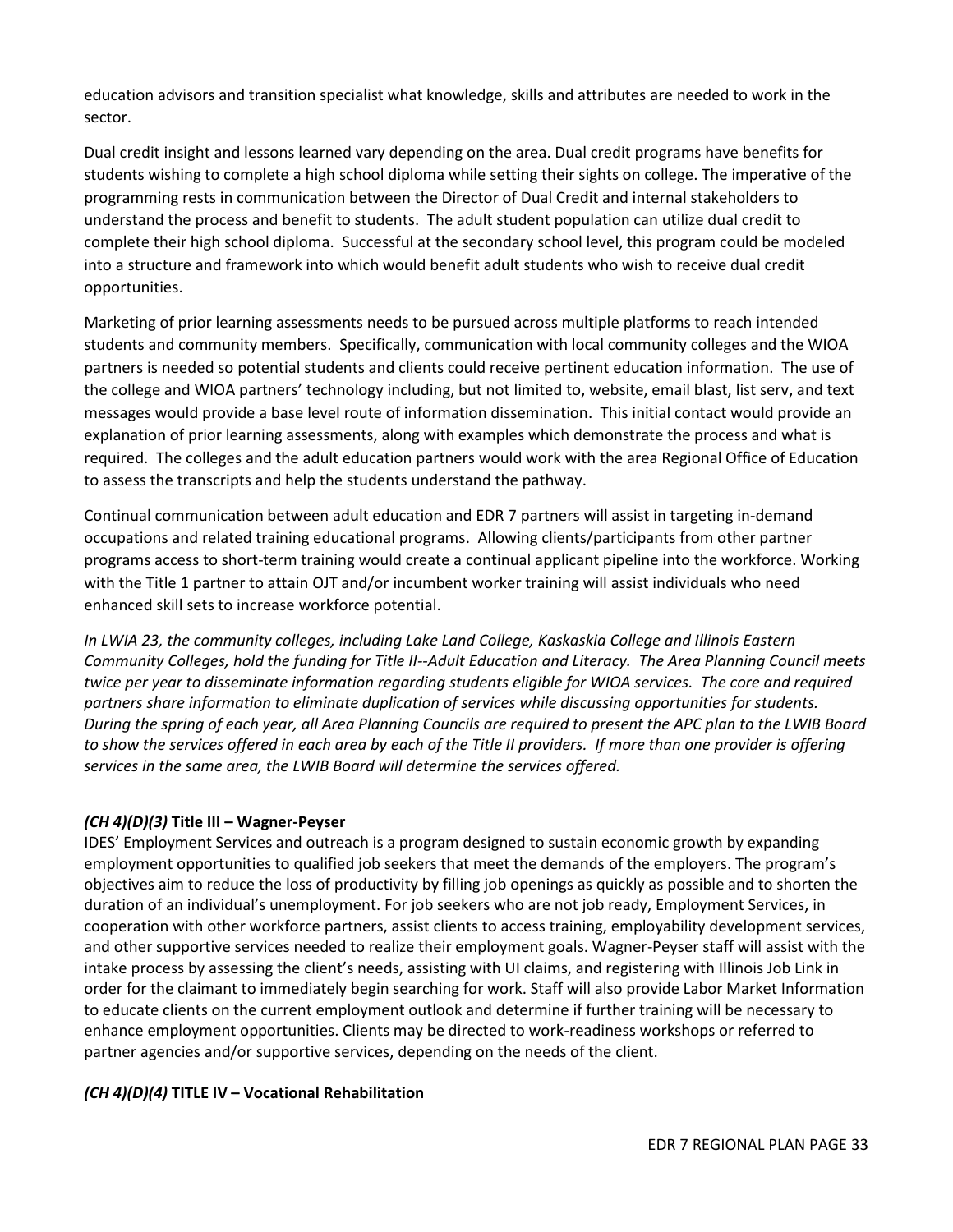education advisors and transition specialist what knowledge, skills and attributes are needed to work in the sector.

Dual credit insight and lessons learned vary depending on the area. Dual credit programs have benefits for students wishing to complete a high school diploma while setting their sights on college. The imperative of the programming rests in communication between the Director of Dual Credit and internal stakeholders to understand the process and benefit to students. The adult student population can utilize dual credit to complete their high school diploma. Successful at the secondary school level, this program could be modeled into a structure and framework into which would benefit adult students who wish to receive dual credit opportunities.

Marketing of prior learning assessments needs to be pursued across multiple platforms to reach intended students and community members. Specifically, communication with local community colleges and the WIOA partners is needed so potential students and clients could receive pertinent education information. The use of the college and WIOA partners' technology including, but not limited to, website, email blast, list serv, and text messages would provide a base level route of information dissemination. This initial contact would provide an explanation of prior learning assessments, along with examples which demonstrate the process and what is required. The colleges and the adult education partners would work with the area Regional Office of Education to assess the transcripts and help the students understand the pathway.

Continual communication between adult education and EDR 7 partners will assist in targeting in-demand occupations and related training educational programs. Allowing clients/participants from other partner programs access to short-term training would create a continual applicant pipeline into the workforce. Working with the Title 1 partner to attain OJT and/or incumbent worker training will assist individuals who need enhanced skill sets to increase workforce potential.

*In LWIA 23, the community colleges, including Lake Land College, Kaskaskia College and Illinois Eastern Community Colleges, hold the funding for Title II--Adult Education and Literacy. The Area Planning Council meets twice per year to disseminate information regarding students eligible for WIOA services. The core and required partners share information to eliminate duplication of services while discussing opportunities for students. During the spring of each year, all Area Planning Councils are required to present the APC plan to the LWIB Board to show the services offered in each area by each of the Title II providers. If more than one provider is offering services in the same area, the LWIB Board will determine the services offered.*

### *(CH 4)(D)(3)* **Title III – Wagner-Peyser**

IDES' Employment Services and outreach is a program designed to sustain economic growth by expanding employment opportunities to qualified job seekers that meet the demands of the employers. The program's objectives aim to reduce the loss of productivity by filling job openings as quickly as possible and to shorten the duration of an individual's unemployment. For job seekers who are not job ready, Employment Services, in cooperation with other workforce partners, assist clients to access training, employability development services, and other supportive services needed to realize their employment goals. Wagner-Peyser staff will assist with the intake process by assessing the client's needs, assisting with UI claims, and registering with Illinois Job Link in order for the claimant to immediately begin searching for work. Staff will also provide Labor Market Information to educate clients on the current employment outlook and determine if further training will be necessary to enhance employment opportunities. Clients may be directed to work-readiness workshops or referred to partner agencies and/or supportive services, depending on the needs of the client.

#### *(CH 4)(D)(4)* **TITLE IV – Vocational Rehabilitation**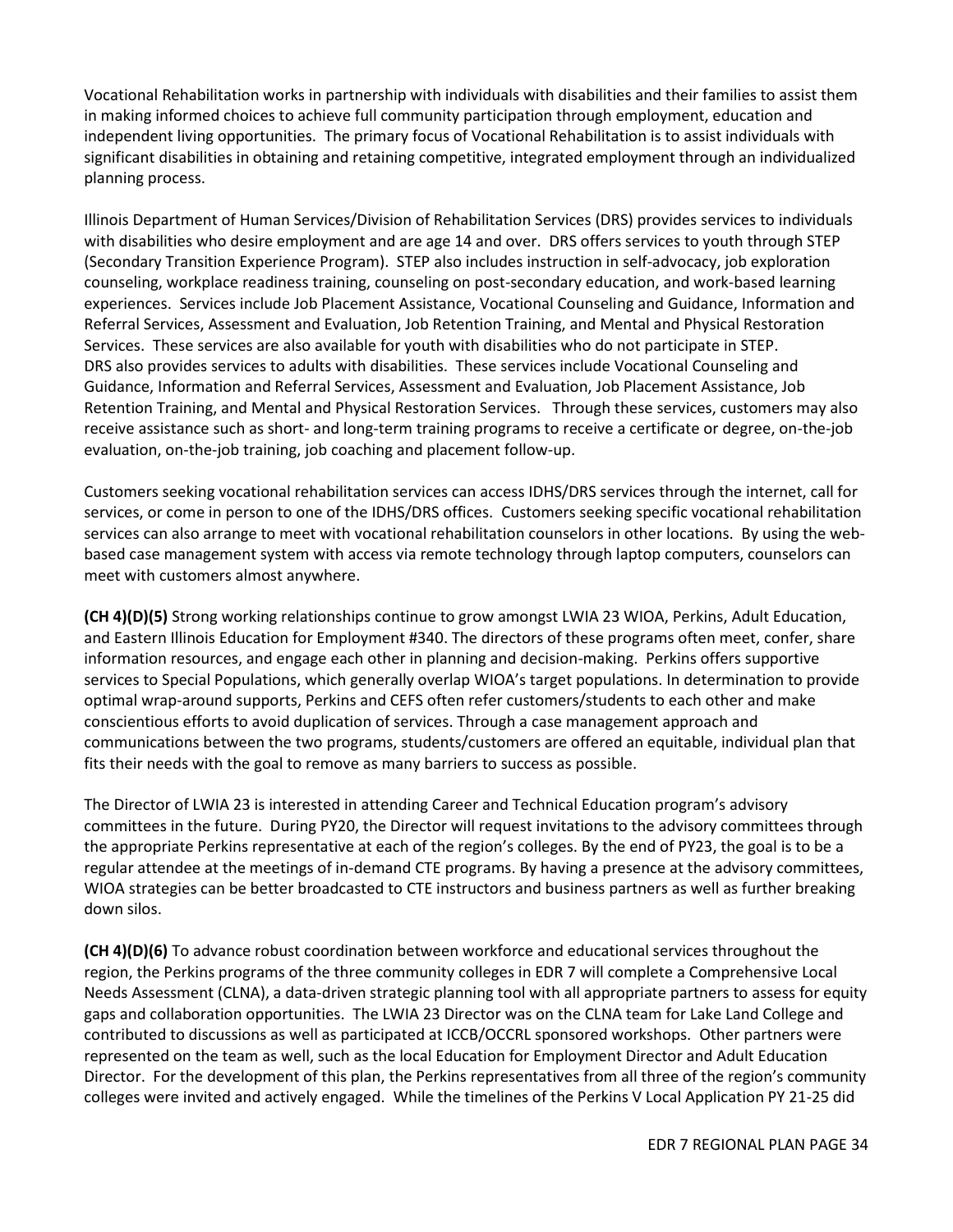Vocational Rehabilitation works in partnership with individuals with disabilities and their families to assist them in making informed choices to achieve full community participation through employment, education and independent living opportunities. The primary focus of Vocational Rehabilitation is to assist individuals with significant disabilities in obtaining and retaining competitive, integrated employment through an individualized planning process.

Illinois Department of Human Services/Division of Rehabilitation Services (DRS) provides services to individuals with disabilities who desire employment and are age 14 and over. DRS offers services to youth through STEP (Secondary Transition Experience Program). STEP also includes instruction in self-advocacy, job exploration counseling, workplace readiness training, counseling on post-secondary education, and work-based learning experiences. Services include Job Placement Assistance, Vocational Counseling and Guidance, Information and Referral Services, Assessment and Evaluation, Job Retention Training, and Mental and Physical Restoration Services. These services are also available for youth with disabilities who do not participate in STEP. DRS also provides services to adults with disabilities. These services include Vocational Counseling and Guidance, Information and Referral Services, Assessment and Evaluation, Job Placement Assistance, Job Retention Training, and Mental and Physical Restoration Services. Through these services, customers may also receive assistance such as short- and long-term training programs to receive a certificate or degree, on-the-job evaluation, on-the-job training, job coaching and placement follow-up.

Customers seeking vocational rehabilitation services can access IDHS/DRS services through the internet, call for services, or come in person to one of the IDHS/DRS offices. Customers seeking specific vocational rehabilitation services can also arrange to meet with vocational rehabilitation counselors in other locations. By using the webbased case management system with access via remote technology through laptop computers, counselors can meet with customers almost anywhere.

**(CH 4)(D)(5)** Strong working relationships continue to grow amongst LWIA 23 WIOA, Perkins, Adult Education, and Eastern Illinois Education for Employment #340. The directors of these programs often meet, confer, share information resources, and engage each other in planning and decision-making. Perkins offers supportive services to Special Populations, which generally overlap WIOA's target populations. In determination to provide optimal wrap-around supports, Perkins and CEFS often refer customers/students to each other and make conscientious efforts to avoid duplication of services. Through a case management approach and communications between the two programs, students/customers are offered an equitable, individual plan that fits their needs with the goal to remove as many barriers to success as possible.

The Director of LWIA 23 is interested in attending Career and Technical Education program's advisory committees in the future. During PY20, the Director will request invitations to the advisory committees through the appropriate Perkins representative at each of the region's colleges. By the end of PY23, the goal is to be a regular attendee at the meetings of in-demand CTE programs. By having a presence at the advisory committees, WIOA strategies can be better broadcasted to CTE instructors and business partners as well as further breaking down silos.

**(CH 4)(D)(6)** To advance robust coordination between workforce and educational services throughout the region, the Perkins programs of the three community colleges in EDR 7 will complete a Comprehensive Local Needs Assessment (CLNA), a data-driven strategic planning tool with all appropriate partners to assess for equity gaps and collaboration opportunities. The LWIA 23 Director was on the CLNA team for Lake Land College and contributed to discussions as well as participated at ICCB/OCCRL sponsored workshops. Other partners were represented on the team as well, such as the local Education for Employment Director and Adult Education Director. For the development of this plan, the Perkins representatives from all three of the region's community colleges were invited and actively engaged. While the timelines of the Perkins V Local Application PY 21-25 did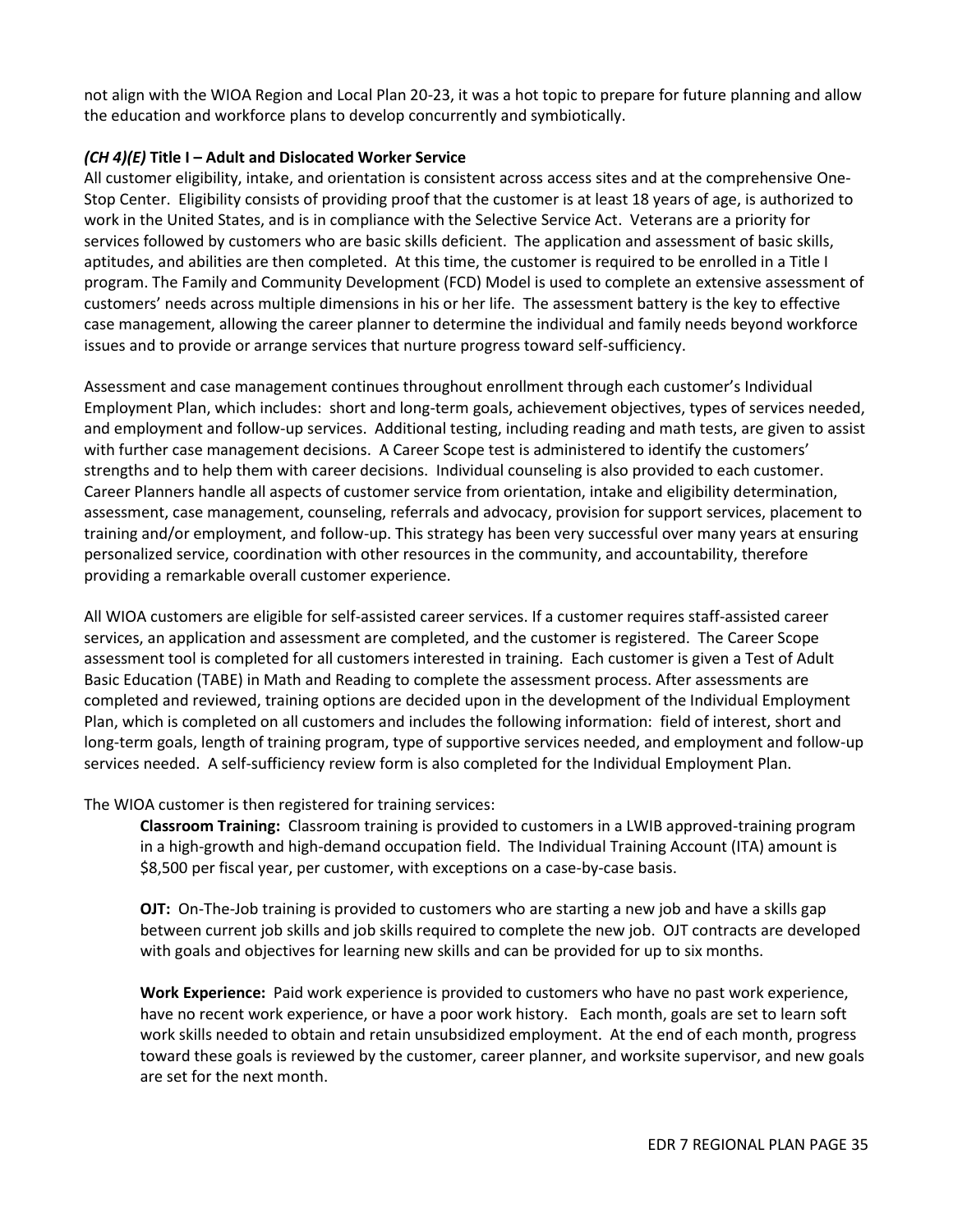not align with the WIOA Region and Local Plan 20-23, it was a hot topic to prepare for future planning and allow the education and workforce plans to develop concurrently and symbiotically.

#### *(CH 4)(E)* **Title I – Adult and Dislocated Worker Service**

All customer eligibility, intake, and orientation is consistent across access sites and at the comprehensive One-Stop Center. Eligibility consists of providing proof that the customer is at least 18 years of age, is authorized to work in the United States, and is in compliance with the Selective Service Act. Veterans are a priority for services followed by customers who are basic skills deficient. The application and assessment of basic skills, aptitudes, and abilities are then completed. At this time, the customer is required to be enrolled in a Title I program. The Family and Community Development (FCD) Model is used to complete an extensive assessment of customers' needs across multiple dimensions in his or her life. The assessment battery is the key to effective case management, allowing the career planner to determine the individual and family needs beyond workforce issues and to provide or arrange services that nurture progress toward self-sufficiency.

Assessment and case management continues throughout enrollment through each customer's Individual Employment Plan, which includes: short and long-term goals, achievement objectives, types of services needed, and employment and follow-up services. Additional testing, including reading and math tests, are given to assist with further case management decisions. A Career Scope test is administered to identify the customers' strengths and to help them with career decisions. Individual counseling is also provided to each customer. Career Planners handle all aspects of customer service from orientation, intake and eligibility determination, assessment, case management, counseling, referrals and advocacy, provision for support services, placement to training and/or employment, and follow-up. This strategy has been very successful over many years at ensuring personalized service, coordination with other resources in the community, and accountability, therefore providing a remarkable overall customer experience.

All WIOA customers are eligible for self-assisted career services. If a customer requires staff-assisted career services, an application and assessment are completed, and the customer is registered. The Career Scope assessment tool is completed for all customers interested in training. Each customer is given a Test of Adult Basic Education (TABE) in Math and Reading to complete the assessment process. After assessments are completed and reviewed, training options are decided upon in the development of the Individual Employment Plan, which is completed on all customers and includes the following information: field of interest, short and long-term goals, length of training program, type of supportive services needed, and employment and follow-up services needed. A self-sufficiency review form is also completed for the Individual Employment Plan.

The WIOA customer is then registered for training services:

**Classroom Training:** Classroom training is provided to customers in a LWIB approved-training program in a high-growth and high-demand occupation field. The Individual Training Account (ITA) amount is \$8,500 per fiscal year, per customer, with exceptions on a case-by-case basis.

**OJT:** On-The-Job training is provided to customers who are starting a new job and have a skills gap between current job skills and job skills required to complete the new job. OJT contracts are developed with goals and objectives for learning new skills and can be provided for up to six months.

**Work Experience:** Paid work experience is provided to customers who have no past work experience, have no recent work experience, or have a poor work history. Each month, goals are set to learn soft work skills needed to obtain and retain unsubsidized employment. At the end of each month, progress toward these goals is reviewed by the customer, career planner, and worksite supervisor, and new goals are set for the next month.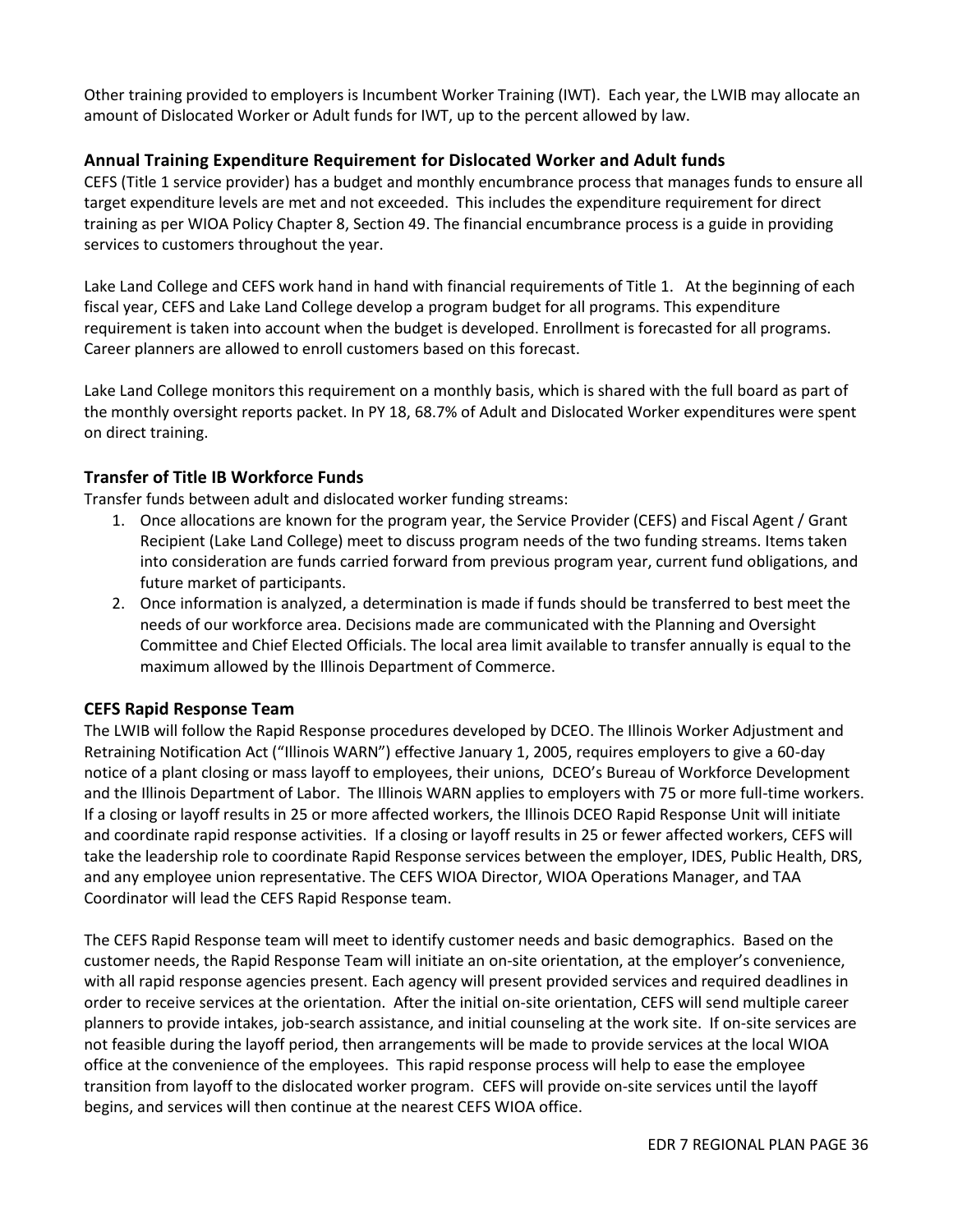Other training provided to employers is Incumbent Worker Training (IWT). Each year, the LWIB may allocate an amount of Dislocated Worker or Adult funds for IWT, up to the percent allowed by law.

### **Annual Training Expenditure Requirement for Dislocated Worker and Adult funds**

CEFS (Title 1 service provider) has a budget and monthly encumbrance process that manages funds to ensure all target expenditure levels are met and not exceeded. This includes the expenditure requirement for direct training as per WIOA Policy Chapter 8, Section 49. The financial encumbrance process is a guide in providing services to customers throughout the year.

Lake Land College and CEFS work hand in hand with financial requirements of Title 1. At the beginning of each fiscal year, CEFS and Lake Land College develop a program budget for all programs. This expenditure requirement is taken into account when the budget is developed. Enrollment is forecasted for all programs. Career planners are allowed to enroll customers based on this forecast.

Lake Land College monitors this requirement on a monthly basis, which is shared with the full board as part of the monthly oversight reports packet. In PY 18, 68.7% of Adult and Dislocated Worker expenditures were spent on direct training.

### **Transfer of Title IB Workforce Funds**

Transfer funds between adult and dislocated worker funding streams:

- 1. Once allocations are known for the program year, the Service Provider (CEFS) and Fiscal Agent / Grant Recipient (Lake Land College) meet to discuss program needs of the two funding streams. Items taken into consideration are funds carried forward from previous program year, current fund obligations, and future market of participants.
- 2. Once information is analyzed, a determination is made if funds should be transferred to best meet the needs of our workforce area. Decisions made are communicated with the Planning and Oversight Committee and Chief Elected Officials. The local area limit available to transfer annually is equal to the maximum allowed by the Illinois Department of Commerce.

#### **CEFS Rapid Response Team**

The LWIB will follow the Rapid Response procedures developed by DCEO. The Illinois Worker Adjustment and Retraining Notification Act ("Illinois WARN") effective January 1, 2005, requires employers to give a 60-day notice of a plant closing or mass layoff to employees, their unions, DCEO's Bureau of Workforce Development and the Illinois Department of Labor. The Illinois WARN applies to employers with 75 or more full-time workers. If a closing or layoff results in 25 or more affected workers, the Illinois DCEO Rapid Response Unit will initiate and coordinate rapid response activities. If a closing or layoff results in 25 or fewer affected workers, CEFS will take the leadership role to coordinate Rapid Response services between the employer, IDES, Public Health, DRS, and any employee union representative. The CEFS WIOA Director, WIOA Operations Manager, and TAA Coordinator will lead the CEFS Rapid Response team.

The CEFS Rapid Response team will meet to identify customer needs and basic demographics. Based on the customer needs, the Rapid Response Team will initiate an on-site orientation, at the employer's convenience, with all rapid response agencies present. Each agency will present provided services and required deadlines in order to receive services at the orientation. After the initial on-site orientation, CEFS will send multiple career planners to provide intakes, job-search assistance, and initial counseling at the work site. If on-site services are not feasible during the layoff period, then arrangements will be made to provide services at the local WIOA office at the convenience of the employees. This rapid response process will help to ease the employee transition from layoff to the dislocated worker program. CEFS will provide on-site services until the layoff begins, and services will then continue at the nearest CEFS WIOA office.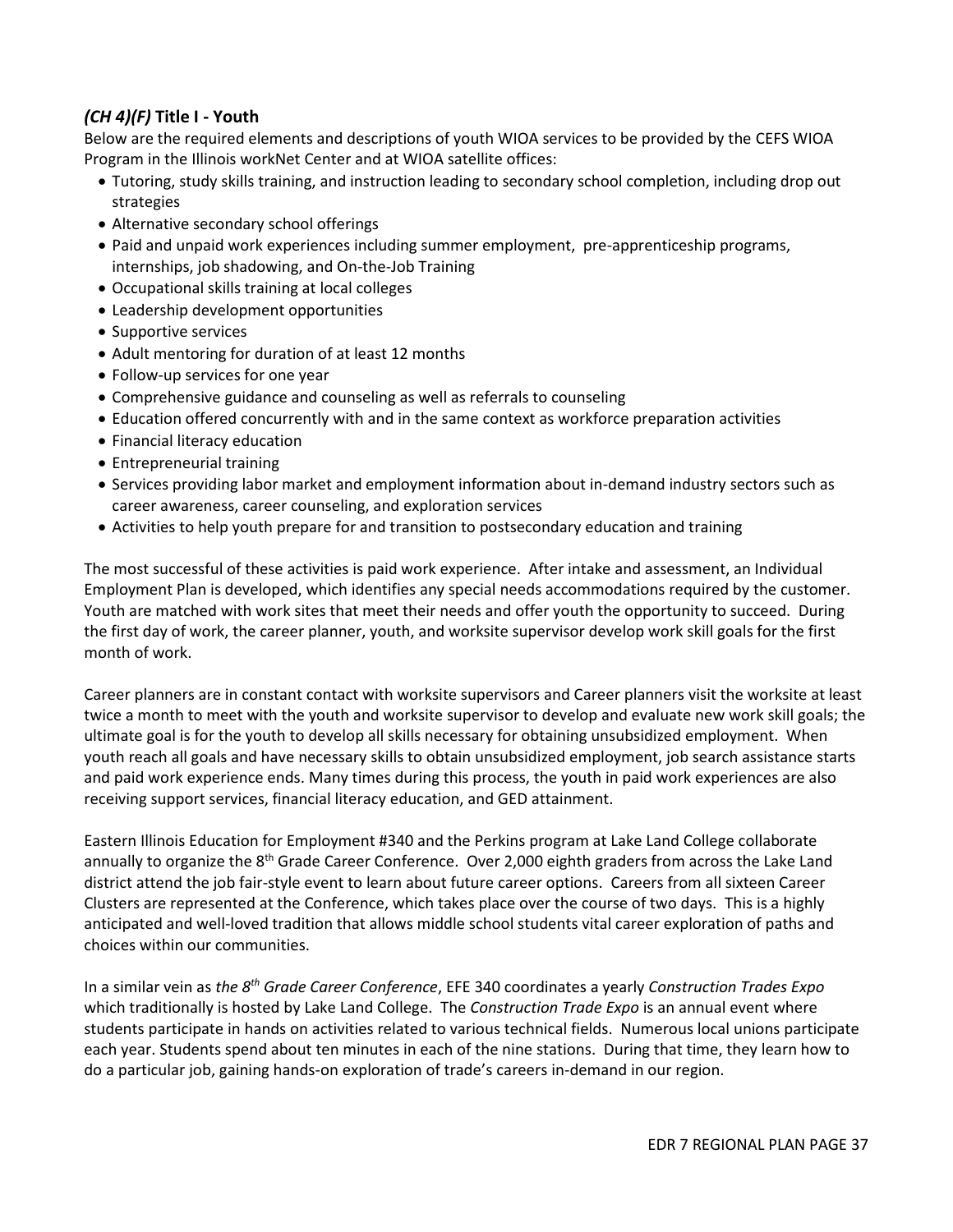### *(CH 4)(F)* **Title I - Youth**

Below are the required elements and descriptions of youth WIOA services to be provided by the CEFS WIOA Program in the Illinois workNet Center and at WIOA satellite offices:

- Tutoring, study skills training, and instruction leading to secondary school completion, including drop out strategies
- Alternative secondary school offerings
- Paid and unpaid work experiences including summer employment, pre-apprenticeship programs, internships, job shadowing, and On-the-Job Training
- Occupational skills training at local colleges
- Leadership development opportunities
- Supportive services
- Adult mentoring for duration of at least 12 months
- Follow-up services for one year
- Comprehensive guidance and counseling as well as referrals to counseling
- Education offered concurrently with and in the same context as workforce preparation activities
- Financial literacy education
- Entrepreneurial training
- Services providing labor market and employment information about in-demand industry sectors such as career awareness, career counseling, and exploration services
- Activities to help youth prepare for and transition to postsecondary education and training

The most successful of these activities is paid work experience. After intake and assessment, an Individual Employment Plan is developed, which identifies any special needs accommodations required by the customer. Youth are matched with work sites that meet their needs and offer youth the opportunity to succeed. During the first day of work, the career planner, youth, and worksite supervisor develop work skill goals for the first month of work.

Career planners are in constant contact with worksite supervisors and Career planners visit the worksite at least twice a month to meet with the youth and worksite supervisor to develop and evaluate new work skill goals; the ultimate goal is for the youth to develop all skills necessary for obtaining unsubsidized employment. When youth reach all goals and have necessary skills to obtain unsubsidized employment, job search assistance starts and paid work experience ends. Many times during this process, the youth in paid work experiences are also receiving support services, financial literacy education, and GED attainment.

Eastern Illinois Education for Employment #340 and the Perkins program at Lake Land College collaborate annually to organize the 8<sup>th</sup> Grade Career Conference. Over 2,000 eighth graders from across the Lake Land district attend the job fair-style event to learn about future career options. Careers from all sixteen Career Clusters are represented at the Conference, which takes place over the course of two days. This is a highly anticipated and well-loved tradition that allows middle school students vital career exploration of paths and choices within our communities.

In a similar vein as *the 8th Grade Career Conference*, EFE 340 coordinates a yearly *Construction Trades Expo* which traditionally is hosted by Lake Land College. The *Construction Trade Expo* is an annual event where students participate in hands on activities related to various technical fields. Numerous local unions participate each year. Students spend about ten minutes in each of the nine stations. During that time, they learn how to do a particular job, gaining hands-on exploration of trade's careers in-demand in our region.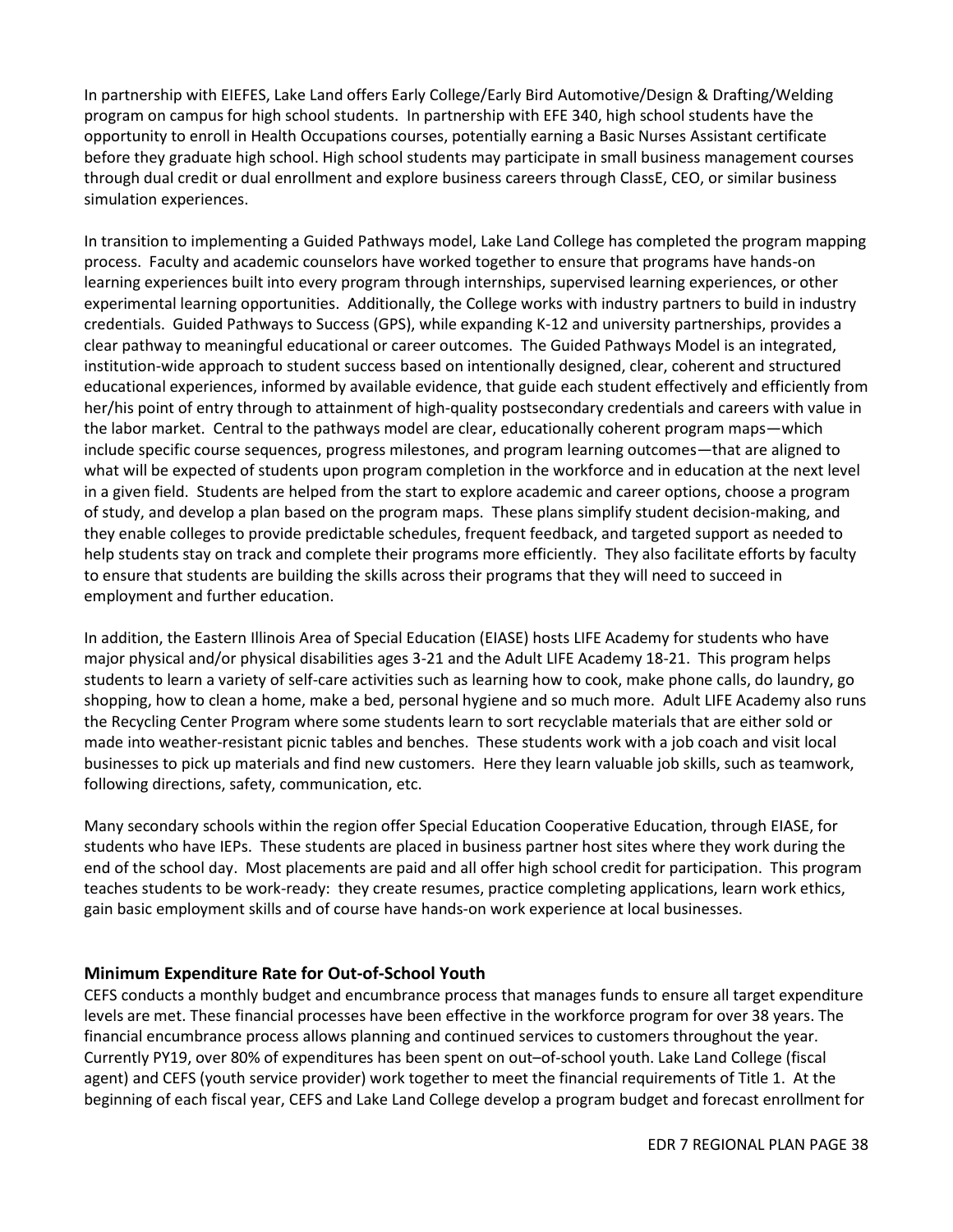In partnership with EIEFES, Lake Land offers Early College/Early Bird Automotive/Design & Drafting/Welding program on campus for high school students. In partnership with EFE 340, high school students have the opportunity to enroll in Health Occupations courses, potentially earning a Basic Nurses Assistant certificate before they graduate high school. High school students may participate in small business management courses through dual credit or dual enrollment and explore business careers through ClassE, CEO, or similar business simulation experiences.

In transition to implementing a Guided Pathways model, Lake Land College has completed the program mapping process. Faculty and academic counselors have worked together to ensure that programs have hands-on learning experiences built into every program through internships, supervised learning experiences, or other experimental learning opportunities. Additionally, the College works with industry partners to build in industry credentials. Guided Pathways to Success (GPS), while expanding K-12 and university partnerships, provides a clear pathway to meaningful educational or career outcomes. The Guided Pathways Model is an integrated, institution-wide approach to student success based on intentionally designed, clear, coherent and structured educational experiences, informed by available evidence, that guide each student effectively and efficiently from her/his point of entry through to attainment of high-quality postsecondary credentials and careers with value in the labor market. Central to the pathways model are clear, educationally coherent program maps—which include specific course sequences, progress milestones, and program learning outcomes—that are aligned to what will be expected of students upon program completion in the workforce and in education at the next level in a given field. Students are helped from the start to explore academic and career options, choose a program of study, and develop a plan based on the program maps. These plans simplify student decision-making, and they enable colleges to provide predictable schedules, frequent feedback, and targeted support as needed to help students stay on track and complete their programs more efficiently. They also facilitate efforts by faculty to ensure that students are building the skills across their programs that they will need to succeed in employment and further education.

In addition, the Eastern Illinois Area of Special Education (EIASE) hosts LIFE Academy for students who have major physical and/or physical disabilities ages 3-21 and the Adult LIFE Academy 18-21. This program helps students to learn a variety of self-care activities such as learning how to cook, make phone calls, do laundry, go shopping, how to clean a home, make a bed, personal hygiene and so much more. Adult LIFE Academy also runs the Recycling Center Program where some students learn to sort recyclable materials that are either sold or made into weather-resistant picnic tables and benches. These students work with a job coach and visit local businesses to pick up materials and find new customers. Here they learn valuable job skills, such as teamwork, following directions, safety, communication, etc.

Many secondary schools within the region offer Special Education Cooperative Education, through EIASE, for students who have IEPs. These students are placed in business partner host sites where they work during the end of the school day. Most placements are paid and all offer high school credit for participation. This program teaches students to be work-ready: they create resumes, practice completing applications, learn work ethics, gain basic employment skills and of course have hands-on work experience at local businesses.

#### **Minimum Expenditure Rate for Out-of-School Youth**

CEFS conducts a monthly budget and encumbrance process that manages funds to ensure all target expenditure levels are met. These financial processes have been effective in the workforce program for over 38 years. The financial encumbrance process allows planning and continued services to customers throughout the year. Currently PY19, over 80% of expenditures has been spent on out–of-school youth. Lake Land College (fiscal agent) and CEFS (youth service provider) work together to meet the financial requirements of Title 1. At the beginning of each fiscal year, CEFS and Lake Land College develop a program budget and forecast enrollment for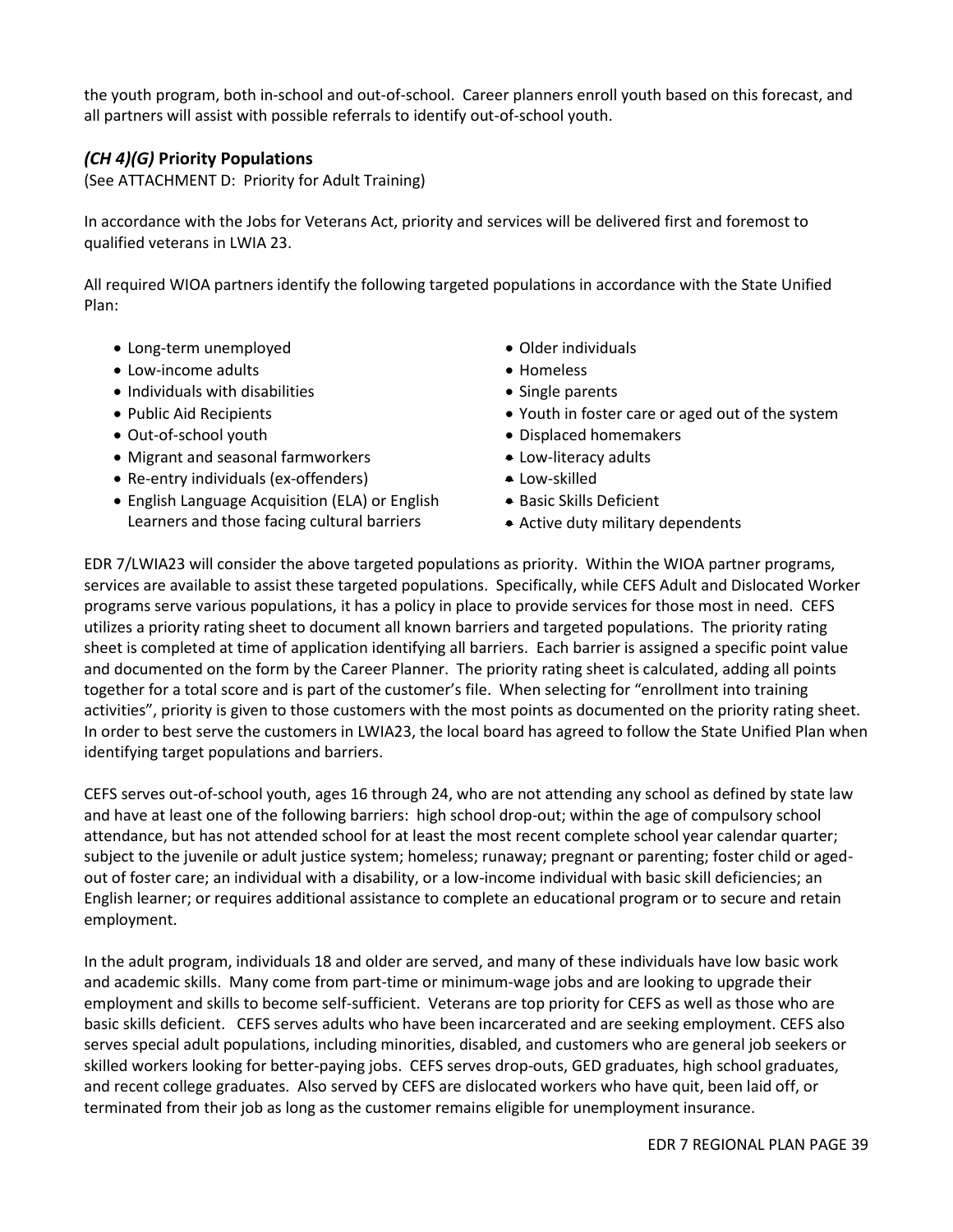the youth program, both in-school and out-of-school. Career planners enroll youth based on this forecast, and all partners will assist with possible referrals to identify out-of-school youth.

### *(CH 4)(G)* **Priority Populations**

(See ATTACHMENT D: Priority for Adult Training)

In accordance with the Jobs for Veterans Act, priority and services will be delivered first and foremost to qualified veterans in LWIA 23.

All required WIOA partners identify the following targeted populations in accordance with the State Unified Plan:

- Long-term unemployed
- Low-income adults
- Individuals with disabilities
- Public Aid Recipients
- Out-of-school youth
- Migrant and seasonal farmworkers
- Re-entry individuals (ex-offenders)
- English Language Acquisition (ELA) or English Learners and those facing cultural barriers
- Older individuals
- Homeless
- Single parents
- Youth in foster care or aged out of the system
- Displaced homemakers
- Low-literacy adults
- Low-skilled
- Basic Skills Deficient
- Active duty military dependents

EDR 7/LWIA23 will consider the above targeted populations as priority. Within the WIOA partner programs, services are available to assist these targeted populations. Specifically, while CEFS Adult and Dislocated Worker programs serve various populations, it has a policy in place to provide services for those most in need. CEFS utilizes a priority rating sheet to document all known barriers and targeted populations. The priority rating sheet is completed at time of application identifying all barriers. Each barrier is assigned a specific point value and documented on the form by the Career Planner. The priority rating sheet is calculated, adding all points together for a total score and is part of the customer's file. When selecting for "enrollment into training activities", priority is given to those customers with the most points as documented on the priority rating sheet. In order to best serve the customers in LWIA23, the local board has agreed to follow the State Unified Plan when identifying target populations and barriers.

CEFS serves out-of-school youth, ages 16 through 24, who are not attending any school as defined by state law and have at least one of the following barriers: high school drop-out; within the age of compulsory school attendance, but has not attended school for at least the most recent complete school year calendar quarter; subject to the juvenile or adult justice system; homeless; runaway; pregnant or parenting; foster child or agedout of foster care; an individual with a disability, or a low-income individual with basic skill deficiencies; an English learner; or requires additional assistance to complete an educational program or to secure and retain employment.

In the adult program, individuals 18 and older are served, and many of these individuals have low basic work and academic skills. Many come from part-time or minimum-wage jobs and are looking to upgrade their employment and skills to become self-sufficient. Veterans are top priority for CEFS as well as those who are basic skills deficient. CEFS serves adults who have been incarcerated and are seeking employment. CEFS also serves special adult populations, including minorities, disabled, and customers who are general job seekers or skilled workers looking for better-paying jobs. CEFS serves drop-outs, GED graduates, high school graduates, and recent college graduates. Also served by CEFS are dislocated workers who have quit, been laid off, or terminated from their job as long as the customer remains eligible for unemployment insurance.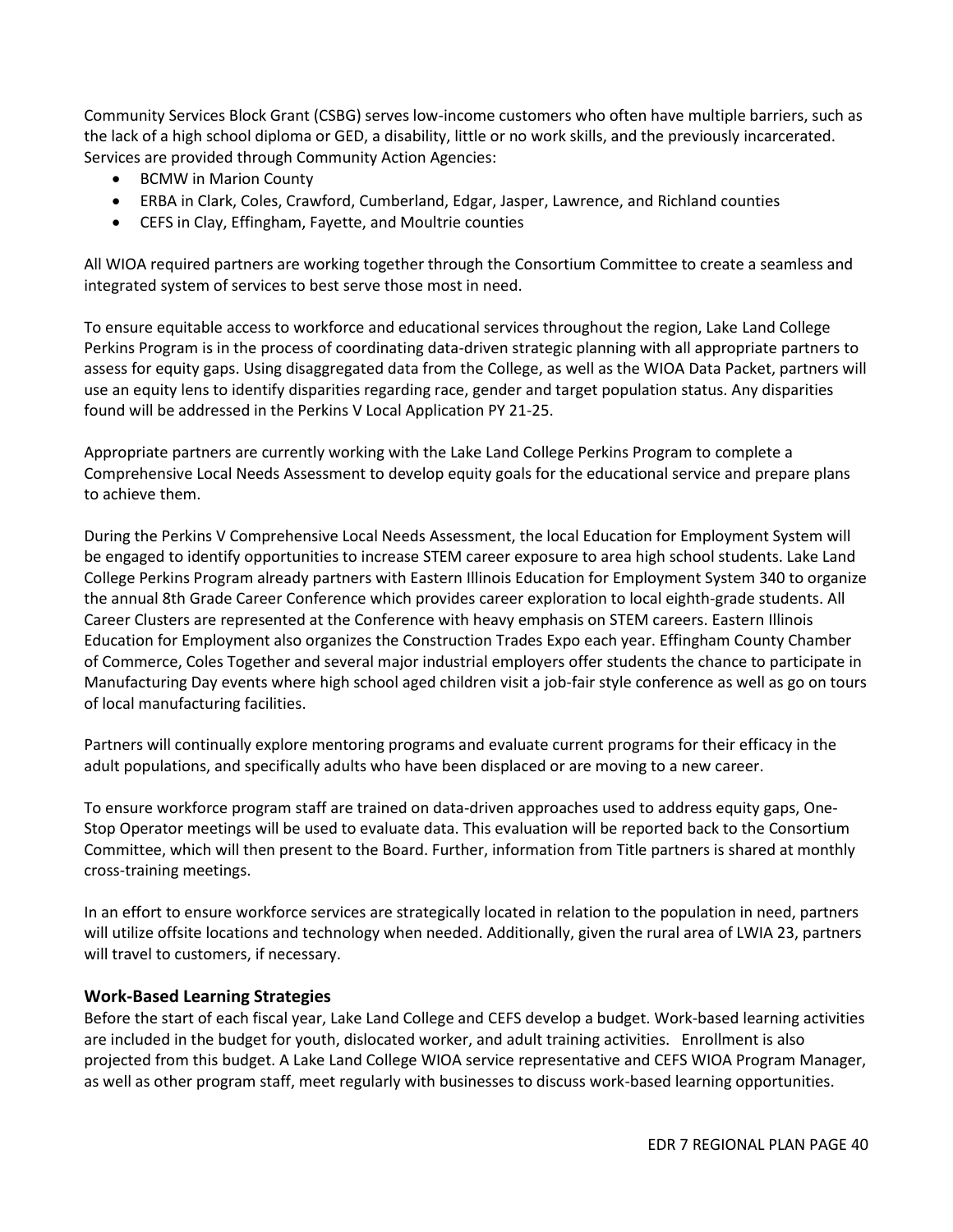Community Services Block Grant (CSBG) serves low-income customers who often have multiple barriers, such as the lack of a high school diploma or GED, a disability, little or no work skills, and the previously incarcerated. Services are provided through Community Action Agencies:

- BCMW in Marion County
- ERBA in Clark, Coles, Crawford, Cumberland, Edgar, Jasper, Lawrence, and Richland counties
- CEFS in Clay, Effingham, Fayette, and Moultrie counties

All WIOA required partners are working together through the Consortium Committee to create a seamless and integrated system of services to best serve those most in need.

To ensure equitable access to workforce and educational services throughout the region, Lake Land College Perkins Program is in the process of coordinating data-driven strategic planning with all appropriate partners to assess for equity gaps. Using disaggregated data from the College, as well as the WIOA Data Packet, partners will use an equity lens to identify disparities regarding race, gender and target population status. Any disparities found will be addressed in the Perkins V Local Application PY 21-25.

Appropriate partners are currently working with the Lake Land College Perkins Program to complete a Comprehensive Local Needs Assessment to develop equity goals for the educational service and prepare plans to achieve them.

During the Perkins V Comprehensive Local Needs Assessment, the local Education for Employment System will be engaged to identify opportunities to increase STEM career exposure to area high school students. Lake Land College Perkins Program already partners with Eastern Illinois Education for Employment System 340 to organize the annual 8th Grade Career Conference which provides career exploration to local eighth-grade students. All Career Clusters are represented at the Conference with heavy emphasis on STEM careers. Eastern Illinois Education for Employment also organizes the Construction Trades Expo each year. Effingham County Chamber of Commerce, Coles Together and several major industrial employers offer students the chance to participate in Manufacturing Day events where high school aged children visit a job-fair style conference as well as go on tours of local manufacturing facilities.

Partners will continually explore mentoring programs and evaluate current programs for their efficacy in the adult populations, and specifically adults who have been displaced or are moving to a new career.

To ensure workforce program staff are trained on data-driven approaches used to address equity gaps, One-Stop Operator meetings will be used to evaluate data. This evaluation will be reported back to the Consortium Committee, which will then present to the Board. Further, information from Title partners is shared at monthly cross-training meetings.

In an effort to ensure workforce services are strategically located in relation to the population in need, partners will utilize offsite locations and technology when needed. Additionally, given the rural area of LWIA 23, partners will travel to customers, if necessary.

### **Work-Based Learning Strategies**

Before the start of each fiscal year, Lake Land College and CEFS develop a budget. Work-based learning activities are included in the budget for youth, dislocated worker, and adult training activities. Enrollment is also projected from this budget. A Lake Land College WIOA service representative and CEFS WIOA Program Manager, as well as other program staff, meet regularly with businesses to discuss work-based learning opportunities.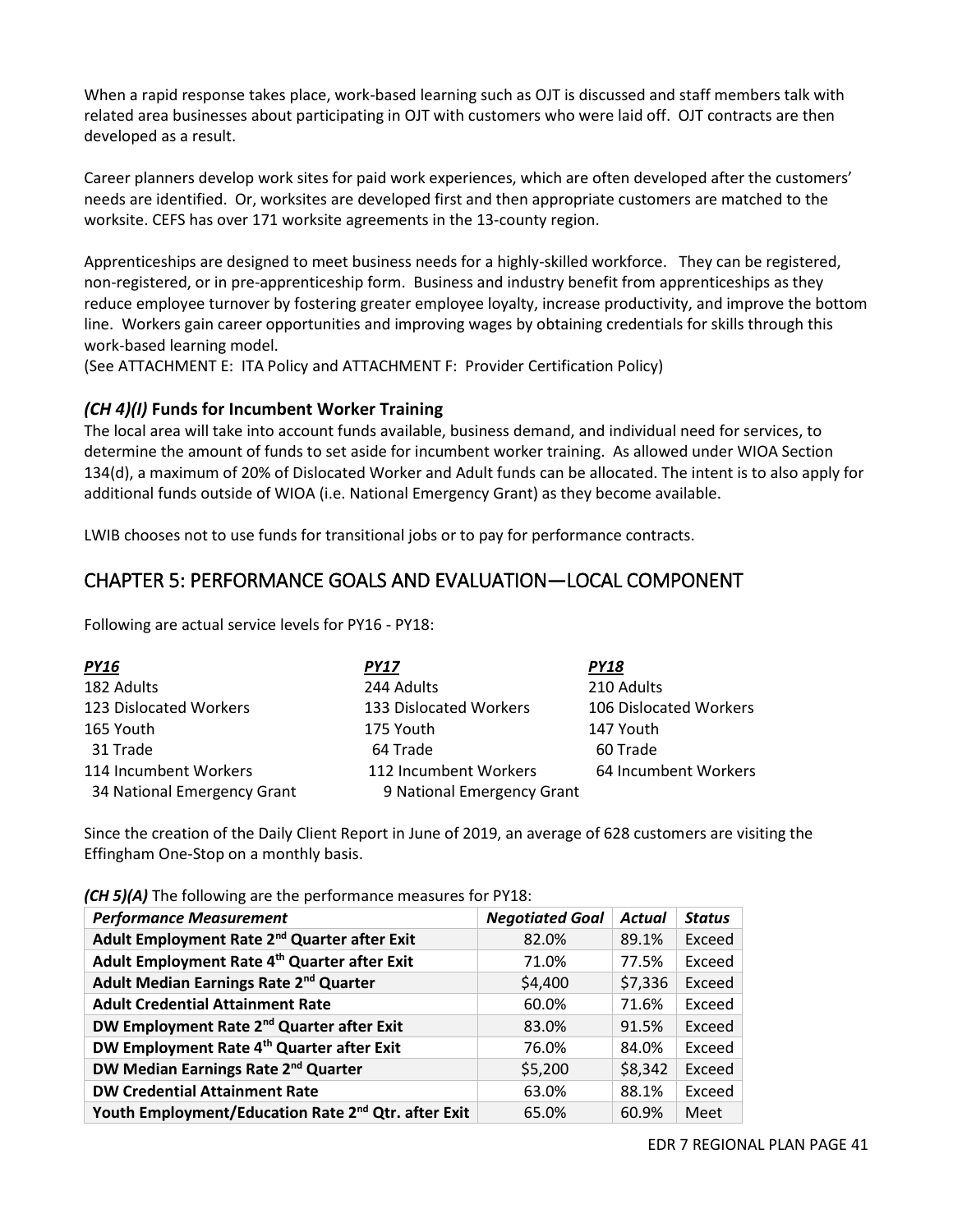When a rapid response takes place, work-based learning such as OJT is discussed and staff members talk with related area businesses about participating in OJT with customers who were laid off. OJT contracts are then developed as a result.

Career planners develop work sites for paid work experiences, which are often developed after the customers' needs are identified. Or, worksites are developed first and then appropriate customers are matched to the worksite. CEFS has over 171 worksite agreements in the 13-county region.

Apprenticeships are designed to meet business needs for a highly-skilled workforce. They can be registered, non-registered, or in pre-apprenticeship form. Business and industry benefit from apprenticeships as they reduce employee turnover by fostering greater employee loyalty, increase productivity, and improve the bottom line. Workers gain career opportunities and improving wages by obtaining credentials for skills through this work-based learning model.

(See ATTACHMENT E: ITA Policy and ATTACHMENT F: Provider Certification Policy)

### *(CH 4)(I)* **Funds for Incumbent Worker Training**

The local area will take into account funds available, business demand, and individual need for services, to determine the amount of funds to set aside for incumbent worker training. As allowed under WIOA Section 134(d), a maximum of 20% of Dislocated Worker and Adult funds can be allocated. The intent is to also apply for additional funds outside of WIOA (i.e. National Emergency Grant) as they become available.

LWIB chooses not to use funds for transitional jobs or to pay for performance contracts.

### CHAPTER 5: PERFORMANCE GOALS AND EVALUATION—LOCAL COMPONENT

Following are actual service levels for PY16 - PY18:

| <b>PY16</b>                 | PY17                       | PY18                   |
|-----------------------------|----------------------------|------------------------|
| 182 Adults                  | 244 Adults                 | 210 Adults             |
| 123 Dislocated Workers      | 133 Dislocated Workers     | 106 Dislocated Workers |
| 165 Youth                   | 175 Youth                  | 147 Youth              |
| 31 Trade                    | 64 Trade                   | 60 Trade               |
| 114 Incumbent Workers       | 112 Incumbent Workers      | 64 Incumbent Workers   |
| 34 National Emergency Grant | 9 National Emergency Grant |                        |

Since the creation of the Daily Client Report in June of 2019, an average of 628 customers are visiting the Effingham One-Stop on a monthly basis.

| <b>Performance Measurement</b>                                  | <b>Negotiated Goal</b> | <b>Actual</b> | <b>Status</b> |  |
|-----------------------------------------------------------------|------------------------|---------------|---------------|--|
| Adult Employment Rate 2 <sup>nd</sup> Quarter after Exit        | 82.0%                  | 89.1%         | Exceed        |  |
| Adult Employment Rate 4th Quarter after Exit                    | 71.0%                  | 77.5%         | Exceed        |  |
| Adult Median Earnings Rate 2 <sup>nd</sup> Quarter              | \$4,400                | \$7,336       | Exceed        |  |
| <b>Adult Credential Attainment Rate</b>                         | 60.0%                  | 71.6%         | Exceed        |  |
| DW Employment Rate 2 <sup>nd</sup> Quarter after Exit           | 83.0%                  | 91.5%         | Exceed        |  |
| DW Employment Rate 4 <sup>th</sup> Quarter after Exit           | 76.0%                  | 84.0%         | Exceed        |  |
| DW Median Earnings Rate 2 <sup>nd</sup> Quarter                 | \$5,200                | \$8,342       | Exceed        |  |
| <b>DW Credential Attainment Rate</b>                            | 63.0%                  | 88.1%         | Exceed        |  |
| Youth Employment/Education Rate 2 <sup>nd</sup> Qtr. after Exit | 65.0%                  | 60.9%         | Meet          |  |

*(CH 5)(A)* The following are the performance measures for PY18: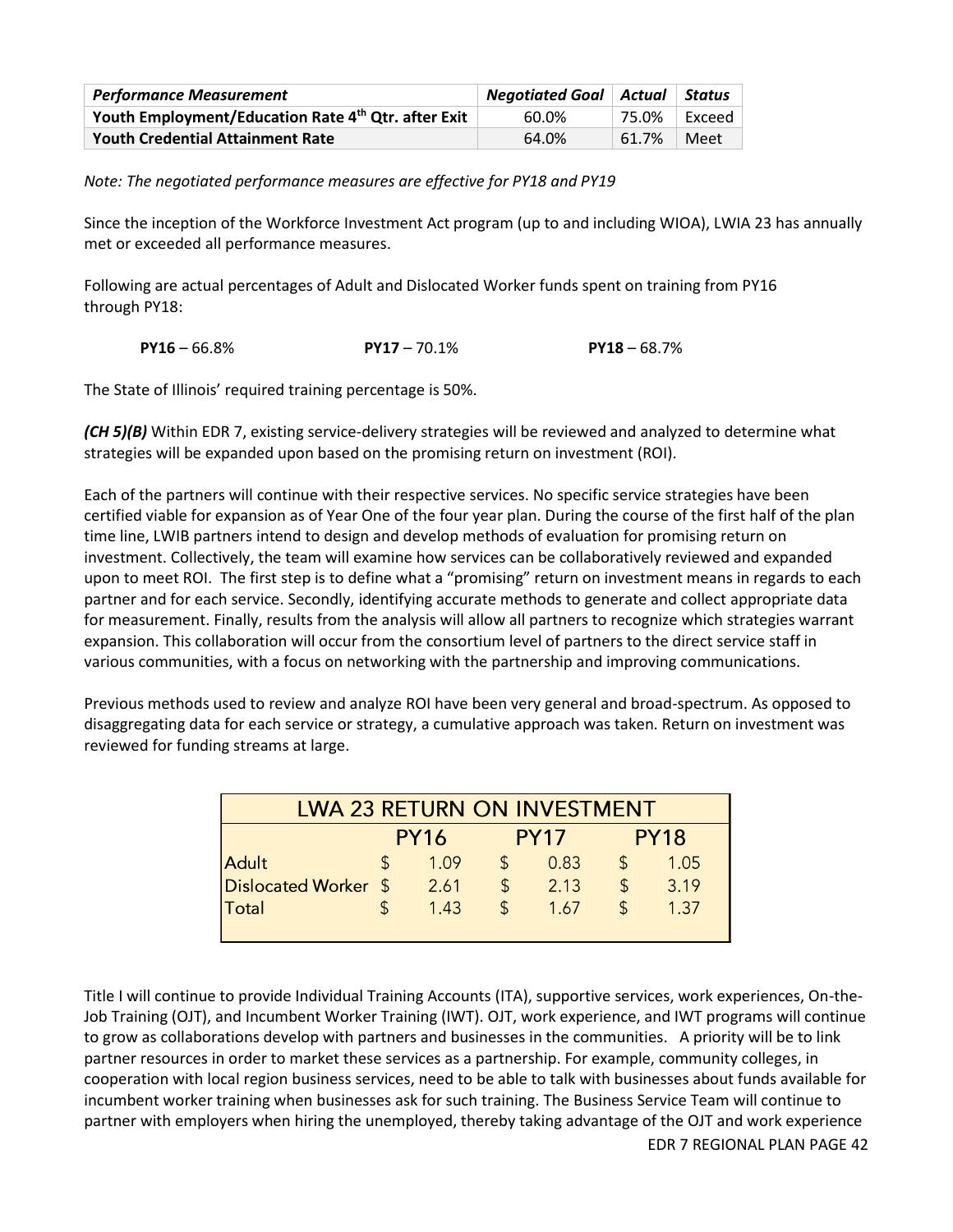| <b>Performance Measurement</b>                      | <b>Negotiated Goal</b>   Actual   Status |       |        |
|-----------------------------------------------------|------------------------------------------|-------|--------|
| Youth Employment/Education Rate 4th Qtr. after Exit | 60.0%                                    | 75.0% | Exceed |
| <b>Youth Credential Attainment Rate</b>             | 64.0%                                    | 61.7% | Meet   |

*Note: The negotiated performance measures are effective for PY18 and PY19* 

Since the inception of the Workforce Investment Act program (up to and including WIOA), LWIA 23 has annually met or exceeded all performance measures.

Following are actual percentages of Adult and Dislocated Worker funds spent on training from PY16 through PY18:

**PY16** – 66.8% **PY17** – 70.1% **PY18** – 68.7%

The State of Illinois' required training percentage is 50%.

*(CH 5)(B)* Within EDR 7, existing service-delivery strategies will be reviewed and analyzed to determine what strategies will be expanded upon based on the promising return on investment (ROI).

Each of the partners will continue with their respective services. No specific service strategies have been certified viable for expansion as of Year One of the four year plan. During the course of the first half of the plan time line, LWIB partners intend to design and develop methods of evaluation for promising return on investment. Collectively, the team will examine how services can be collaboratively reviewed and expanded upon to meet ROI. The first step is to define what a "promising" return on investment means in regards to each partner and for each service. Secondly, identifying accurate methods to generate and collect appropriate data for measurement. Finally, results from the analysis will allow all partners to recognize which strategies warrant expansion. This collaboration will occur from the consortium level of partners to the direct service staff in various communities, with a focus on networking with the partnership and improving communications.

Previous methods used to review and analyze ROI have been very general and broad-spectrum. As opposed to disaggregating data for each service or strategy, a cumulative approach was taken. Return on investment was reviewed for funding streams at large.

| <b>LWA 23 RETURN ON INVESTMENT</b> |             |       |             |      |             |      |  |  |  |
|------------------------------------|-------------|-------|-------------|------|-------------|------|--|--|--|
|                                    | <b>PY16</b> |       | <b>PY17</b> |      | <b>PY18</b> |      |  |  |  |
| <b>Adult</b>                       |             | 1 Q 9 | S           | 0.83 |             | 1.05 |  |  |  |
| Dislocated Worker \$               |             | 2.61  | \$          | 2.13 |             | 3.19 |  |  |  |
| Total                              |             | 1.43  |             | 1.67 |             | 1.37 |  |  |  |
|                                    |             |       |             |      |             |      |  |  |  |

Title I will continue to provide Individual Training Accounts (ITA), supportive services, work experiences, On-the-Job Training (OJT), and Incumbent Worker Training (IWT). OJT, work experience, and IWT programs will continue to grow as collaborations develop with partners and businesses in the communities. A priority will be to link partner resources in order to market these services as a partnership. For example, community colleges, in cooperation with local region business services, need to be able to talk with businesses about funds available for incumbent worker training when businesses ask for such training. The Business Service Team will continue to partner with employers when hiring the unemployed, thereby taking advantage of the OJT and work experience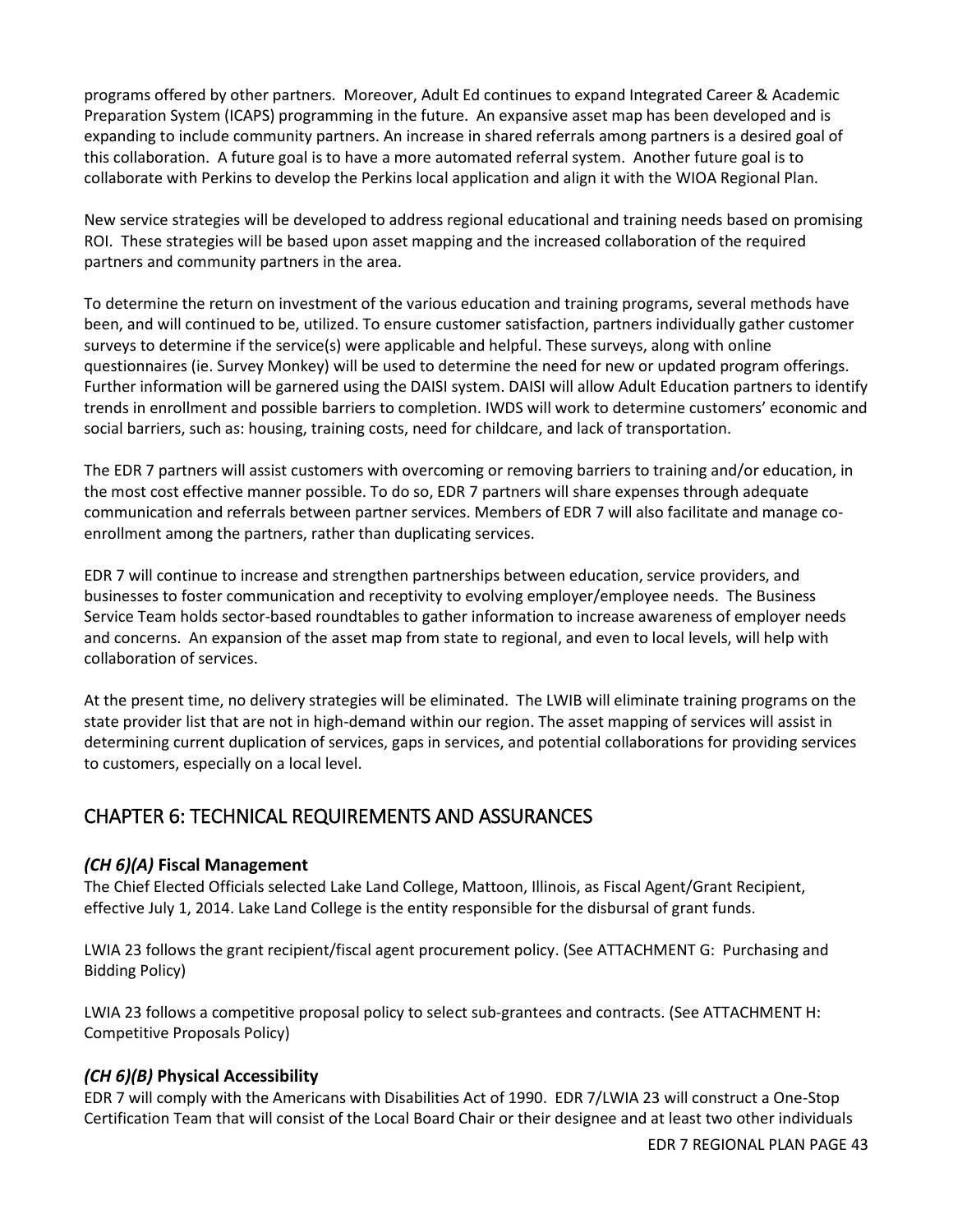programs offered by other partners. Moreover, Adult Ed continues to expand Integrated Career & Academic Preparation System (ICAPS) programming in the future. An expansive asset map has been developed and is expanding to include community partners. An increase in shared referrals among partners is a desired goal of this collaboration. A future goal is to have a more automated referral system. Another future goal is to collaborate with Perkins to develop the Perkins local application and align it with the WIOA Regional Plan.

New service strategies will be developed to address regional educational and training needs based on promising ROI. These strategies will be based upon asset mapping and the increased collaboration of the required partners and community partners in the area.

To determine the return on investment of the various education and training programs, several methods have been, and will continued to be, utilized. To ensure customer satisfaction, partners individually gather customer surveys to determine if the service(s) were applicable and helpful. These surveys, along with online questionnaires (ie. Survey Monkey) will be used to determine the need for new or updated program offerings. Further information will be garnered using the DAISI system. DAISI will allow Adult Education partners to identify trends in enrollment and possible barriers to completion. IWDS will work to determine customers' economic and social barriers, such as: housing, training costs, need for childcare, and lack of transportation.

The EDR 7 partners will assist customers with overcoming or removing barriers to training and/or education, in the most cost effective manner possible. To do so, EDR 7 partners will share expenses through adequate communication and referrals between partner services. Members of EDR 7 will also facilitate and manage coenrollment among the partners, rather than duplicating services.

EDR 7 will continue to increase and strengthen partnerships between education, service providers, and businesses to foster communication and receptivity to evolving employer/employee needs. The Business Service Team holds sector-based roundtables to gather information to increase awareness of employer needs and concerns. An expansion of the asset map from state to regional, and even to local levels, will help with collaboration of services.

At the present time, no delivery strategies will be eliminated. The LWIB will eliminate training programs on the state provider list that are not in high-demand within our region. The asset mapping of services will assist in determining current duplication of services, gaps in services, and potential collaborations for providing services to customers, especially on a local level.

### CHAPTER 6: TECHNICAL REQUIREMENTS AND ASSURANCES

### *(CH 6)(A)* **Fiscal Management**

The Chief Elected Officials selected Lake Land College, Mattoon, Illinois, as Fiscal Agent/Grant Recipient, effective July 1, 2014. Lake Land College is the entity responsible for the disbursal of grant funds.

LWIA 23 follows the grant recipient/fiscal agent procurement policy. (See ATTACHMENT G: Purchasing and Bidding Policy)

LWIA 23 follows a competitive proposal policy to select sub-grantees and contracts. (See ATTACHMENT H: Competitive Proposals Policy)

### *(CH 6)(B)* **Physical Accessibility**

EDR 7 will comply with the Americans with Disabilities Act of 1990. EDR 7/LWIA 23 will construct a One-Stop Certification Team that will consist of the Local Board Chair or their designee and at least two other individuals